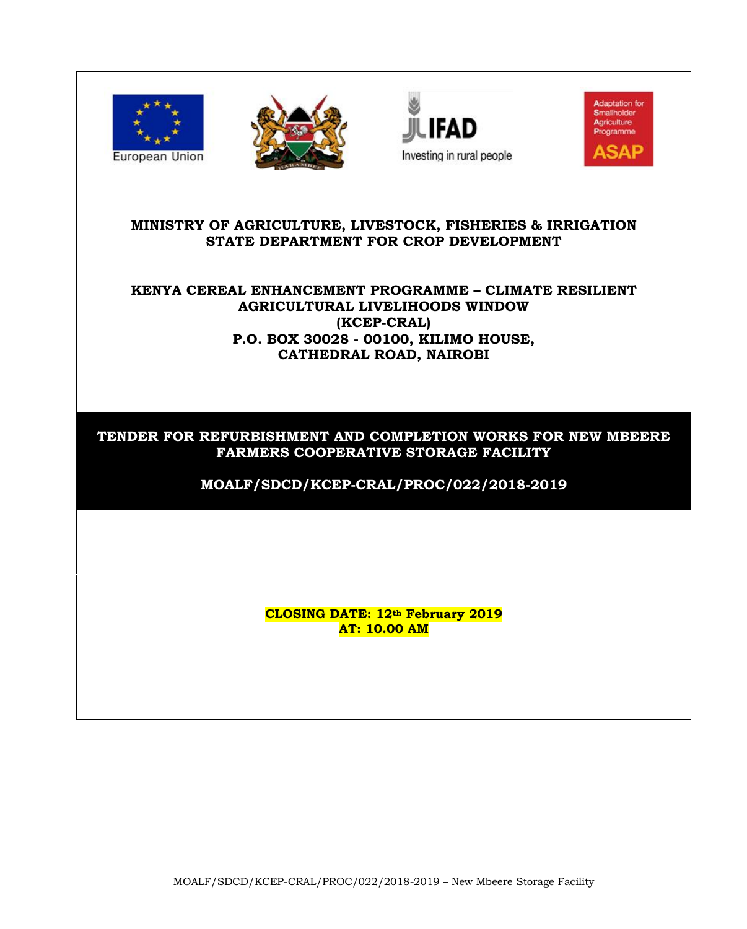







#### **MINISTRY OF AGRICULTURE, LIVESTOCK, FISHERIES & IRRIGATION STATE DEPARTMENT FOR CROP DEVELOPMENT**

# **KENYA CEREAL ENHANCEMENT PROGRAMME – CLIMATE RESILIENT AGRICULTURAL LIVELIHOODS WINDOW (KCEP-CRAL) P.O. BOX 30028 - 00100, KILIMO HOUSE, CATHEDRAL ROAD, NAIROBI**

# **TENDER FOR REFURBISHMENT AND COMPLETION WORKS FOR NEW MBEERE FARMERS COOPERATIVE STORAGE FACILITY**

**MOALF/SDCD/KCEP-CRAL/PROC/022/2018-2019**

**CLOSING DATE: 12th February 2019 AT: 10.00 AM**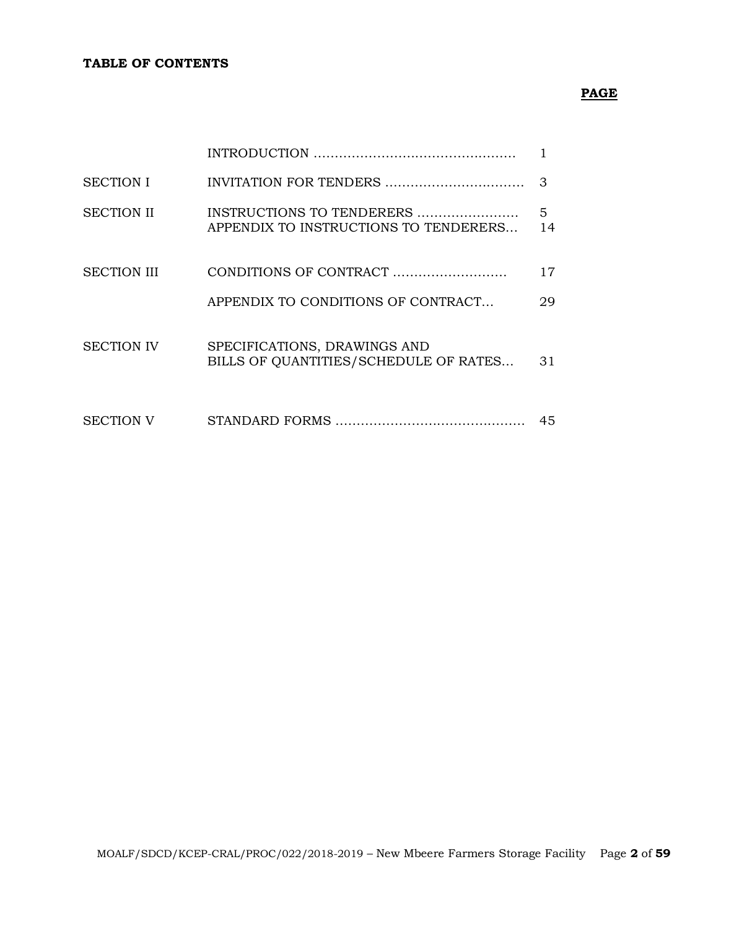# **PAGE**

| <b>SECTION I</b>   |                                                                       | З       |
|--------------------|-----------------------------------------------------------------------|---------|
| <b>SECTION II</b>  | INSTRUCTIONS TO TENDERERS<br>APPENDIX TO INSTRUCTIONS TO TENDERERS    | 5<br>14 |
| <b>SECTION III</b> |                                                                       | 17      |
|                    | APPENDIX TO CONDITIONS OF CONTRACT                                    | 29      |
| <b>SECTION IV</b>  | SPECIFICATIONS, DRAWINGS AND<br>BILLS OF QUANTITIES/SCHEDULE OF RATES | 31      |
| <b>SECTION V</b>   |                                                                       | 45      |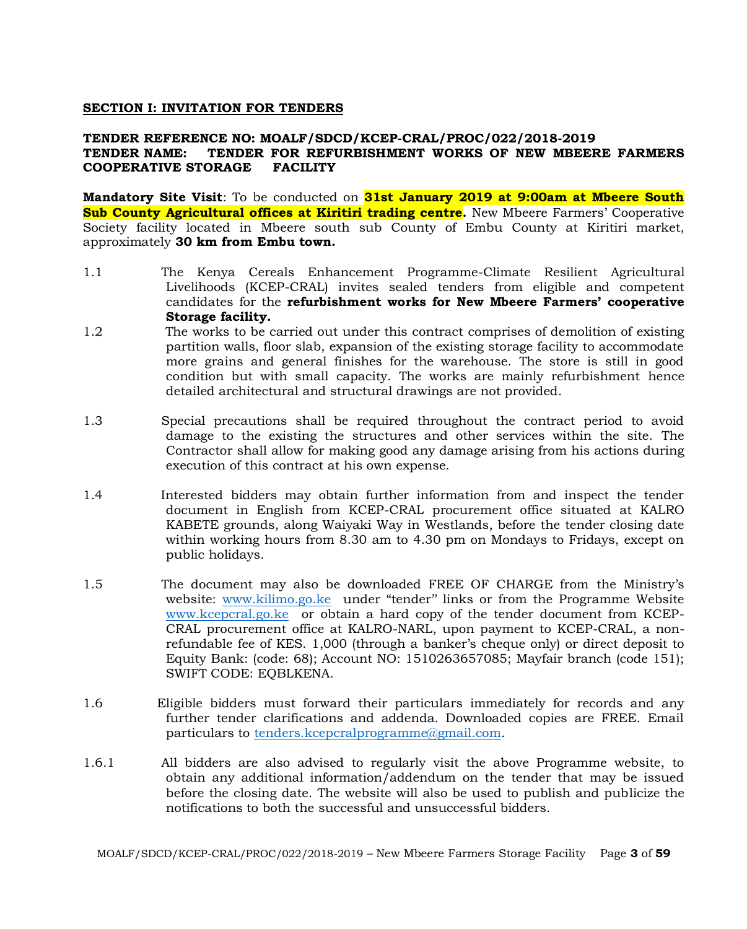#### **SECTION I: INVITATION FOR TENDERS**

#### **TENDER REFERENCE NO: MOALF/SDCD/KCEP-CRAL/PROC/022/2018-2019 TENDER NAME: TENDER FOR REFURBISHMENT WORKS OF NEW MBEERE FARMERS COOPERATIVE STORAGE FACILITY**

**Mandatory Site Visit**: To be conducted on **31st January 2019 at 9:00am at Mbeere South Sub County Agricultural offices at Kiritiri trading centre.** New Mbeere Farmers' Cooperative Society facility located in Mbeere south sub County of Embu County at Kiritiri market, approximately **30 km from Embu town.**

- 1.1 The Kenya Cereals Enhancement Programme-Climate Resilient Agricultural Livelihoods (KCEP-CRAL) invites sealed tenders from eligible and competent candidates for the **refurbishment works for New Mbeere Farmers' cooperative Storage facility.**
- 1.2 The works to be carried out under this contract comprises of demolition of existing partition walls, floor slab, expansion of the existing storage facility to accommodate more grains and general finishes for the warehouse. The store is still in good condition but with small capacity. The works are mainly refurbishment hence detailed architectural and structural drawings are not provided.
- 1.3 Special precautions shall be required throughout the contract period to avoid damage to the existing the structures and other services within the site. The Contractor shall allow for making good any damage arising from his actions during execution of this contract at his own expense.
- 1.4 Interested bidders may obtain further information from and inspect the tender document in English from KCEP-CRAL procurement office situated at KALRO KABETE grounds, along Waiyaki Way in Westlands, before the tender closing date within working hours from 8.30 am to 4.30 pm on Mondays to Fridays, except on public holidays.
- 1.5 The document may also be downloaded FREE OF CHARGE from the Ministry's website: [www.kilimo.go.ke](http://www.kilimo.go.ke/) under "tender'' links or from the Programme Website [www.kcepcral.go.ke](http://www.kcepcral.go.ke/) or obtain a hard copy of the tender document from KCEP-CRAL procurement office at KALRO-NARL, upon payment to KCEP-CRAL, a nonrefundable fee of KES. 1,000 (through a banker's cheque only) or direct deposit to Equity Bank: (code: 68); Account NO: 1510263657085; Mayfair branch (code 151); SWIFT CODE: EQBLKENA.
- 1.6 Eligible bidders must forward their particulars immediately for records and any further tender clarifications and addenda. Downloaded copies are FREE. Email particulars to [tenders.kcepcralprogramme@gmail.com.](mailto:tenders.kcepcralprogramme@gmail.com)
- 1.6.1 All bidders are also advised to regularly visit the above Programme website, to obtain any additional information/addendum on the tender that may be issued before the closing date. The website will also be used to publish and publicize the notifications to both the successful and unsuccessful bidders.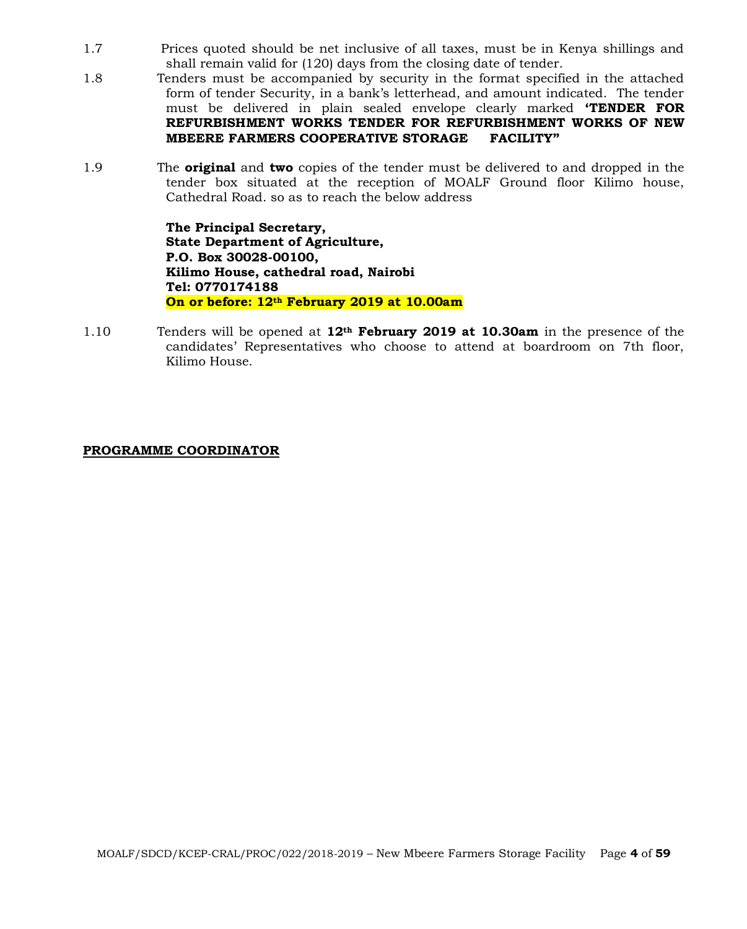- 1.7 Prices quoted should be net inclusive of all taxes, must be in Kenya shillings and shall remain valid for (120) days from the closing date of tender.
- 1.8 Tenders must be accompanied by security in the format specified in the attached form of tender Security, in a bank's letterhead, and amount indicated. The tender must be delivered in plain sealed envelope clearly marked **'TENDER FOR REFURBISHMENT WORKS TENDER FOR REFURBISHMENT WORKS OF NEW MBEERE FARMERS COOPERATIVE STORAGE FACILITY"**
- 1.9 The **original** and **two** copies of the tender must be delivered to and dropped in the tender box situated at the reception of MOALF Ground floor Kilimo house, Cathedral Road. so as to reach the below address

**The Principal Secretary, State Department of Agriculture, P.O. Box 30028-00100, Kilimo House, cathedral road, Nairobi Tel: 0770174188 On or before: 12th February 2019 at 10.00am**

1.10 Tenders will be opened at **12th February 2019 at 10.30am** in the presence of the candidates' Representatives who choose to attend at boardroom on 7th floor, Kilimo House.

#### **PROGRAMME COORDINATOR**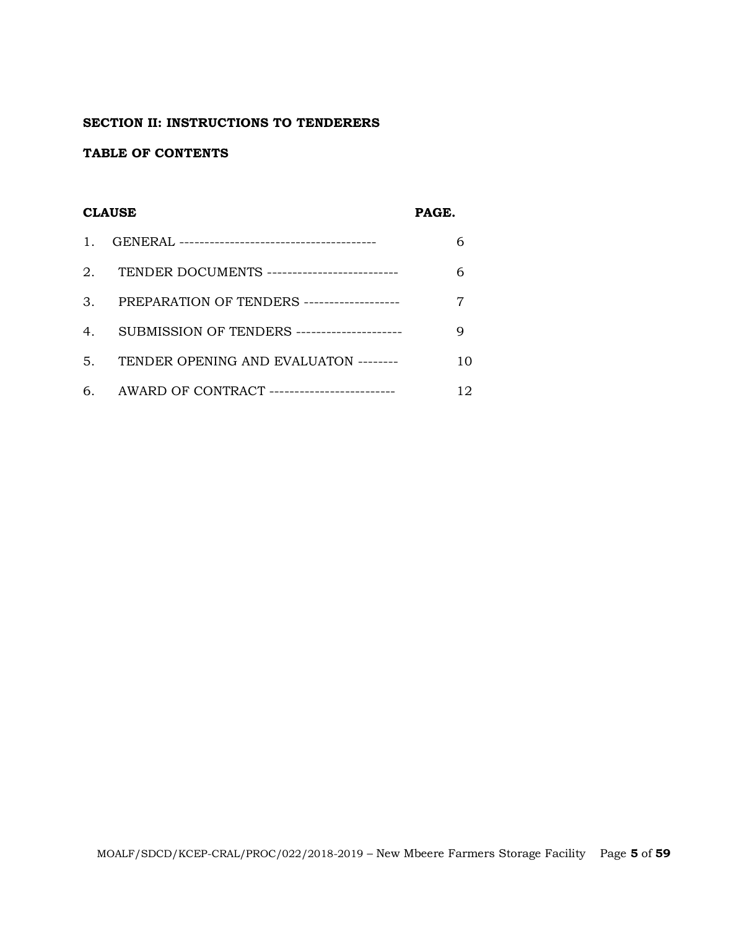## **SECTION II: INSTRUCTIONS TO TENDERERS**

#### **TABLE OF CONTENTS**

#### **CLAUSE PAGE.**

| $\mathbf{1}$ . |                                                 |    |
|----------------|-------------------------------------------------|----|
|                | 2. TENDER DOCUMENTS --------------------------- |    |
| 3.             | PREPARATION OF TENDERS -------------------      |    |
| 4 <sup>1</sup> | SUBMISSION OF TENDERS ---------------------     |    |
| 5.             | TENDER OPENING AND EVALUATON --------           | 10 |
|                | 6. AWARD OF CONTRACT -------------------------- | 12 |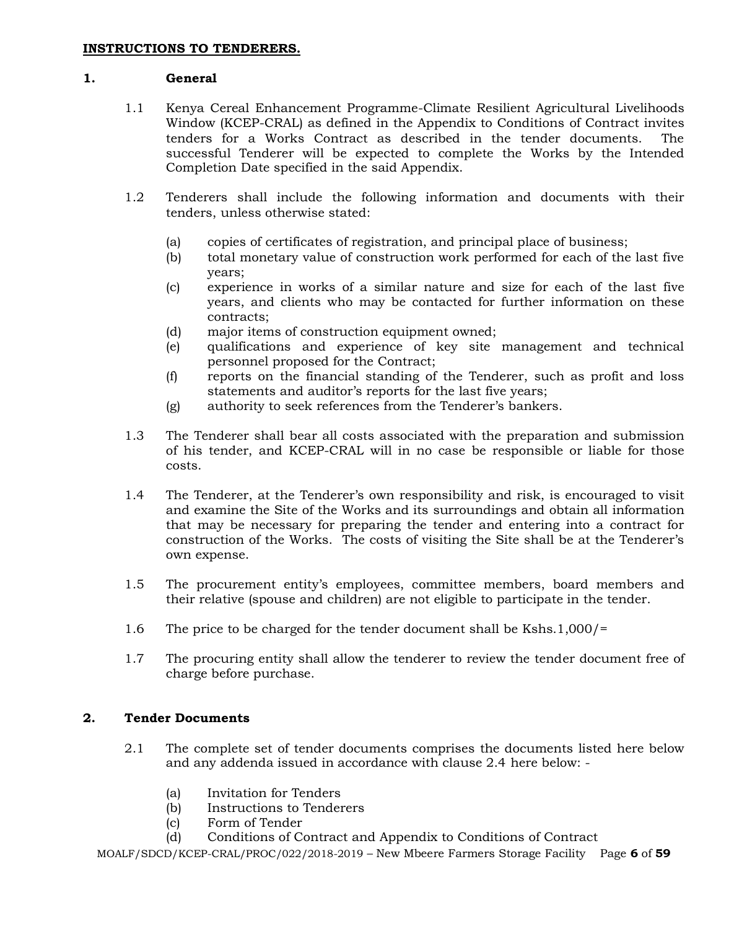#### **1. General**

- 1.1 Kenya Cereal Enhancement Programme-Climate Resilient Agricultural Livelihoods Window (KCEP-CRAL) as defined in the Appendix to Conditions of Contract invites tenders for a Works Contract as described in the tender documents. The successful Tenderer will be expected to complete the Works by the Intended Completion Date specified in the said Appendix.
- 1.2 Tenderers shall include the following information and documents with their tenders, unless otherwise stated:
	- (a) copies of certificates of registration, and principal place of business;
	- (b) total monetary value of construction work performed for each of the last five years;
	- (c) experience in works of a similar nature and size for each of the last five years, and clients who may be contacted for further information on these contracts;
	- (d) major items of construction equipment owned;
	- (e) qualifications and experience of key site management and technical personnel proposed for the Contract;
	- (f) reports on the financial standing of the Tenderer, such as profit and loss statements and auditor's reports for the last five years;
	- (g) authority to seek references from the Tenderer's bankers.
- 1.3 The Tenderer shall bear all costs associated with the preparation and submission of his tender, and KCEP-CRAL will in no case be responsible or liable for those costs.
- 1.4 The Tenderer, at the Tenderer's own responsibility and risk, is encouraged to visit and examine the Site of the Works and its surroundings and obtain all information that may be necessary for preparing the tender and entering into a contract for construction of the Works. The costs of visiting the Site shall be at the Tenderer's own expense.
- 1.5 The procurement entity's employees, committee members, board members and their relative (spouse and children) are not eligible to participate in the tender.
- 1.6 The price to be charged for the tender document shall be Kshs.1,000/=
- 1.7 The procuring entity shall allow the tenderer to review the tender document free of charge before purchase.

## **2. Tender Documents**

- 2.1 The complete set of tender documents comprises the documents listed here below and any addenda issued in accordance with clause 2.4 here below: -
	- (a) Invitation for Tenders
	- (b) Instructions to Tenderers
	- (c) Form of Tender
	- (d) Conditions of Contract and Appendix to Conditions of Contract

MOALF/SDCD/KCEP-CRAL/PROC/022/2018-2019 – New Mbeere Farmers Storage Facility Page **6** of **59**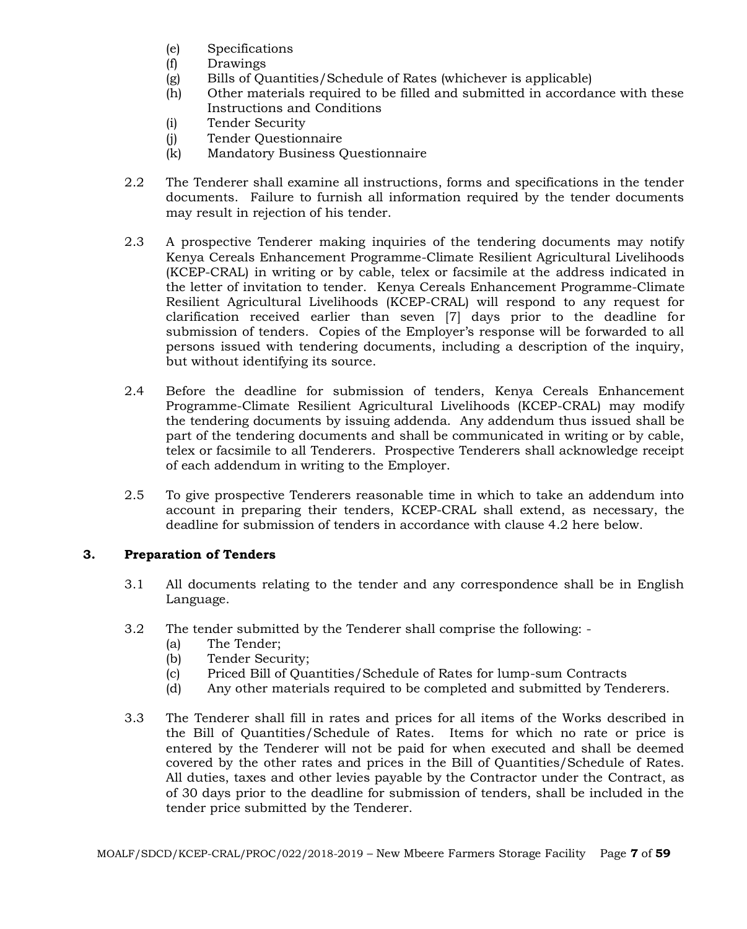- (e) Specifications
- (f) Drawings
- (g) Bills of Quantities/Schedule of Rates (whichever is applicable)
- (h) Other materials required to be filled and submitted in accordance with these Instructions and Conditions
- (i) Tender Security
- (j) Tender Questionnaire
- (k) Mandatory Business Questionnaire
- 2.2 The Tenderer shall examine all instructions, forms and specifications in the tender documents. Failure to furnish all information required by the tender documents may result in rejection of his tender.
- 2.3 A prospective Tenderer making inquiries of the tendering documents may notify Kenya Cereals Enhancement Programme-Climate Resilient Agricultural Livelihoods (KCEP-CRAL) in writing or by cable, telex or facsimile at the address indicated in the letter of invitation to tender. Kenya Cereals Enhancement Programme-Climate Resilient Agricultural Livelihoods (KCEP-CRAL) will respond to any request for clarification received earlier than seven [7] days prior to the deadline for submission of tenders. Copies of the Employer's response will be forwarded to all persons issued with tendering documents, including a description of the inquiry, but without identifying its source.
- 2.4 Before the deadline for submission of tenders, Kenya Cereals Enhancement Programme-Climate Resilient Agricultural Livelihoods (KCEP-CRAL) may modify the tendering documents by issuing addenda. Any addendum thus issued shall be part of the tendering documents and shall be communicated in writing or by cable, telex or facsimile to all Tenderers. Prospective Tenderers shall acknowledge receipt of each addendum in writing to the Employer.
- 2.5 To give prospective Tenderers reasonable time in which to take an addendum into account in preparing their tenders, KCEP-CRAL shall extend, as necessary, the deadline for submission of tenders in accordance with clause 4.2 here below.

# **3. Preparation of Tenders**

- 3.1 All documents relating to the tender and any correspondence shall be in English Language.
- 3.2 The tender submitted by the Tenderer shall comprise the following:
	- (a) The Tender;
	- (b) Tender Security;
	- (c) Priced Bill of Quantities/Schedule of Rates for lump-sum Contracts
	- (d) Any other materials required to be completed and submitted by Tenderers.
- 3.3 The Tenderer shall fill in rates and prices for all items of the Works described in the Bill of Quantities/Schedule of Rates. Items for which no rate or price is entered by the Tenderer will not be paid for when executed and shall be deemed covered by the other rates and prices in the Bill of Quantities/Schedule of Rates. All duties, taxes and other levies payable by the Contractor under the Contract, as of 30 days prior to the deadline for submission of tenders, shall be included in the tender price submitted by the Tenderer.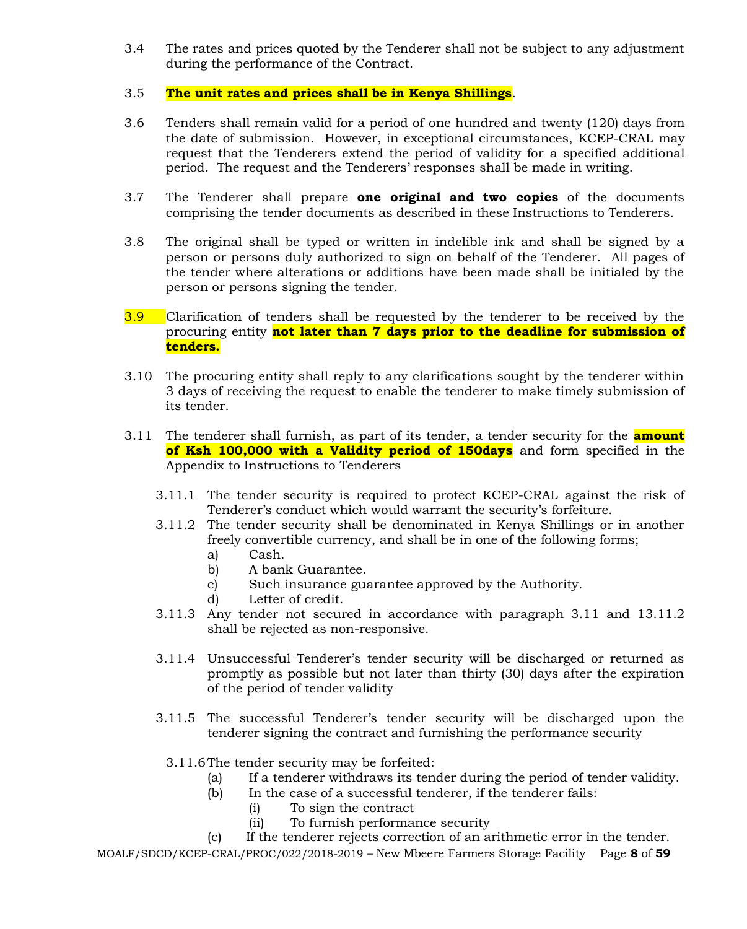- 3.4 The rates and prices quoted by the Tenderer shall not be subject to any adjustment during the performance of the Contract.
- 3.5 **The unit rates and prices shall be in Kenya Shillings**.
- 3.6 Tenders shall remain valid for a period of one hundred and twenty (120) days from the date of submission. However, in exceptional circumstances, KCEP-CRAL may request that the Tenderers extend the period of validity for a specified additional period. The request and the Tenderers' responses shall be made in writing.
- 3.7 The Tenderer shall prepare **one original and two copies** of the documents comprising the tender documents as described in these Instructions to Tenderers.
- 3.8 The original shall be typed or written in indelible ink and shall be signed by a person or persons duly authorized to sign on behalf of the Tenderer. All pages of the tender where alterations or additions have been made shall be initialed by the person or persons signing the tender.
- 3.9 Clarification of tenders shall be requested by the tenderer to be received by the procuring entity **not later than 7 days prior to the deadline for submission of tenders.**
- 3.10 The procuring entity shall reply to any clarifications sought by the tenderer within 3 days of receiving the request to enable the tenderer to make timely submission of its tender.
- 3.11 The tenderer shall furnish, as part of its tender, a tender security for the **amount of Ksh 100,000 with a Validity period of 150days** and form specified in the Appendix to Instructions to Tenderers
	- 3.11.1 The tender security is required to protect KCEP-CRAL against the risk of Tenderer's conduct which would warrant the security's forfeiture.
	- 3.11.2 The tender security shall be denominated in Kenya Shillings or in another freely convertible currency, and shall be in one of the following forms;
		- a) Cash.
		- b) A bank Guarantee.
		- c) Such insurance guarantee approved by the Authority.
		- d) Letter of credit.
	- 3.11.3 Any tender not secured in accordance with paragraph 3.11 and 13.11.2 shall be rejected as non-responsive.
	- 3.11.4 Unsuccessful Tenderer's tender security will be discharged or returned as promptly as possible but not later than thirty (30) days after the expiration of the period of tender validity
	- 3.11.5 The successful Tenderer's tender security will be discharged upon the tenderer signing the contract and furnishing the performance security
		- 3.11.6The tender security may be forfeited:
			- (a) If a tenderer withdraws its tender during the period of tender validity.
			- (b) In the case of a successful tenderer, if the tenderer fails:
				- (i) To sign the contract
					- (ii) To furnish performance security

(c) If the tenderer rejects correction of an arithmetic error in the tender.

MOALF/SDCD/KCEP-CRAL/PROC/022/2018-2019 – New Mbeere Farmers Storage Facility Page **8** of **59**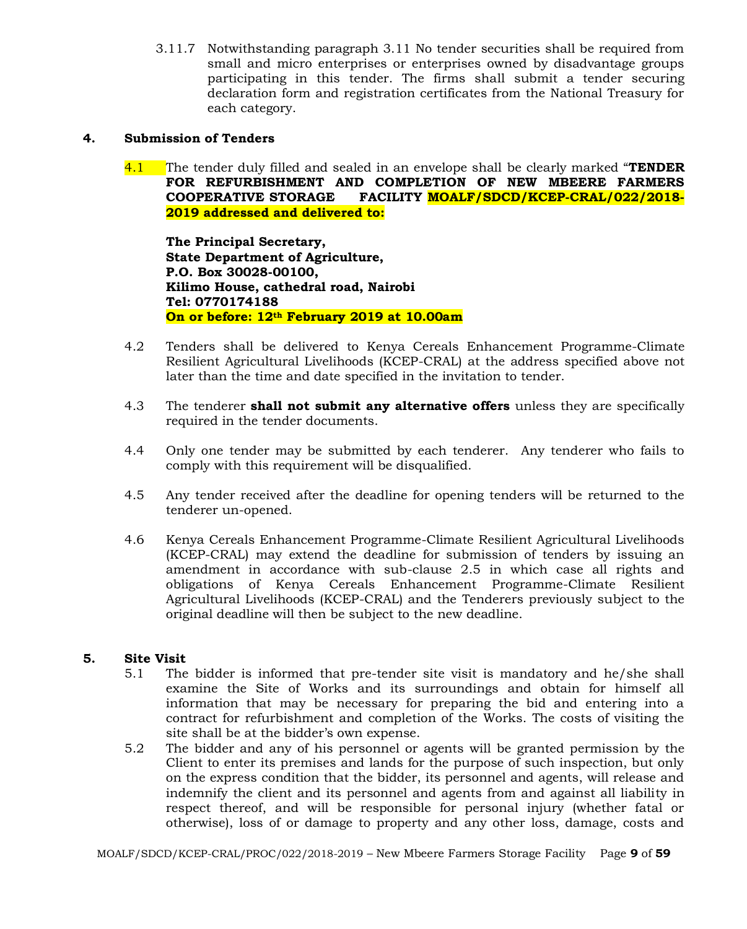3.11.7 Notwithstanding paragraph 3.11 No tender securities shall be required from small and micro enterprises or enterprises owned by disadvantage groups participating in this tender. The firms shall submit a tender securing declaration form and registration certificates from the National Treasury for each category.

#### **4. Submission of Tenders**

4.1 The tender duly filled and sealed in an envelope shall be clearly marked "**TENDER FOR REFURBISHMENT AND COMPLETION OF NEW MBEERE FARMERS COOPERATIVE STORAGE FACILITY MOALF/SDCD/KCEP-CRAL/022/2018- 2019 addressed and delivered to:**

**The Principal Secretary, State Department of Agriculture, P.O. Box 30028-00100, Kilimo House, cathedral road, Nairobi Tel: 0770174188 On or before: 12th February 2019 at 10.00am**

- 4.2 Tenders shall be delivered to Kenya Cereals Enhancement Programme-Climate Resilient Agricultural Livelihoods (KCEP-CRAL) at the address specified above not later than the time and date specified in the invitation to tender.
- 4.3 The tenderer **shall not submit any alternative offers** unless they are specifically required in the tender documents.
- 4.4 Only one tender may be submitted by each tenderer. Any tenderer who fails to comply with this requirement will be disqualified.
- 4.5 Any tender received after the deadline for opening tenders will be returned to the tenderer un-opened.
- 4.6 Kenya Cereals Enhancement Programme-Climate Resilient Agricultural Livelihoods (KCEP-CRAL) may extend the deadline for submission of tenders by issuing an amendment in accordance with sub-clause 2.5 in which case all rights and obligations of Kenya Cereals Enhancement Programme-Climate Resilient Agricultural Livelihoods (KCEP-CRAL) and the Tenderers previously subject to the original deadline will then be subject to the new deadline.

#### **5. Site Visit**

- 5.1 The bidder is informed that pre-tender site visit is mandatory and he/she shall examine the Site of Works and its surroundings and obtain for himself all information that may be necessary for preparing the bid and entering into a contract for refurbishment and completion of the Works. The costs of visiting the site shall be at the bidder's own expense.
- 5.2 The bidder and any of his personnel or agents will be granted permission by the Client to enter its premises and lands for the purpose of such inspection, but only on the express condition that the bidder, its personnel and agents, will release and indemnify the client and its personnel and agents from and against all liability in respect thereof, and will be responsible for personal injury (whether fatal or otherwise), loss of or damage to property and any other loss, damage, costs and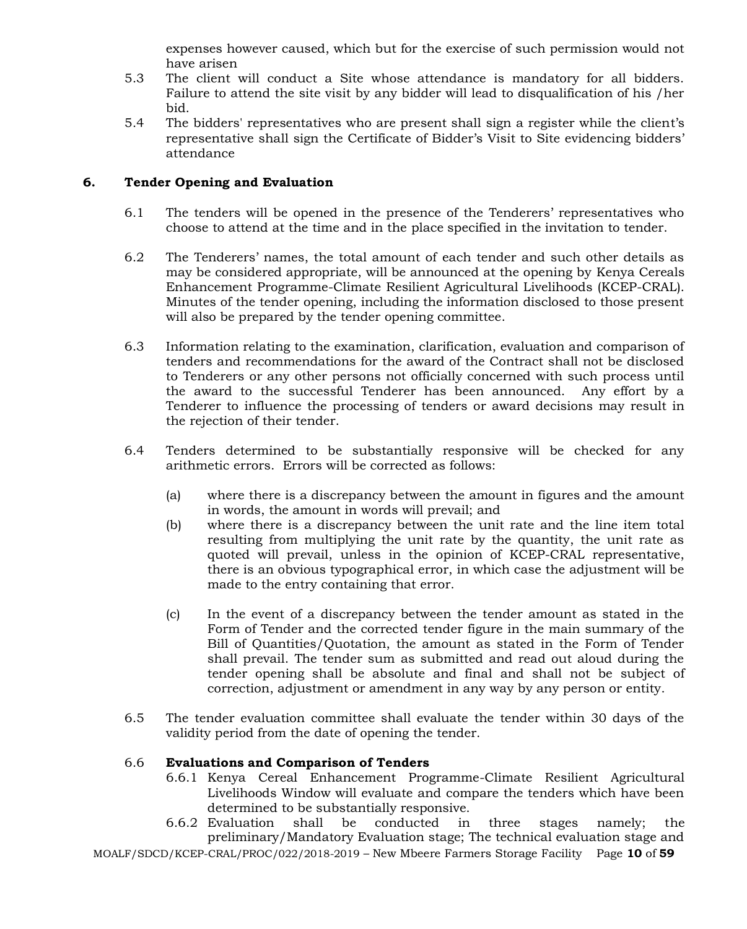expenses however caused, which but for the exercise of such permission would not have arisen

- 5.3 The client will conduct a Site whose attendance is mandatory for all bidders. Failure to attend the site visit by any bidder will lead to disqualification of his /her bid.
- 5.4 The bidders' representatives who are present shall sign a register while the client's representative shall sign the Certificate of Bidder's Visit to Site evidencing bidders' attendance

#### **6. Tender Opening and Evaluation**

- 6.1 The tenders will be opened in the presence of the Tenderers' representatives who choose to attend at the time and in the place specified in the invitation to tender.
- 6.2 The Tenderers' names, the total amount of each tender and such other details as may be considered appropriate, will be announced at the opening by Kenya Cereals Enhancement Programme-Climate Resilient Agricultural Livelihoods (KCEP-CRAL). Minutes of the tender opening, including the information disclosed to those present will also be prepared by the tender opening committee.
- 6.3 Information relating to the examination, clarification, evaluation and comparison of tenders and recommendations for the award of the Contract shall not be disclosed to Tenderers or any other persons not officially concerned with such process until the award to the successful Tenderer has been announced. Any effort by a Tenderer to influence the processing of tenders or award decisions may result in the rejection of their tender.
- 6.4 Tenders determined to be substantially responsive will be checked for any arithmetic errors. Errors will be corrected as follows:
	- (a) where there is a discrepancy between the amount in figures and the amount in words, the amount in words will prevail; and
	- (b) where there is a discrepancy between the unit rate and the line item total resulting from multiplying the unit rate by the quantity, the unit rate as quoted will prevail, unless in the opinion of KCEP-CRAL representative, there is an obvious typographical error, in which case the adjustment will be made to the entry containing that error.
	- (c) In the event of a discrepancy between the tender amount as stated in the Form of Tender and the corrected tender figure in the main summary of the Bill of Quantities/Quotation, the amount as stated in the Form of Tender shall prevail. The tender sum as submitted and read out aloud during the tender opening shall be absolute and final and shall not be subject of correction, adjustment or amendment in any way by any person or entity.
- 6.5 The tender evaluation committee shall evaluate the tender within 30 days of the validity period from the date of opening the tender.

#### 6.6 **Evaluations and Comparison of Tenders**

- 6.6.1 Kenya Cereal Enhancement Programme-Climate Resilient Agricultural Livelihoods Window will evaluate and compare the tenders which have been determined to be substantially responsive.
- 6.6.2 Evaluation shall be conducted in three stages namely; the preliminary/Mandatory Evaluation stage; The technical evaluation stage and

MOALF/SDCD/KCEP-CRAL/PROC/022/2018-2019 – New Mbeere Farmers Storage Facility Page **10** of **59**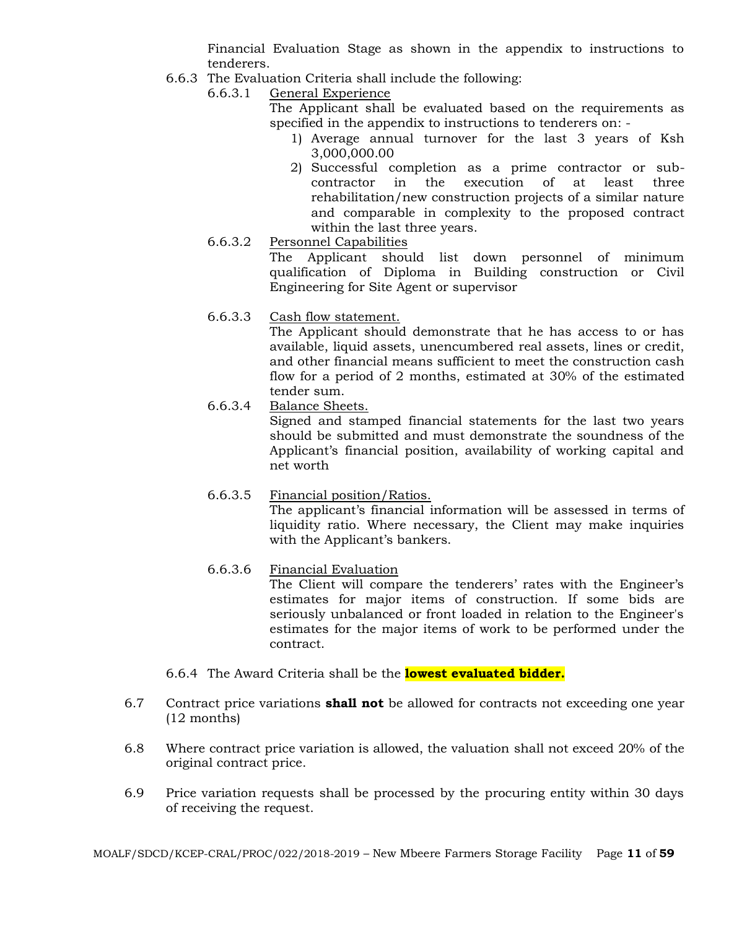Financial Evaluation Stage as shown in the appendix to instructions to tenderers.

- 6.6.3 The Evaluation Criteria shall include the following:
	- 6.6.3.1 General Experience
		- The Applicant shall be evaluated based on the requirements as specified in the appendix to instructions to tenderers on: -
			- 1) Average annual turnover for the last 3 years of Ksh 3,000,000.00
			- 2) Successful completion as a prime contractor or subcontractor in the execution of at least three rehabilitation/new construction projects of a similar nature and comparable in complexity to the proposed contract within the last three years.
	- 6.6.3.2 Personnel Capabilities The Applicant should list down personnel of minimum qualification of Diploma in Building construction or Civil Engineering for Site Agent or supervisor
	- 6.6.3.3 Cash flow statement.

The Applicant should demonstrate that he has access to or has available, liquid assets, unencumbered real assets, lines or credit, and other financial means sufficient to meet the construction cash flow for a period of 2 months, estimated at 30% of the estimated tender sum.

6.6.3.4 Balance Sheets.

Signed and stamped financial statements for the last two years should be submitted and must demonstrate the soundness of the Applicant's financial position, availability of working capital and net worth

6.6.3.5 Financial position/Ratios. The applicant's financial information will be assessed in terms of liquidity ratio. Where necessary, the Client may make inquiries with the Applicant's bankers.

## 6.6.3.6 Financial Evaluation

The Client will compare the tenderers' rates with the Engineer's estimates for major items of construction. If some bids are seriously unbalanced or front loaded in relation to the Engineer's estimates for the major items of work to be performed under the contract.

- 6.6.4 The Award Criteria shall be the **lowest evaluated bidder.**
- 6.7 Contract price variations **shall not** be allowed for contracts not exceeding one year (12 months)
- 6.8 Where contract price variation is allowed, the valuation shall not exceed 20% of the original contract price.
- 6.9 Price variation requests shall be processed by the procuring entity within 30 days of receiving the request.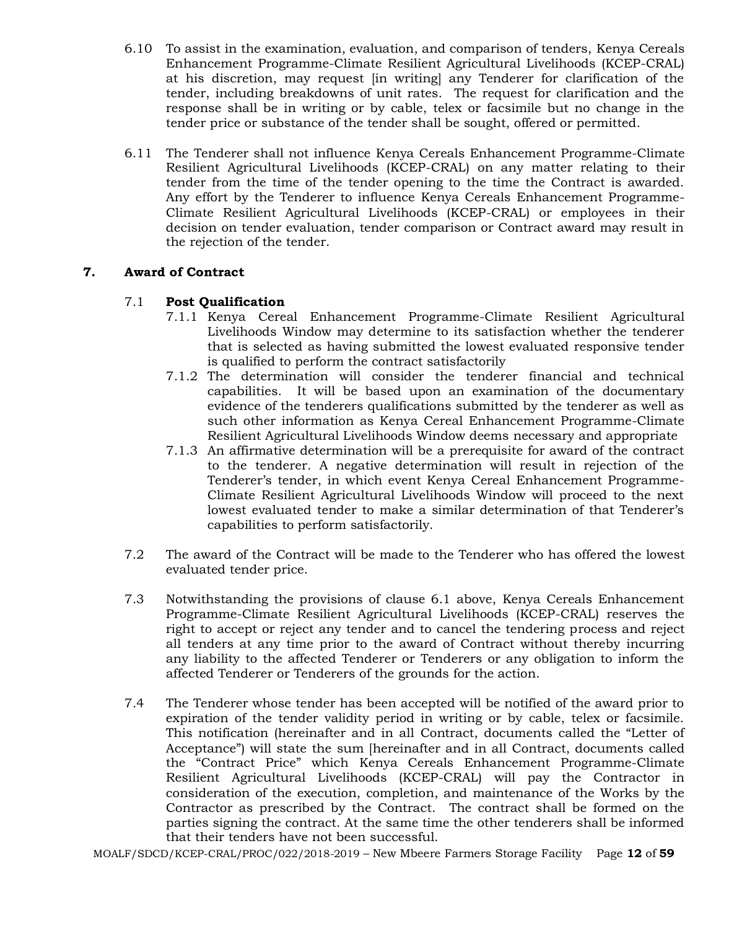- 6.10 To assist in the examination, evaluation, and comparison of tenders, Kenya Cereals Enhancement Programme-Climate Resilient Agricultural Livelihoods (KCEP-CRAL) at his discretion, may request [in writing] any Tenderer for clarification of the tender, including breakdowns of unit rates. The request for clarification and the response shall be in writing or by cable, telex or facsimile but no change in the tender price or substance of the tender shall be sought, offered or permitted.
- 6.11 The Tenderer shall not influence Kenya Cereals Enhancement Programme-Climate Resilient Agricultural Livelihoods (KCEP-CRAL) on any matter relating to their tender from the time of the tender opening to the time the Contract is awarded. Any effort by the Tenderer to influence Kenya Cereals Enhancement Programme-Climate Resilient Agricultural Livelihoods (KCEP-CRAL) or employees in their decision on tender evaluation, tender comparison or Contract award may result in the rejection of the tender.

# **7. Award of Contract**

# 7.1 **Post Qualification**

- 7.1.1 Kenya Cereal Enhancement Programme-Climate Resilient Agricultural Livelihoods Window may determine to its satisfaction whether the tenderer that is selected as having submitted the lowest evaluated responsive tender is qualified to perform the contract satisfactorily
- 7.1.2 The determination will consider the tenderer financial and technical capabilities. It will be based upon an examination of the documentary evidence of the tenderers qualifications submitted by the tenderer as well as such other information as Kenya Cereal Enhancement Programme-Climate Resilient Agricultural Livelihoods Window deems necessary and appropriate
- 7.1.3 An affirmative determination will be a prerequisite for award of the contract to the tenderer. A negative determination will result in rejection of the Tenderer's tender, in which event Kenya Cereal Enhancement Programme-Climate Resilient Agricultural Livelihoods Window will proceed to the next lowest evaluated tender to make a similar determination of that Tenderer's capabilities to perform satisfactorily.
- 7.2 The award of the Contract will be made to the Tenderer who has offered the lowest evaluated tender price.
- 7.3 Notwithstanding the provisions of clause 6.1 above, Kenya Cereals Enhancement Programme-Climate Resilient Agricultural Livelihoods (KCEP-CRAL) reserves the right to accept or reject any tender and to cancel the tendering process and reject all tenders at any time prior to the award of Contract without thereby incurring any liability to the affected Tenderer or Tenderers or any obligation to inform the affected Tenderer or Tenderers of the grounds for the action.
- 7.4 The Tenderer whose tender has been accepted will be notified of the award prior to expiration of the tender validity period in writing or by cable, telex or facsimile. This notification (hereinafter and in all Contract, documents called the "Letter of Acceptance") will state the sum [hereinafter and in all Contract, documents called the "Contract Price" which Kenya Cereals Enhancement Programme-Climate Resilient Agricultural Livelihoods (KCEP-CRAL) will pay the Contractor in consideration of the execution, completion, and maintenance of the Works by the Contractor as prescribed by the Contract. The contract shall be formed on the parties signing the contract. At the same time the other tenderers shall be informed that their tenders have not been successful.

MOALF/SDCD/KCEP-CRAL/PROC/022/2018-2019 – New Mbeere Farmers Storage Facility Page **12** of **59**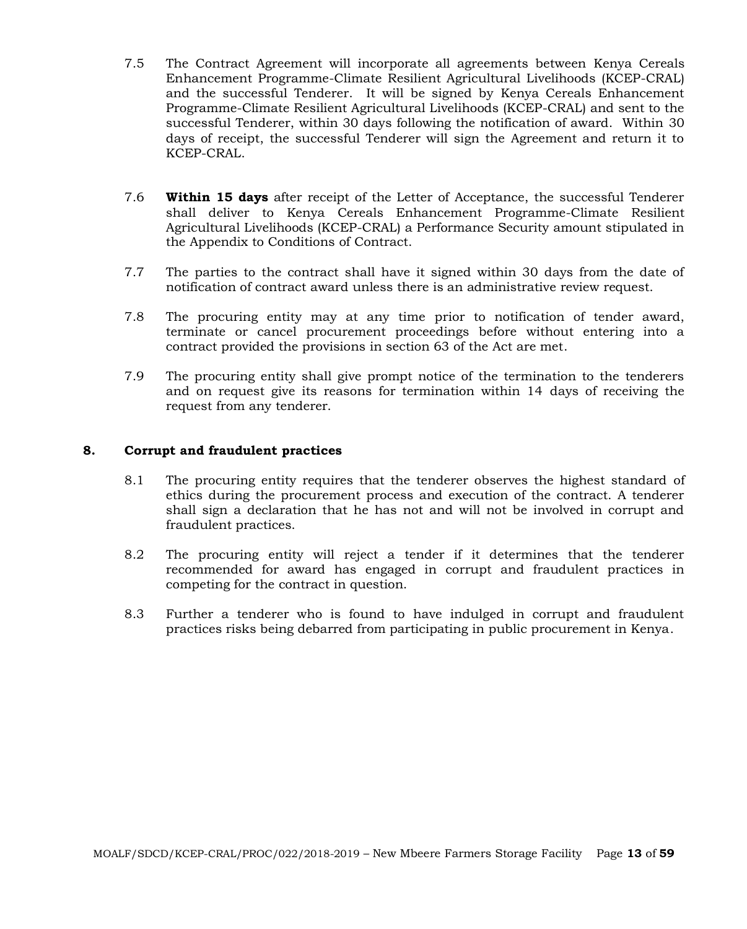- 7.5 The Contract Agreement will incorporate all agreements between Kenya Cereals Enhancement Programme-Climate Resilient Agricultural Livelihoods (KCEP-CRAL) and the successful Tenderer. It will be signed by Kenya Cereals Enhancement Programme-Climate Resilient Agricultural Livelihoods (KCEP-CRAL) and sent to the successful Tenderer, within 30 days following the notification of award. Within 30 days of receipt, the successful Tenderer will sign the Agreement and return it to KCEP-CRAL.
- 7.6 **Within 15 days** after receipt of the Letter of Acceptance, the successful Tenderer shall deliver to Kenya Cereals Enhancement Programme-Climate Resilient Agricultural Livelihoods (KCEP-CRAL) a Performance Security amount stipulated in the Appendix to Conditions of Contract.
- 7.7 The parties to the contract shall have it signed within 30 days from the date of notification of contract award unless there is an administrative review request.
- 7.8 The procuring entity may at any time prior to notification of tender award, terminate or cancel procurement proceedings before without entering into a contract provided the provisions in section 63 of the Act are met.
- 7.9 The procuring entity shall give prompt notice of the termination to the tenderers and on request give its reasons for termination within 14 days of receiving the request from any tenderer.

#### **8. Corrupt and fraudulent practices**

- 8.1 The procuring entity requires that the tenderer observes the highest standard of ethics during the procurement process and execution of the contract. A tenderer shall sign a declaration that he has not and will not be involved in corrupt and fraudulent practices.
- 8.2 The procuring entity will reject a tender if it determines that the tenderer recommended for award has engaged in corrupt and fraudulent practices in competing for the contract in question.
- 8.3 Further a tenderer who is found to have indulged in corrupt and fraudulent practices risks being debarred from participating in public procurement in Kenya.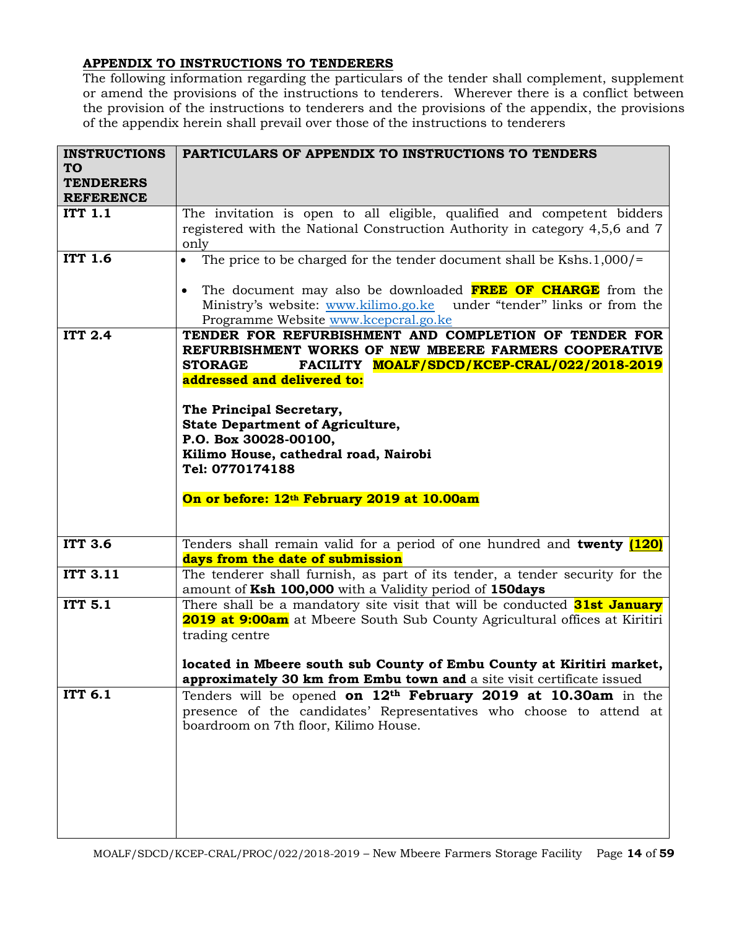# **APPENDIX TO INSTRUCTIONS TO TENDERERS**

The following information regarding the particulars of the tender shall complement, supplement or amend the provisions of the instructions to tenderers. Wherever there is a conflict between the provision of the instructions to tenderers and the provisions of the appendix, the provisions of the appendix herein shall prevail over those of the instructions to tenderers

| <b>INSTRUCTIONS</b>                  | PARTICULARS OF APPENDIX TO INSTRUCTIONS TO TENDERS                                                                                                                                               |
|--------------------------------------|--------------------------------------------------------------------------------------------------------------------------------------------------------------------------------------------------|
| <b>TO</b>                            |                                                                                                                                                                                                  |
| <b>TENDERERS</b><br><b>REFERENCE</b> |                                                                                                                                                                                                  |
| <b>ITT 1.1</b>                       | The invitation is open to all eligible, qualified and competent bidders                                                                                                                          |
|                                      | registered with the National Construction Authority in category 4,5,6 and 7                                                                                                                      |
|                                      | only                                                                                                                                                                                             |
| <b>ITT 1.6</b>                       | The price to be charged for the tender document shall be Kshs.1,000/=<br>$\bullet$                                                                                                               |
|                                      | The document may also be downloaded <b>FREE OF CHARGE</b> from the<br>$\bullet$<br>Ministry's website: www.kilimo.go.ke under "tender" links or from the<br>Programme Website www.kcepcral.go.ke |
| <b>ITT 2.4</b>                       | TENDER FOR REFURBISHMENT AND COMPLETION OF TENDER FOR                                                                                                                                            |
|                                      | REFURBISHMENT WORKS OF NEW MBEERE FARMERS COOPERATIVE                                                                                                                                            |
|                                      | <b>STORAGE</b><br>FACILITY MOALF/SDCD/KCEP-CRAL/022/2018-2019                                                                                                                                    |
|                                      | addressed and delivered to:                                                                                                                                                                      |
|                                      | The Principal Secretary,                                                                                                                                                                         |
|                                      | <b>State Department of Agriculture,</b>                                                                                                                                                          |
|                                      | P.O. Box 30028-00100,                                                                                                                                                                            |
|                                      | Kilimo House, cathedral road, Nairobi                                                                                                                                                            |
|                                      | Tel: 0770174188                                                                                                                                                                                  |
|                                      |                                                                                                                                                                                                  |
|                                      | On or before: 12th February 2019 at 10.00am                                                                                                                                                      |
|                                      |                                                                                                                                                                                                  |
| <b>ITT 3.6</b>                       | Tenders shall remain valid for a period of one hundred and twenty (120)                                                                                                                          |
|                                      | days from the date of submission                                                                                                                                                                 |
| <b>ITT 3.11</b>                      | The tenderer shall furnish, as part of its tender, a tender security for the                                                                                                                     |
|                                      | amount of Ksh 100,000 with a Validity period of 150days                                                                                                                                          |
| <b>ITT 5.1</b>                       | There shall be a mandatory site visit that will be conducted <b>31st January</b>                                                                                                                 |
|                                      | 2019 at 9:00am at Mbeere South Sub County Agricultural offices at Kiritiri<br>trading centre                                                                                                     |
|                                      |                                                                                                                                                                                                  |
|                                      | located in Mbeere south sub County of Embu County at Kiritiri market,                                                                                                                            |
|                                      | approximately 30 km from Embu town and a site visit certificate issued                                                                                                                           |
| <b>ITT 6.1</b>                       | Tenders will be opened on $12th$ February 2019 at 10.30am in the                                                                                                                                 |
|                                      | presence of the candidates' Representatives who choose to attend at                                                                                                                              |
|                                      | boardroom on 7th floor, Kilimo House.                                                                                                                                                            |
|                                      |                                                                                                                                                                                                  |
|                                      |                                                                                                                                                                                                  |
|                                      |                                                                                                                                                                                                  |
|                                      |                                                                                                                                                                                                  |
|                                      |                                                                                                                                                                                                  |
|                                      |                                                                                                                                                                                                  |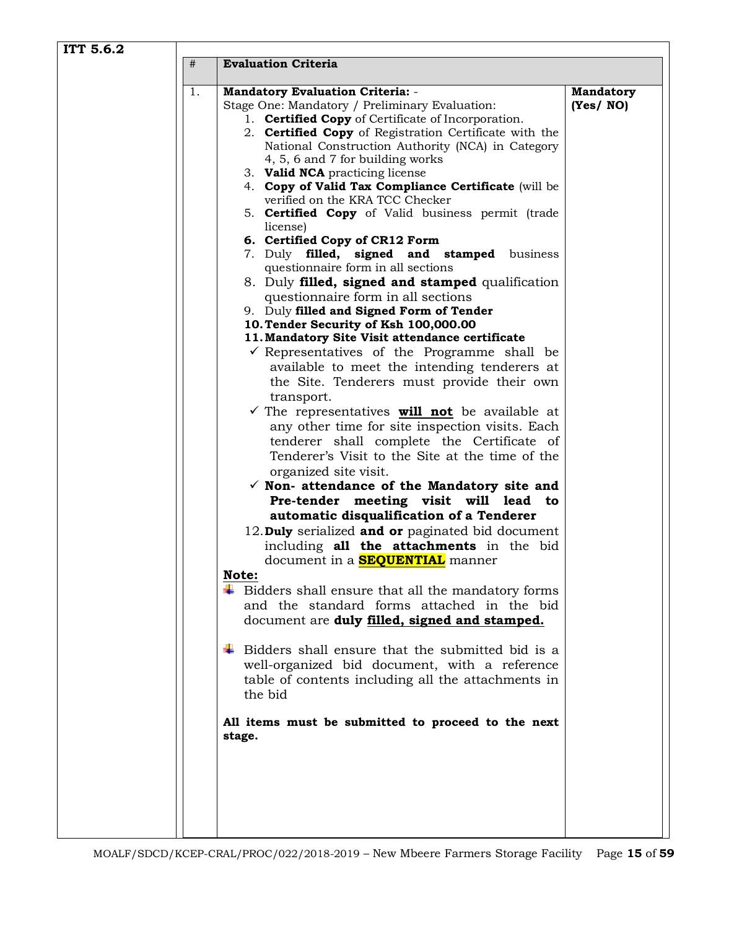| ITT 5.6.2 |                                                                                                                                                                                                                                                                                                                                                                                                                                                                                                                                                                                                                                                                                                                                                                                                                                                                                                                                                                                                                                                                                                                                                                                                                                                                                                                                                                                                                                                                                                                                                                                                                                                                                                                                                                               |                              |  |  |
|-----------|-------------------------------------------------------------------------------------------------------------------------------------------------------------------------------------------------------------------------------------------------------------------------------------------------------------------------------------------------------------------------------------------------------------------------------------------------------------------------------------------------------------------------------------------------------------------------------------------------------------------------------------------------------------------------------------------------------------------------------------------------------------------------------------------------------------------------------------------------------------------------------------------------------------------------------------------------------------------------------------------------------------------------------------------------------------------------------------------------------------------------------------------------------------------------------------------------------------------------------------------------------------------------------------------------------------------------------------------------------------------------------------------------------------------------------------------------------------------------------------------------------------------------------------------------------------------------------------------------------------------------------------------------------------------------------------------------------------------------------------------------------------------------------|------------------------------|--|--|
|           | <b>Evaluation Criteria</b><br>#                                                                                                                                                                                                                                                                                                                                                                                                                                                                                                                                                                                                                                                                                                                                                                                                                                                                                                                                                                                                                                                                                                                                                                                                                                                                                                                                                                                                                                                                                                                                                                                                                                                                                                                                               |                              |  |  |
|           | 1.                                                                                                                                                                                                                                                                                                                                                                                                                                                                                                                                                                                                                                                                                                                                                                                                                                                                                                                                                                                                                                                                                                                                                                                                                                                                                                                                                                                                                                                                                                                                                                                                                                                                                                                                                                            |                              |  |  |
|           | <b>Mandatory Evaluation Criteria: -</b><br>Stage One: Mandatory / Preliminary Evaluation:<br>1. <b>Certified Copy</b> of Certificate of Incorporation.<br>2. Certified Copy of Registration Certificate with the<br>National Construction Authority (NCA) in Category<br>4, 5, 6 and 7 for building works<br>3. Valid NCA practicing license<br>4. Copy of Valid Tax Compliance Certificate (will be<br>verified on the KRA TCC Checker<br>5. <b>Certified Copy</b> of Valid business permit (trade<br>license)<br>6. Certified Copy of CR12 Form<br>7. Duly filled, signed and stamped business<br>questionnaire form in all sections<br>8. Duly filled, signed and stamped qualification<br>questionnaire form in all sections<br>9. Duly filled and Signed Form of Tender<br>10. Tender Security of Ksh 100,000.00<br>11. Mandatory Site Visit attendance certificate<br>$\checkmark$ Representatives of the Programme shall be<br>available to meet the intending tenderers at<br>the Site. Tenderers must provide their own<br>transport.<br>$\checkmark$ The representatives <b>will not</b> be available at<br>any other time for site inspection visits. Each<br>tenderer shall complete the Certificate of<br>Tenderer's Visit to the Site at the time of the<br>organized site visit.<br>$\checkmark$ Non- attendance of the Mandatory site and<br>Pre-tender meeting visit will lead to<br>automatic disqualification of a Tenderer<br>12. Duly serialized and or paginated bid document<br>including all the attachments in the bid<br>document in a <mark>SEQUENTIAL</mark> manner<br>Note:<br>$\ddot{\bullet}$ Bidders shall ensure that all the mandatory forms<br>and the standard forms attached in the bid<br>document are duly filled, signed and stamped. | <b>Mandatory</b><br>(Yes/NO) |  |  |
|           | $\ddagger$ Bidders shall ensure that the submitted bid is a                                                                                                                                                                                                                                                                                                                                                                                                                                                                                                                                                                                                                                                                                                                                                                                                                                                                                                                                                                                                                                                                                                                                                                                                                                                                                                                                                                                                                                                                                                                                                                                                                                                                                                                   |                              |  |  |
|           | well-organized bid document, with a reference<br>table of contents including all the attachments in<br>the bid                                                                                                                                                                                                                                                                                                                                                                                                                                                                                                                                                                                                                                                                                                                                                                                                                                                                                                                                                                                                                                                                                                                                                                                                                                                                                                                                                                                                                                                                                                                                                                                                                                                                |                              |  |  |
|           | All items must be submitted to proceed to the next<br>stage.                                                                                                                                                                                                                                                                                                                                                                                                                                                                                                                                                                                                                                                                                                                                                                                                                                                                                                                                                                                                                                                                                                                                                                                                                                                                                                                                                                                                                                                                                                                                                                                                                                                                                                                  |                              |  |  |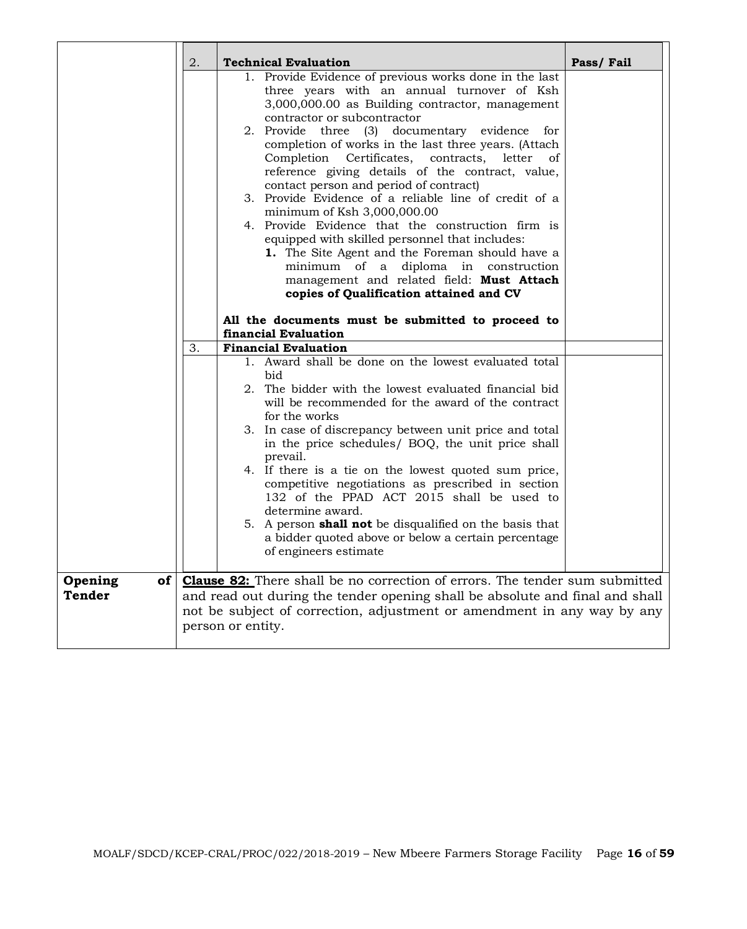|                   | 2. | <b>Technical Evaluation</b>                                                                                                                                                                                                                                                                                                                                                                                                                                                                                                                                                                                                                                                                                                                                                                                                      | Pass/Fail |
|-------------------|----|----------------------------------------------------------------------------------------------------------------------------------------------------------------------------------------------------------------------------------------------------------------------------------------------------------------------------------------------------------------------------------------------------------------------------------------------------------------------------------------------------------------------------------------------------------------------------------------------------------------------------------------------------------------------------------------------------------------------------------------------------------------------------------------------------------------------------------|-----------|
|                   |    | 1. Provide Evidence of previous works done in the last<br>three years with an annual turnover of Ksh<br>3,000,000.00 as Building contractor, management<br>contractor or subcontractor<br>2. Provide three (3) documentary evidence for<br>completion of works in the last three years. (Attach<br>Completion Certificates, contracts, letter of<br>reference giving details of the contract, value,<br>contact person and period of contract)<br>3. Provide Evidence of a reliable line of credit of a<br>minimum of Ksh 3,000,000.00<br>4. Provide Evidence that the construction firm is<br>equipped with skilled personnel that includes:<br>1. The Site Agent and the Foreman should have a<br>minimum of a diploma in construction<br>management and related field: Must Attach<br>copies of Qualification attained and CV |           |
|                   |    | All the documents must be submitted to proceed to<br>financial Evaluation                                                                                                                                                                                                                                                                                                                                                                                                                                                                                                                                                                                                                                                                                                                                                        |           |
|                   | 3. | <b>Financial Evaluation</b>                                                                                                                                                                                                                                                                                                                                                                                                                                                                                                                                                                                                                                                                                                                                                                                                      |           |
|                   |    | 1. Award shall be done on the lowest evaluated total<br>bid<br>2. The bidder with the lowest evaluated financial bid<br>will be recommended for the award of the contract<br>for the works<br>3. In case of discrepancy between unit price and total<br>in the price schedules/ BOQ, the unit price shall<br>prevail.<br>4. If there is a tie on the lowest quoted sum price,<br>competitive negotiations as prescribed in section<br>132 of the PPAD ACT 2015 shall be used to<br>determine award.<br>5. A person <b>shall not</b> be disqualified on the basis that<br>a bidder quoted above or below a certain percentage<br>of engineers estimate                                                                                                                                                                            |           |
| Opening<br>Tender |    | of   <b>Clause 82:</b> There shall be no correction of errors. The tender sum submitted<br>and read out during the tender opening shall be absolute and final and shall<br>not be subject of correction, adjustment or amendment in any way by any<br>person or entity.                                                                                                                                                                                                                                                                                                                                                                                                                                                                                                                                                          |           |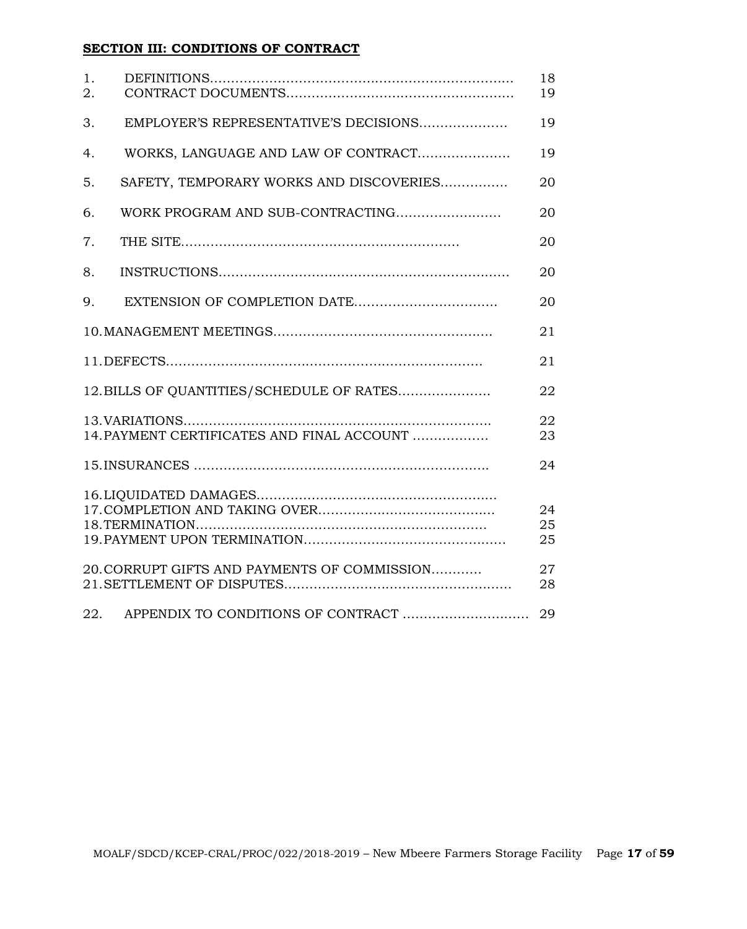# **SECTION III: CONDITIONS OF CONTRACT**

| 1.<br>2. |                                              | 18<br>19       |
|----------|----------------------------------------------|----------------|
| 3.       | EMPLOYER'S REPRESENTATIVE'S DECISIONS        | 19             |
| 4.       | WORKS, LANGUAGE AND LAW OF CONTRACT          | 19             |
| 5.       | SAFETY, TEMPORARY WORKS AND DISCOVERIES      | 20             |
| 6.       |                                              | 20             |
| 7.       |                                              | 20             |
| 8.       |                                              | 20             |
| 9.       |                                              | 20             |
|          |                                              | 21             |
|          |                                              | 21             |
|          | 12. BILLS OF QUANTITIES/SCHEDULE OF RATES    | 22             |
|          | 14. PAYMENT CERTIFICATES AND FINAL ACCOUNT   | 22<br>23       |
|          |                                              | 24             |
|          |                                              | 24<br>25<br>25 |
|          | 20. CORRUPT GIFTS AND PAYMENTS OF COMMISSION | 27<br>28       |
| 22.      | APPENDIX TO CONDITIONS OF CONTRACT           | 29             |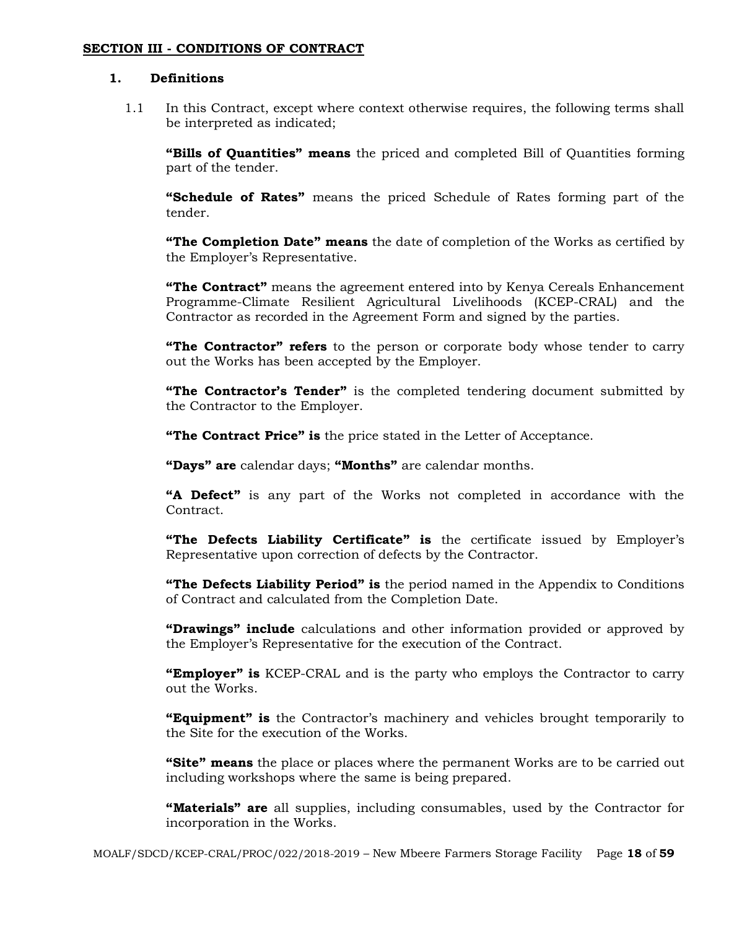#### **SECTION III - CONDITIONS OF CONTRACT**

#### **1. Definitions**

1.1 In this Contract, except where context otherwise requires, the following terms shall be interpreted as indicated;

**"Bills of Quantities" means** the priced and completed Bill of Quantities forming part of the tender.

**"Schedule of Rates"** means the priced Schedule of Rates forming part of the tender.

**"The Completion Date" means** the date of completion of the Works as certified by the Employer's Representative.

**"The Contract"** means the agreement entered into by Kenya Cereals Enhancement Programme-Climate Resilient Agricultural Livelihoods (KCEP-CRAL) and the Contractor as recorded in the Agreement Form and signed by the parties.

**"The Contractor" refers** to the person or corporate body whose tender to carry out the Works has been accepted by the Employer.

**"The Contractor's Tender"** is the completed tendering document submitted by the Contractor to the Employer.

**"The Contract Price" is** the price stated in the Letter of Acceptance.

**"Days" are** calendar days; **"Months"** are calendar months.

**"A Defect"** is any part of the Works not completed in accordance with the Contract.

**"The Defects Liability Certificate" is** the certificate issued by Employer's Representative upon correction of defects by the Contractor.

**"The Defects Liability Period" is** the period named in the Appendix to Conditions of Contract and calculated from the Completion Date.

**"Drawings" include** calculations and other information provided or approved by the Employer's Representative for the execution of the Contract.

**"Employer" is** KCEP-CRAL and is the party who employs the Contractor to carry out the Works.

**"Equipment" is** the Contractor's machinery and vehicles brought temporarily to the Site for the execution of the Works.

**"Site" means** the place or places where the permanent Works are to be carried out including workshops where the same is being prepared.

**"Materials" are** all supplies, including consumables, used by the Contractor for incorporation in the Works.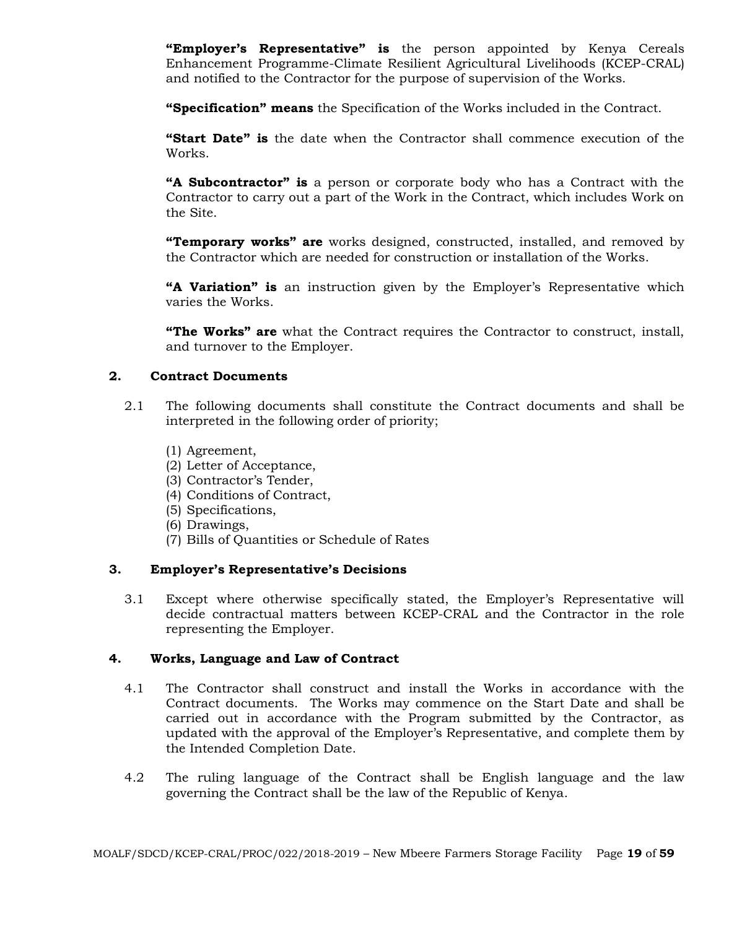**"Employer's Representative" is** the person appointed by Kenya Cereals Enhancement Programme-Climate Resilient Agricultural Livelihoods (KCEP-CRAL) and notified to the Contractor for the purpose of supervision of the Works.

**"Specification" means** the Specification of the Works included in the Contract.

**"Start Date" is** the date when the Contractor shall commence execution of the Works.

**"A Subcontractor" is** a person or corporate body who has a Contract with the Contractor to carry out a part of the Work in the Contract, which includes Work on the Site.

**"Temporary works" are** works designed, constructed, installed, and removed by the Contractor which are needed for construction or installation of the Works.

**"A Variation" is** an instruction given by the Employer's Representative which varies the Works.

**"The Works" are** what the Contract requires the Contractor to construct, install, and turnover to the Employer.

## **2. Contract Documents**

- 2.1 The following documents shall constitute the Contract documents and shall be interpreted in the following order of priority;
	- (1) Agreement,
	- (2) Letter of Acceptance,
	- (3) Contractor's Tender,
	- (4) Conditions of Contract,
	- (5) Specifications,
	- (6) Drawings,
	- (7) Bills of Quantities or Schedule of Rates

## **3. Employer's Representative's Decisions**

3.1 Except where otherwise specifically stated, the Employer's Representative will decide contractual matters between KCEP-CRAL and the Contractor in the role representing the Employer.

#### **4. Works, Language and Law of Contract**

- 4.1 The Contractor shall construct and install the Works in accordance with the Contract documents. The Works may commence on the Start Date and shall be carried out in accordance with the Program submitted by the Contractor, as updated with the approval of the Employer's Representative, and complete them by the Intended Completion Date.
- 4.2 The ruling language of the Contract shall be English language and the law governing the Contract shall be the law of the Republic of Kenya.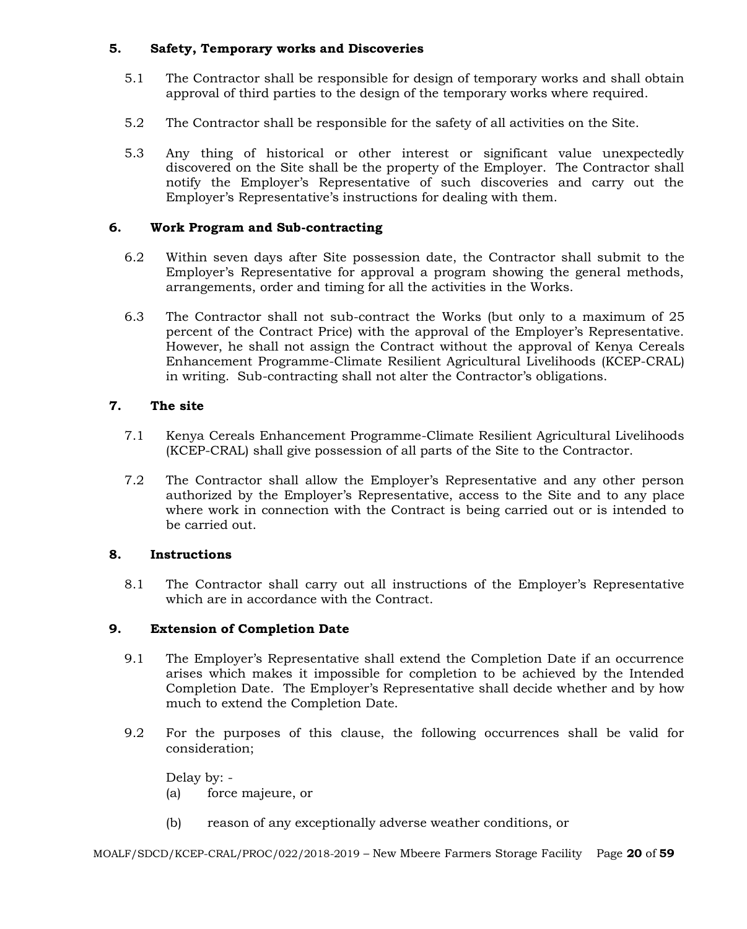## **5. Safety, Temporary works and Discoveries**

- 5.1 The Contractor shall be responsible for design of temporary works and shall obtain approval of third parties to the design of the temporary works where required.
- 5.2 The Contractor shall be responsible for the safety of all activities on the Site.
- 5.3 Any thing of historical or other interest or significant value unexpectedly discovered on the Site shall be the property of the Employer. The Contractor shall notify the Employer's Representative of such discoveries and carry out the Employer's Representative's instructions for dealing with them.

## **6. Work Program and Sub-contracting**

- 6.2 Within seven days after Site possession date, the Contractor shall submit to the Employer's Representative for approval a program showing the general methods, arrangements, order and timing for all the activities in the Works.
- 6.3 The Contractor shall not sub-contract the Works (but only to a maximum of 25 percent of the Contract Price) with the approval of the Employer's Representative. However, he shall not assign the Contract without the approval of Kenya Cereals Enhancement Programme-Climate Resilient Agricultural Livelihoods (KCEP-CRAL) in writing. Sub-contracting shall not alter the Contractor's obligations.

# **7. The site**

- 7.1 Kenya Cereals Enhancement Programme-Climate Resilient Agricultural Livelihoods (KCEP-CRAL) shall give possession of all parts of the Site to the Contractor.
- 7.2 The Contractor shall allow the Employer's Representative and any other person authorized by the Employer's Representative, access to the Site and to any place where work in connection with the Contract is being carried out or is intended to be carried out.

## **8. Instructions**

8.1 The Contractor shall carry out all instructions of the Employer's Representative which are in accordance with the Contract.

## **9. Extension of Completion Date**

- 9.1 The Employer's Representative shall extend the Completion Date if an occurrence arises which makes it impossible for completion to be achieved by the Intended Completion Date. The Employer's Representative shall decide whether and by how much to extend the Completion Date.
- 9.2 For the purposes of this clause, the following occurrences shall be valid for consideration;

Delay by: - (a) force majeure, or

(b) reason of any exceptionally adverse weather conditions, or

MOALF/SDCD/KCEP-CRAL/PROC/022/2018-2019 – New Mbeere Farmers Storage Facility Page **20** of **59**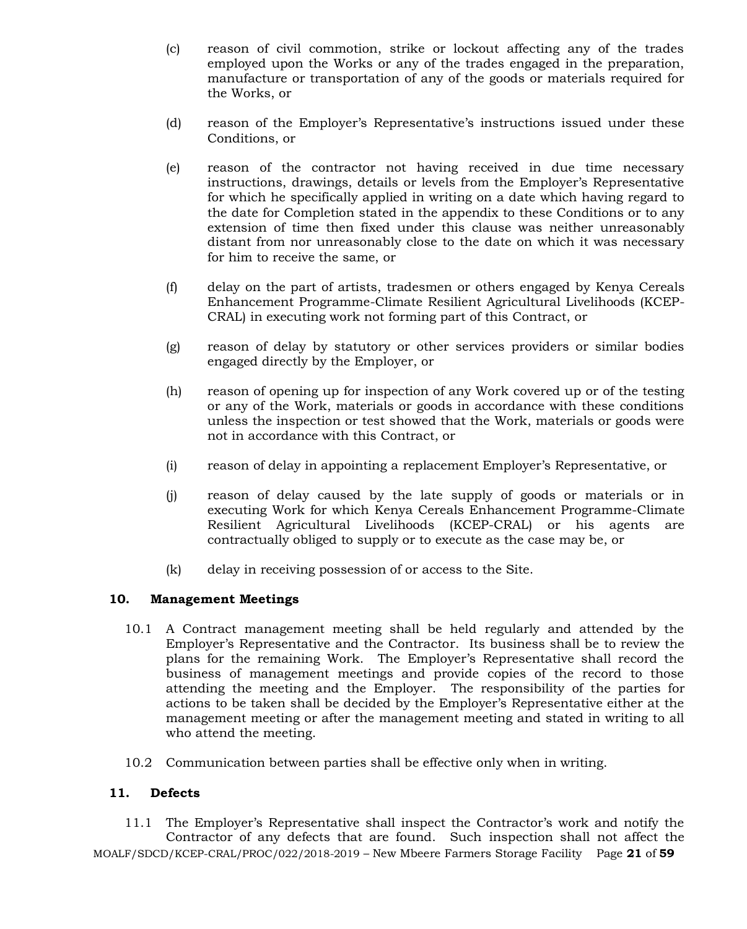- (c) reason of civil commotion, strike or lockout affecting any of the trades employed upon the Works or any of the trades engaged in the preparation, manufacture or transportation of any of the goods or materials required for the Works, or
- (d) reason of the Employer's Representative's instructions issued under these Conditions, or
- (e) reason of the contractor not having received in due time necessary instructions, drawings, details or levels from the Employer's Representative for which he specifically applied in writing on a date which having regard to the date for Completion stated in the appendix to these Conditions or to any extension of time then fixed under this clause was neither unreasonably distant from nor unreasonably close to the date on which it was necessary for him to receive the same, or
- (f) delay on the part of artists, tradesmen or others engaged by Kenya Cereals Enhancement Programme-Climate Resilient Agricultural Livelihoods (KCEP-CRAL) in executing work not forming part of this Contract, or
- (g) reason of delay by statutory or other services providers or similar bodies engaged directly by the Employer, or
- (h) reason of opening up for inspection of any Work covered up or of the testing or any of the Work, materials or goods in accordance with these conditions unless the inspection or test showed that the Work, materials or goods were not in accordance with this Contract, or
- (i) reason of delay in appointing a replacement Employer's Representative, or
- (j) reason of delay caused by the late supply of goods or materials or in executing Work for which Kenya Cereals Enhancement Programme-Climate Resilient Agricultural Livelihoods (KCEP-CRAL) or his agents are contractually obliged to supply or to execute as the case may be, or
- (k) delay in receiving possession of or access to the Site.

## **10. Management Meetings**

- 10.1 A Contract management meeting shall be held regularly and attended by the Employer's Representative and the Contractor. Its business shall be to review the plans for the remaining Work. The Employer's Representative shall record the business of management meetings and provide copies of the record to those attending the meeting and the Employer. The responsibility of the parties for actions to be taken shall be decided by the Employer's Representative either at the management meeting or after the management meeting and stated in writing to all who attend the meeting.
- 10.2 Communication between parties shall be effective only when in writing.

## **11. Defects**

MOALF/SDCD/KCEP-CRAL/PROC/022/2018-2019 – New Mbeere Farmers Storage Facility Page **21** of **59** 11.1 The Employer's Representative shall inspect the Contractor's work and notify the Contractor of any defects that are found. Such inspection shall not affect the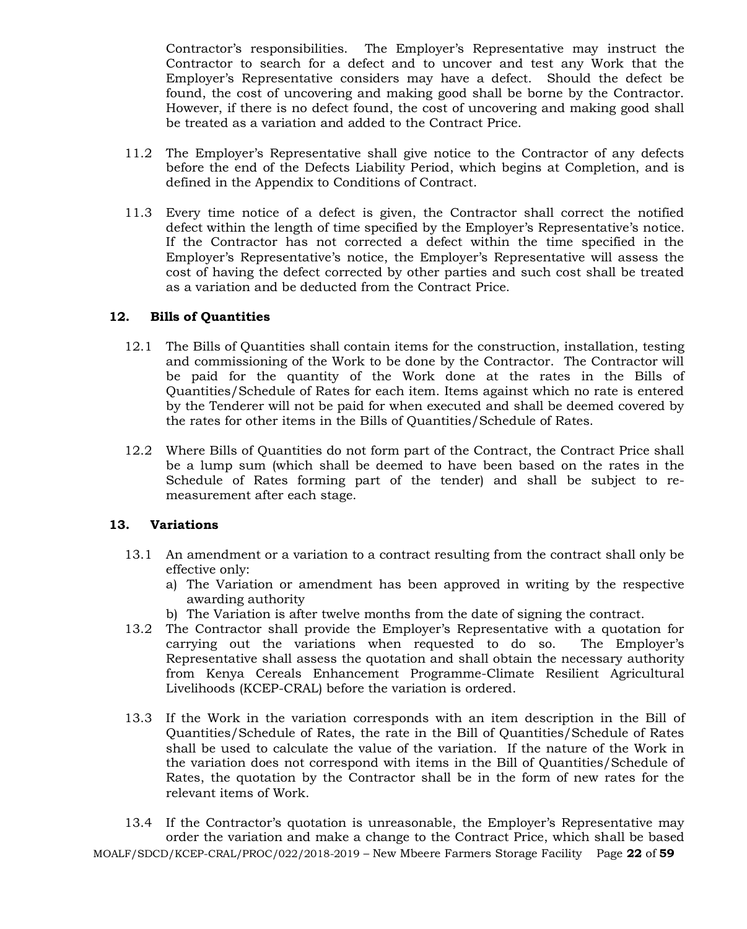Contractor's responsibilities. The Employer's Representative may instruct the Contractor to search for a defect and to uncover and test any Work that the Employer's Representative considers may have a defect. Should the defect be found, the cost of uncovering and making good shall be borne by the Contractor. However, if there is no defect found, the cost of uncovering and making good shall be treated as a variation and added to the Contract Price.

- 11.2 The Employer's Representative shall give notice to the Contractor of any defects before the end of the Defects Liability Period, which begins at Completion, and is defined in the Appendix to Conditions of Contract.
- 11.3 Every time notice of a defect is given, the Contractor shall correct the notified defect within the length of time specified by the Employer's Representative's notice. If the Contractor has not corrected a defect within the time specified in the Employer's Representative's notice, the Employer's Representative will assess the cost of having the defect corrected by other parties and such cost shall be treated as a variation and be deducted from the Contract Price.

#### **12. Bills of Quantities**

- 12.1 The Bills of Quantities shall contain items for the construction, installation, testing and commissioning of the Work to be done by the Contractor. The Contractor will be paid for the quantity of the Work done at the rates in the Bills of Quantities/Schedule of Rates for each item. Items against which no rate is entered by the Tenderer will not be paid for when executed and shall be deemed covered by the rates for other items in the Bills of Quantities/Schedule of Rates.
- 12.2 Where Bills of Quantities do not form part of the Contract, the Contract Price shall be a lump sum (which shall be deemed to have been based on the rates in the Schedule of Rates forming part of the tender) and shall be subject to remeasurement after each stage.

## **13. Variations**

- 13.1 An amendment or a variation to a contract resulting from the contract shall only be effective only:
	- a) The Variation or amendment has been approved in writing by the respective awarding authority
	- b) The Variation is after twelve months from the date of signing the contract.
- 13.2 The Contractor shall provide the Employer's Representative with a quotation for carrying out the variations when requested to do so. The Employer's Representative shall assess the quotation and shall obtain the necessary authority from Kenya Cereals Enhancement Programme-Climate Resilient Agricultural Livelihoods (KCEP-CRAL) before the variation is ordered.
- 13.3 If the Work in the variation corresponds with an item description in the Bill of Quantities/Schedule of Rates, the rate in the Bill of Quantities/Schedule of Rates shall be used to calculate the value of the variation. If the nature of the Work in the variation does not correspond with items in the Bill of Quantities/Schedule of Rates, the quotation by the Contractor shall be in the form of new rates for the relevant items of Work.

MOALF/SDCD/KCEP-CRAL/PROC/022/2018-2019 – New Mbeere Farmers Storage Facility Page **22** of **59** 13.4 If the Contractor's quotation is unreasonable, the Employer's Representative may order the variation and make a change to the Contract Price, which shall be based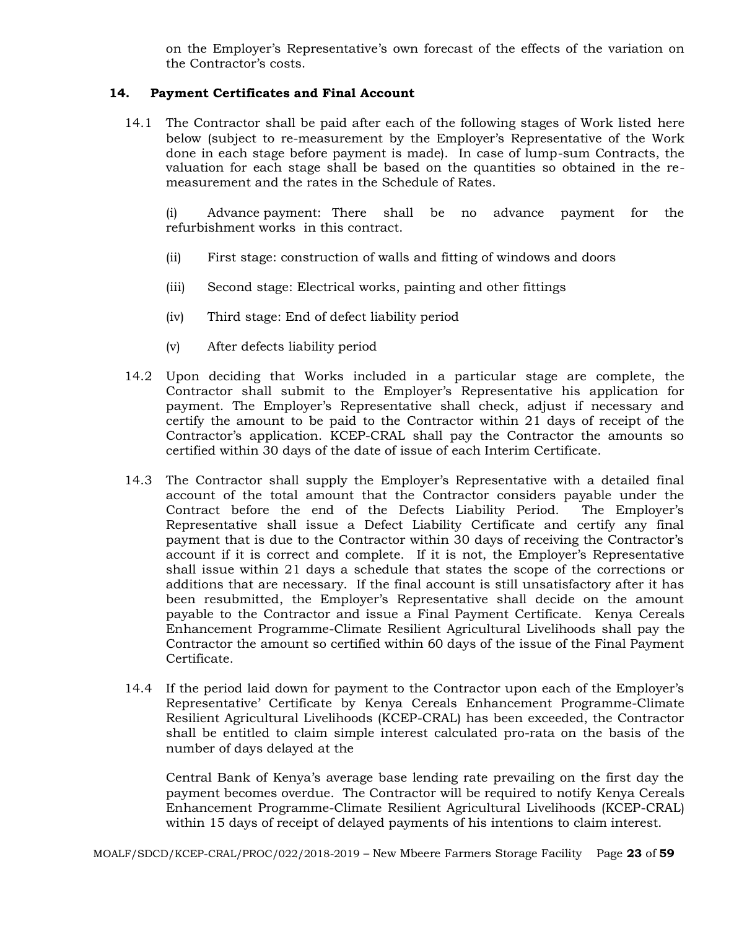on the Employer's Representative's own forecast of the effects of the variation on the Contractor's costs.

#### **14. Payment Certificates and Final Account**

14.1 The Contractor shall be paid after each of the following stages of Work listed here below (subject to re-measurement by the Employer's Representative of the Work done in each stage before payment is made). In case of lump-sum Contracts, the valuation for each stage shall be based on the quantities so obtained in the remeasurement and the rates in the Schedule of Rates.

(i) Advance payment: There shall be no advance payment for the refurbishment works in this contract.

- (ii) First stage: construction of walls and fitting of windows and doors
- (iii) Second stage: Electrical works, painting and other fittings
- (iv) Third stage: End of defect liability period
- (v) After defects liability period
- 14.2 Upon deciding that Works included in a particular stage are complete, the Contractor shall submit to the Employer's Representative his application for payment. The Employer's Representative shall check, adjust if necessary and certify the amount to be paid to the Contractor within 21 days of receipt of the Contractor's application. KCEP-CRAL shall pay the Contractor the amounts so certified within 30 days of the date of issue of each Interim Certificate.
- 14.3 The Contractor shall supply the Employer's Representative with a detailed final account of the total amount that the Contractor considers payable under the Contract before the end of the Defects Liability Period. The Employer's Representative shall issue a Defect Liability Certificate and certify any final payment that is due to the Contractor within 30 days of receiving the Contractor's account if it is correct and complete. If it is not, the Employer's Representative shall issue within 21 days a schedule that states the scope of the corrections or additions that are necessary. If the final account is still unsatisfactory after it has been resubmitted, the Employer's Representative shall decide on the amount payable to the Contractor and issue a Final Payment Certificate. Kenya Cereals Enhancement Programme-Climate Resilient Agricultural Livelihoods shall pay the Contractor the amount so certified within 60 days of the issue of the Final Payment Certificate.
- 14.4 If the period laid down for payment to the Contractor upon each of the Employer's Representative' Certificate by Kenya Cereals Enhancement Programme-Climate Resilient Agricultural Livelihoods (KCEP-CRAL) has been exceeded, the Contractor shall be entitled to claim simple interest calculated pro-rata on the basis of the number of days delayed at the

Central Bank of Kenya's average base lending rate prevailing on the first day the payment becomes overdue. The Contractor will be required to notify Kenya Cereals Enhancement Programme-Climate Resilient Agricultural Livelihoods (KCEP-CRAL) within 15 days of receipt of delayed payments of his intentions to claim interest.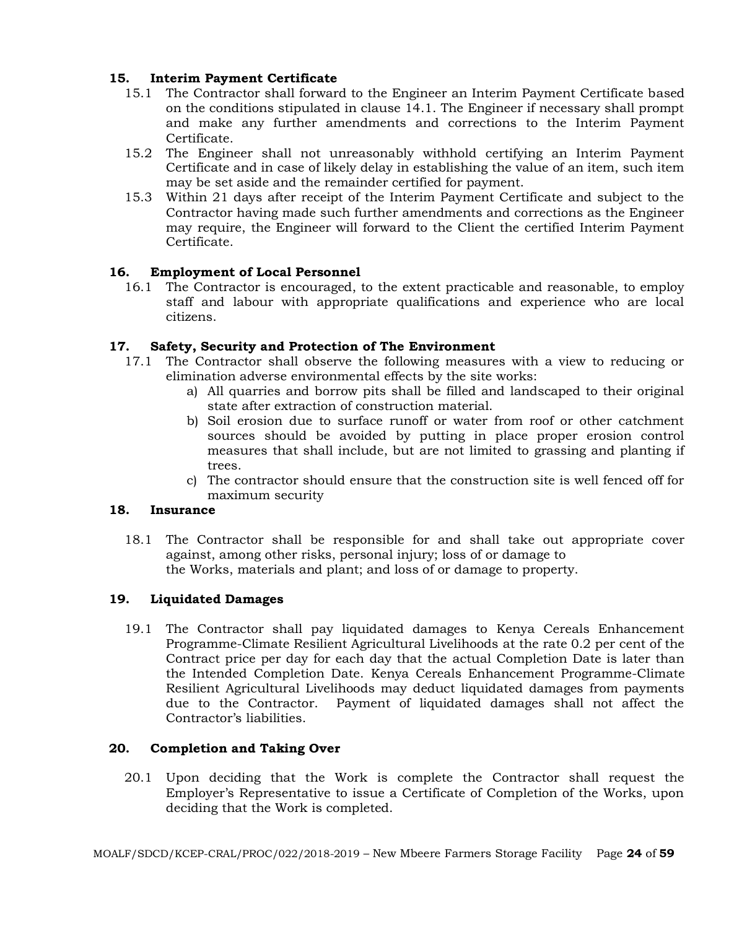# **15. Interim Payment Certificate**

- 15.1 The Contractor shall forward to the Engineer an Interim Payment Certificate based on the conditions stipulated in clause 14.1. The Engineer if necessary shall prompt and make any further amendments and corrections to the Interim Payment Certificate.
- 15.2 The Engineer shall not unreasonably withhold certifying an Interim Payment Certificate and in case of likely delay in establishing the value of an item, such item may be set aside and the remainder certified for payment.
- 15.3 Within 21 days after receipt of the Interim Payment Certificate and subject to the Contractor having made such further amendments and corrections as the Engineer may require, the Engineer will forward to the Client the certified Interim Payment Certificate.

# **16. Employment of Local Personnel**

16.1 The Contractor is encouraged, to the extent practicable and reasonable, to employ staff and labour with appropriate qualifications and experience who are local citizens.

# **17. Safety, Security and Protection of The Environment**

- 17.1 The Contractor shall observe the following measures with a view to reducing or elimination adverse environmental effects by the site works:
	- a) All quarries and borrow pits shall be filled and landscaped to their original state after extraction of construction material.
	- b) Soil erosion due to surface runoff or water from roof or other catchment sources should be avoided by putting in place proper erosion control measures that shall include, but are not limited to grassing and planting if trees.
	- c) The contractor should ensure that the construction site is well fenced off for maximum security

## **18. Insurance**

18.1 The Contractor shall be responsible for and shall take out appropriate cover against, among other risks, personal injury; loss of or damage to the Works, materials and plant; and loss of or damage to property.

## **19. Liquidated Damages**

19.1 The Contractor shall pay liquidated damages to Kenya Cereals Enhancement Programme-Climate Resilient Agricultural Livelihoods at the rate 0.2 per cent of the Contract price per day for each day that the actual Completion Date is later than the Intended Completion Date. Kenya Cereals Enhancement Programme-Climate Resilient Agricultural Livelihoods may deduct liquidated damages from payments due to the Contractor. Payment of liquidated damages shall not affect the Contractor's liabilities.

## **20. Completion and Taking Over**

20.1 Upon deciding that the Work is complete the Contractor shall request the Employer's Representative to issue a Certificate of Completion of the Works, upon deciding that the Work is completed.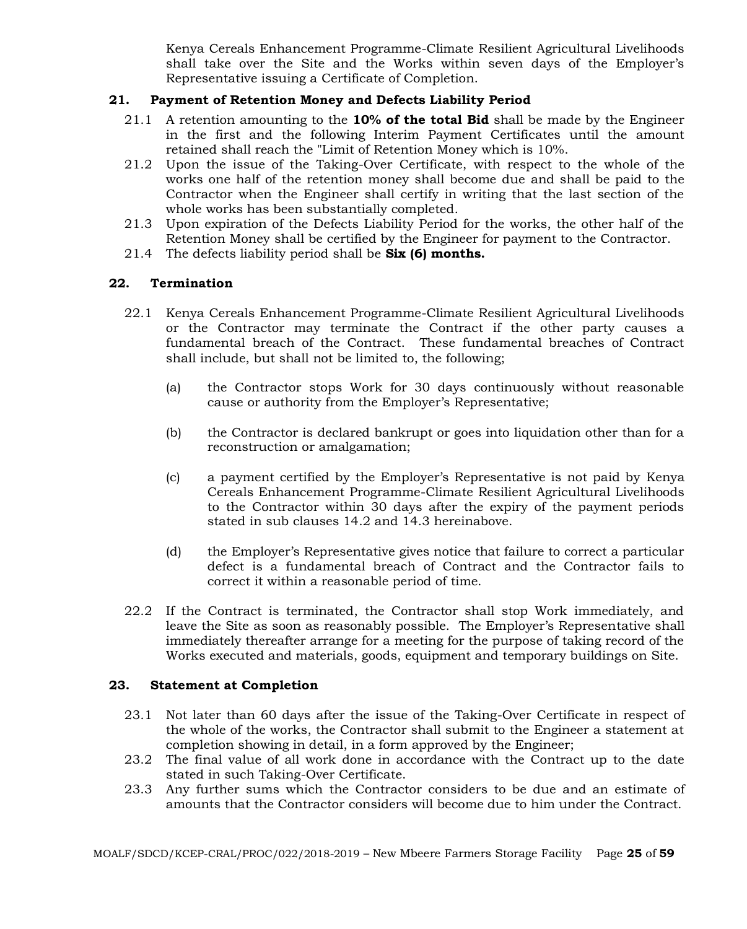Kenya Cereals Enhancement Programme-Climate Resilient Agricultural Livelihoods shall take over the Site and the Works within seven days of the Employer's Representative issuing a Certificate of Completion.

## **21. Payment of Retention Money and Defects Liability Period**

- 21.1 A retention amounting to the **10% of the total Bid** shall be made by the Engineer in the first and the following Interim Payment Certificates until the amount retained shall reach the "Limit of Retention Money which is 10%.
- 21.2 Upon the issue of the Taking-Over Certificate, with respect to the whole of the works one half of the retention money shall become due and shall be paid to the Contractor when the Engineer shall certify in writing that the last section of the whole works has been substantially completed.
- 21.3 Upon expiration of the Defects Liability Period for the works, the other half of the Retention Money shall be certified by the Engineer for payment to the Contractor.
- 21.4 The defects liability period shall be **Six (6) months.**

# **22. Termination**

- 22.1 Kenya Cereals Enhancement Programme-Climate Resilient Agricultural Livelihoods or the Contractor may terminate the Contract if the other party causes a fundamental breach of the Contract. These fundamental breaches of Contract shall include, but shall not be limited to, the following;
	- (a) the Contractor stops Work for 30 days continuously without reasonable cause or authority from the Employer's Representative;
	- (b) the Contractor is declared bankrupt or goes into liquidation other than for a reconstruction or amalgamation;
	- (c) a payment certified by the Employer's Representative is not paid by Kenya Cereals Enhancement Programme-Climate Resilient Agricultural Livelihoods to the Contractor within 30 days after the expiry of the payment periods stated in sub clauses 14.2 and 14.3 hereinabove.
	- (d) the Employer's Representative gives notice that failure to correct a particular defect is a fundamental breach of Contract and the Contractor fails to correct it within a reasonable period of time.
- 22.2 If the Contract is terminated, the Contractor shall stop Work immediately, and leave the Site as soon as reasonably possible. The Employer's Representative shall immediately thereafter arrange for a meeting for the purpose of taking record of the Works executed and materials, goods, equipment and temporary buildings on Site.

## **23. Statement at Completion**

- 23.1 Not later than 60 days after the issue of the Taking-Over Certificate in respect of the whole of the works, the Contractor shall submit to the Engineer a statement at completion showing in detail, in a form approved by the Engineer;
- 23.2 The final value of all work done in accordance with the Contract up to the date stated in such Taking-Over Certificate.
- 23.3 Any further sums which the Contractor considers to be due and an estimate of amounts that the Contractor considers will become due to him under the Contract.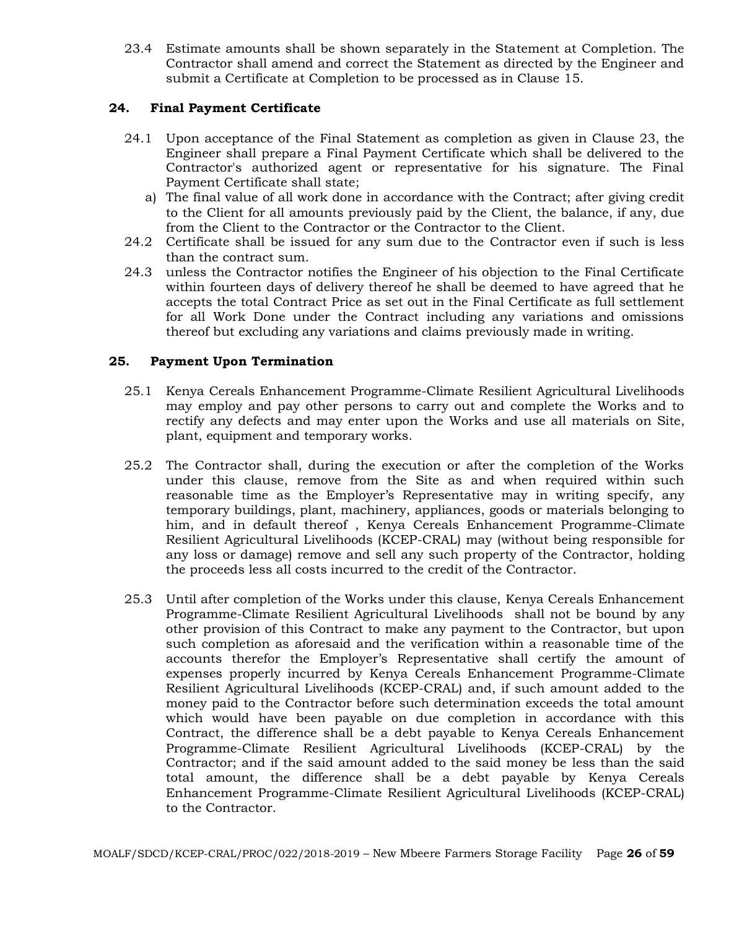23.4 Estimate amounts shall be shown separately in the Statement at Completion. The Contractor shall amend and correct the Statement as directed by the Engineer and submit a Certificate at Completion to be processed as in Clause 15.

# **24. Final Payment Certificate**

- 24.1 Upon acceptance of the Final Statement as completion as given in Clause 23, the Engineer shall prepare a Final Payment Certificate which shall be delivered to the Contractor's authorized agent or representative for his signature. The Final Payment Certificate shall state;
	- a) The final value of all work done in accordance with the Contract; after giving credit to the Client for all amounts previously paid by the Client, the balance, if any, due from the Client to the Contractor or the Contractor to the Client.
- 24.2 Certificate shall be issued for any sum due to the Contractor even if such is less than the contract sum.
- 24.3 unless the Contractor notifies the Engineer of his objection to the Final Certificate within fourteen days of delivery thereof he shall be deemed to have agreed that he accepts the total Contract Price as set out in the Final Certificate as full settlement for all Work Done under the Contract including any variations and omissions thereof but excluding any variations and claims previously made in writing.

## **25. Payment Upon Termination**

- 25.1 Kenya Cereals Enhancement Programme-Climate Resilient Agricultural Livelihoods may employ and pay other persons to carry out and complete the Works and to rectify any defects and may enter upon the Works and use all materials on Site, plant, equipment and temporary works.
- 25.2 The Contractor shall, during the execution or after the completion of the Works under this clause, remove from the Site as and when required within such reasonable time as the Employer's Representative may in writing specify, any temporary buildings, plant, machinery, appliances, goods or materials belonging to him, and in default thereof , Kenya Cereals Enhancement Programme-Climate Resilient Agricultural Livelihoods (KCEP-CRAL) may (without being responsible for any loss or damage) remove and sell any such property of the Contractor, holding the proceeds less all costs incurred to the credit of the Contractor.
- 25.3 Until after completion of the Works under this clause, Kenya Cereals Enhancement Programme-Climate Resilient Agricultural Livelihoods shall not be bound by any other provision of this Contract to make any payment to the Contractor, but upon such completion as aforesaid and the verification within a reasonable time of the accounts therefor the Employer's Representative shall certify the amount of expenses properly incurred by Kenya Cereals Enhancement Programme-Climate Resilient Agricultural Livelihoods (KCEP-CRAL) and, if such amount added to the money paid to the Contractor before such determination exceeds the total amount which would have been payable on due completion in accordance with this Contract, the difference shall be a debt payable to Kenya Cereals Enhancement Programme-Climate Resilient Agricultural Livelihoods (KCEP-CRAL) by the Contractor; and if the said amount added to the said money be less than the said total amount, the difference shall be a debt payable by Kenya Cereals Enhancement Programme-Climate Resilient Agricultural Livelihoods (KCEP-CRAL) to the Contractor.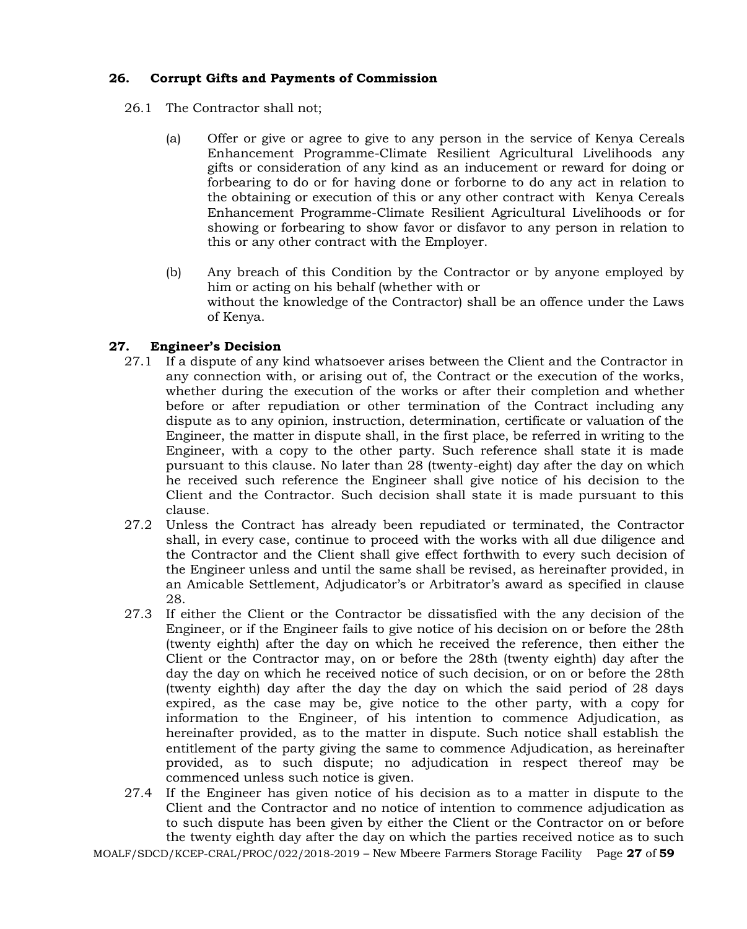# **26. Corrupt Gifts and Payments of Commission**

- 26.1 The Contractor shall not;
	- (a) Offer or give or agree to give to any person in the service of Kenya Cereals Enhancement Programme-Climate Resilient Agricultural Livelihoods any gifts or consideration of any kind as an inducement or reward for doing or forbearing to do or for having done or forborne to do any act in relation to the obtaining or execution of this or any other contract with Kenya Cereals Enhancement Programme-Climate Resilient Agricultural Livelihoods or for showing or forbearing to show favor or disfavor to any person in relation to this or any other contract with the Employer.
	- (b) Any breach of this Condition by the Contractor or by anyone employed by him or acting on his behalf (whether with or without the knowledge of the Contractor) shall be an offence under the Laws of Kenya.

# **27. Engineer's Decision**

- 27.1 If a dispute of any kind whatsoever arises between the Client and the Contractor in any connection with, or arising out of, the Contract or the execution of the works, whether during the execution of the works or after their completion and whether before or after repudiation or other termination of the Contract including any dispute as to any opinion, instruction, determination, certificate or valuation of the Engineer, the matter in dispute shall, in the first place, be referred in writing to the Engineer, with a copy to the other party. Such reference shall state it is made pursuant to this clause. No later than 28 (twenty-eight) day after the day on which he received such reference the Engineer shall give notice of his decision to the Client and the Contractor. Such decision shall state it is made pursuant to this clause.
- 27.2 Unless the Contract has already been repudiated or terminated, the Contractor shall, in every case, continue to proceed with the works with all due diligence and the Contractor and the Client shall give effect forthwith to every such decision of the Engineer unless and until the same shall be revised, as hereinafter provided, in an Amicable Settlement, Adjudicator's or Arbitrator's award as specified in clause 28.
- 27.3 If either the Client or the Contractor be dissatisfied with the any decision of the Engineer, or if the Engineer fails to give notice of his decision on or before the 28th (twenty eighth) after the day on which he received the reference, then either the Client or the Contractor may, on or before the 28th (twenty eighth) day after the day the day on which he received notice of such decision, or on or before the 28th (twenty eighth) day after the day the day on which the said period of 28 days expired, as the case may be, give notice to the other party, with a copy for information to the Engineer, of his intention to commence Adjudication, as hereinafter provided, as to the matter in dispute. Such notice shall establish the entitlement of the party giving the same to commence Adjudication, as hereinafter provided, as to such dispute; no adjudication in respect thereof may be commenced unless such notice is given.
- 27.4 If the Engineer has given notice of his decision as to a matter in dispute to the Client and the Contractor and no notice of intention to commence adjudication as to such dispute has been given by either the Client or the Contractor on or before the twenty eighth day after the day on which the parties received notice as to such

MOALF/SDCD/KCEP-CRAL/PROC/022/2018-2019 – New Mbeere Farmers Storage Facility Page **27** of **59**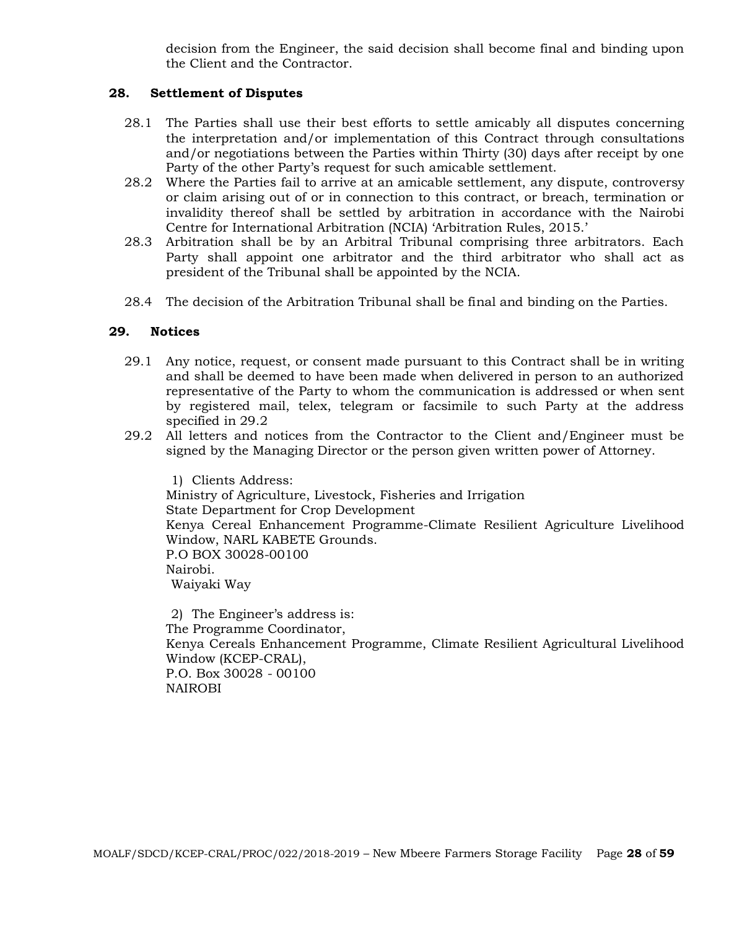decision from the Engineer, the said decision shall become final and binding upon the Client and the Contractor.

#### **28. Settlement of Disputes**

- 28.1 The Parties shall use their best efforts to settle amicably all disputes concerning the interpretation and/or implementation of this Contract through consultations and/or negotiations between the Parties within Thirty (30) days after receipt by one Party of the other Party's request for such amicable settlement.
- 28.2 Where the Parties fail to arrive at an amicable settlement, any dispute, controversy or claim arising out of or in connection to this contract, or breach, termination or invalidity thereof shall be settled by arbitration in accordance with the Nairobi Centre for International Arbitration (NCIA) 'Arbitration Rules, 2015.'
- 28.3 Arbitration shall be by an Arbitral Tribunal comprising three arbitrators. Each Party shall appoint one arbitrator and the third arbitrator who shall act as president of the Tribunal shall be appointed by the NCIA.
- 28.4 The decision of the Arbitration Tribunal shall be final and binding on the Parties.

#### **29. Notices**

- 29.1 Any notice, request, or consent made pursuant to this Contract shall be in writing and shall be deemed to have been made when delivered in person to an authorized representative of the Party to whom the communication is addressed or when sent by registered mail, telex, telegram or facsimile to such Party at the address specified in 29.2
- 29.2 All letters and notices from the Contractor to the Client and/Engineer must be signed by the Managing Director or the person given written power of Attorney.

1) Clients Address: Ministry of Agriculture, Livestock, Fisheries and Irrigation State Department for Crop Development Kenya Cereal Enhancement Programme-Climate Resilient Agriculture Livelihood Window, NARL KABETE Grounds. P.O BOX 30028-00100 Nairobi. Waiyaki Way

2) The Engineer's address is: The Programme Coordinator, Kenya Cereals Enhancement Programme, Climate Resilient Agricultural Livelihood Window (KCEP-CRAL), P.O. Box 30028 - 00100 NAIROBI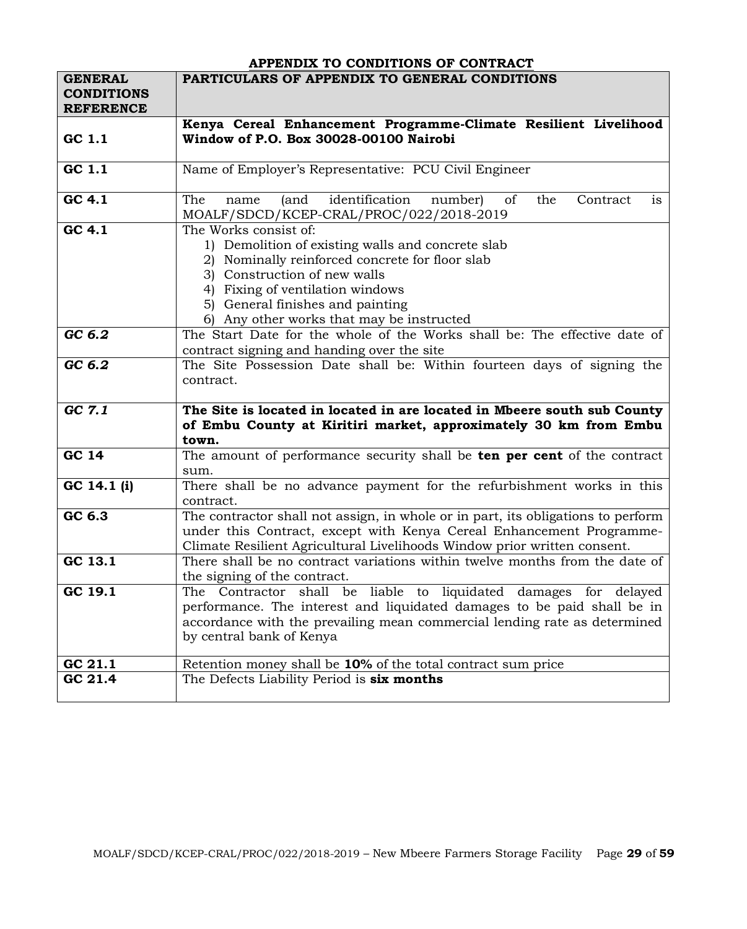|                                     | APPENDIX TO CONDITIONS OF CONTRACT                                                     |
|-------------------------------------|----------------------------------------------------------------------------------------|
| <b>GENERAL</b><br><b>CONDITIONS</b> | PARTICULARS OF APPENDIX TO GENERAL CONDITIONS                                          |
| <b>REFERENCE</b>                    |                                                                                        |
|                                     | Kenya Cereal Enhancement Programme-Climate Resilient Livelihood                        |
| GC 1.1                              | Window of P.O. Box 30028-00100 Nairobi                                                 |
|                                     |                                                                                        |
| GC 1.1                              | Name of Employer's Representative: PCU Civil Engineer                                  |
|                                     |                                                                                        |
| GC 4.1                              | identification<br>The<br>(and<br>number)<br>of<br>the<br>Contract<br>name<br><i>is</i> |
|                                     | MOALF/SDCD/KCEP-CRAL/PROC/022/2018-2019                                                |
| GC 4.1                              | The Works consist of:                                                                  |
|                                     | 1) Demolition of existing walls and concrete slab                                      |
|                                     | Nominally reinforced concrete for floor slab<br>2)                                     |
|                                     | 3) Construction of new walls                                                           |
|                                     | 4) Fixing of ventilation windows                                                       |
|                                     | 5) General finishes and painting                                                       |
|                                     | Any other works that may be instructed                                                 |
| GC 6.2                              | The Start Date for the whole of the Works shall be: The effective date of              |
|                                     | contract signing and handing over the site                                             |
| GC 6.2                              | The Site Possession Date shall be: Within fourteen days of signing the                 |
|                                     | contract.                                                                              |
|                                     |                                                                                        |
| GC 7.1                              | The Site is located in located in are located in Mbeere south sub County               |
|                                     | of Embu County at Kiritiri market, approximately 30 km from Embu                       |
|                                     | town.                                                                                  |
| <b>GC 14</b>                        | The amount of performance security shall be <b>ten per cent</b> of the contract        |
|                                     | sum.                                                                                   |
| GC 14.1 (i)                         | There shall be no advance payment for the refurbishment works in this                  |
|                                     | contract.                                                                              |
| GC 6.3                              | The contractor shall not assign, in whole or in part, its obligations to perform       |
|                                     | under this Contract, except with Kenya Cereal Enhancement Programme-                   |
|                                     | Climate Resilient Agricultural Livelihoods Window prior written consent.               |
| GC 13.1                             | There shall be no contract variations within twelve months from the date of            |
|                                     | the signing of the contract.                                                           |
| GC 19.1                             | The Contractor shall be liable to liquidated damages for delayed                       |
|                                     | performance. The interest and liquidated damages to be paid shall be in                |
|                                     | accordance with the prevailing mean commercial lending rate as determined              |
|                                     | by central bank of Kenya                                                               |
|                                     |                                                                                        |
| GC 21.1                             | Retention money shall be 10% of the total contract sum price                           |
| GC 21.4                             | The Defects Liability Period is six months                                             |
|                                     |                                                                                        |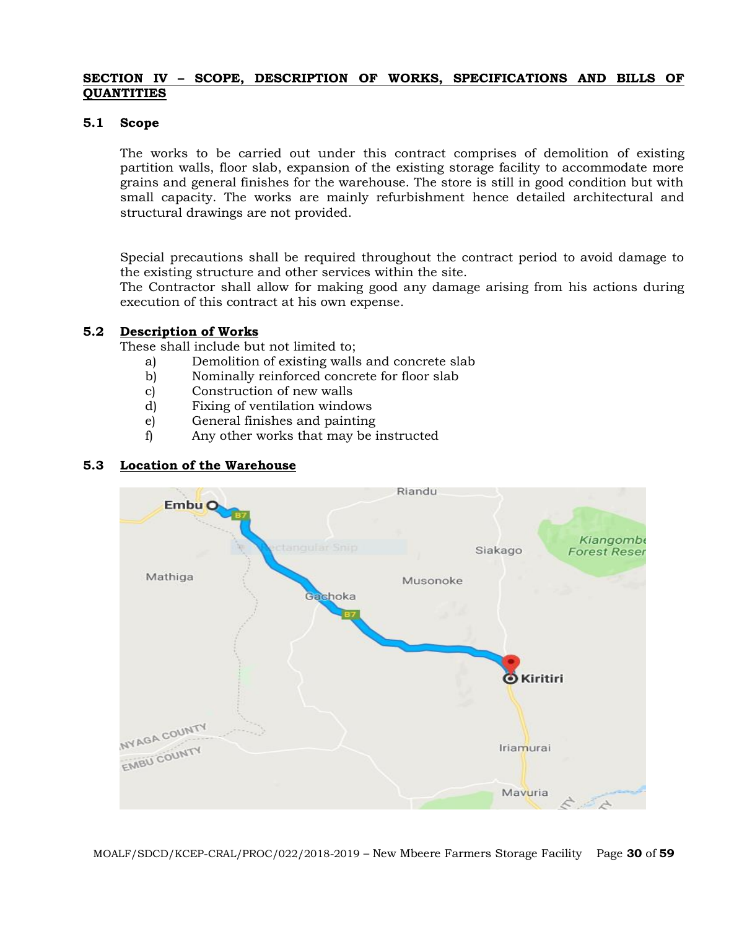#### **SECTION IV – SCOPE, DESCRIPTION OF WORKS, SPECIFICATIONS AND BILLS OF QUANTITIES**

#### **5.1 Scope**

The works to be carried out under this contract comprises of demolition of existing partition walls, floor slab, expansion of the existing storage facility to accommodate more grains and general finishes for the warehouse. The store is still in good condition but with small capacity. The works are mainly refurbishment hence detailed architectural and structural drawings are not provided.

Special precautions shall be required throughout the contract period to avoid damage to the existing structure and other services within the site.

The Contractor shall allow for making good any damage arising from his actions during execution of this contract at his own expense.

#### **5.2 Description of Works**

These shall include but not limited to;

- a) Demolition of existing walls and concrete slab
- b) Nominally reinforced concrete for floor slab
- c) Construction of new walls
- d) Fixing of ventilation windows
- e) General finishes and painting
- f) Any other works that may be instructed

# **5.3 Location of the Warehouse**

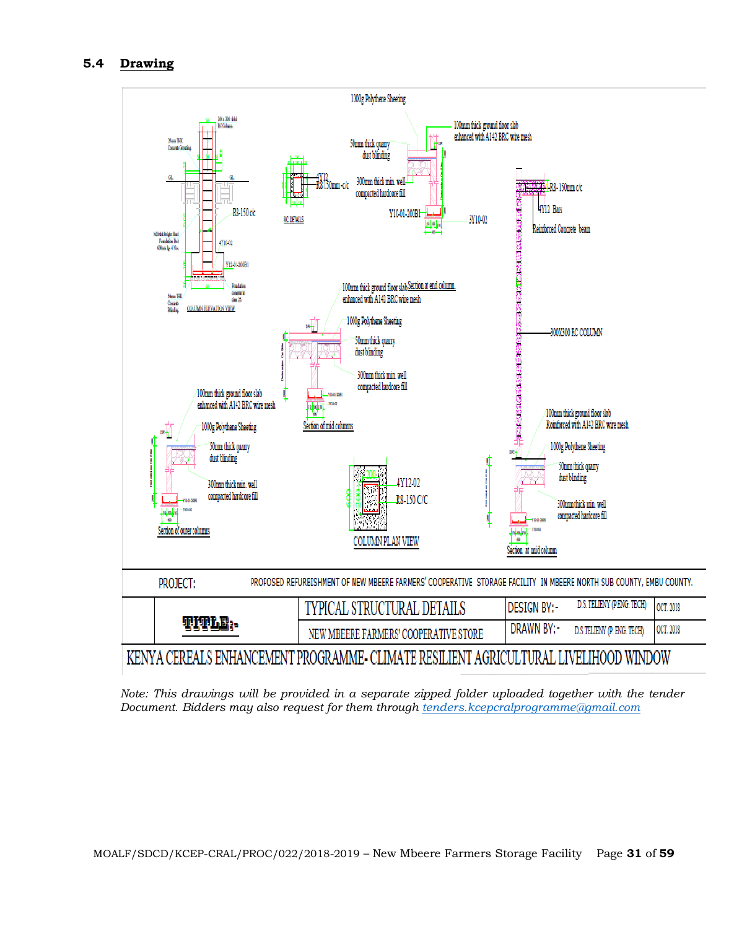## **5.4 Drawing**



*Note: This drawings will be provided in a separate zipped folder uploaded together with the tender Document. Bidders may also request for them through [tenders.kcepcralprogramme@gmail.com](mailto:tenders.kcepcralprogramme@gmail.com)*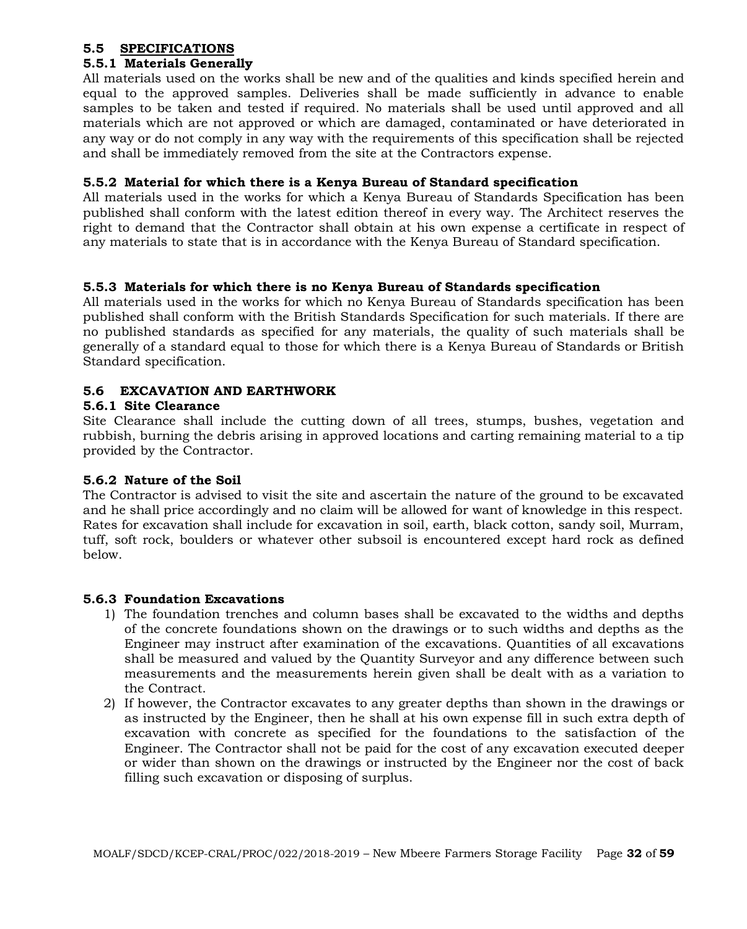#### **5.5 SPECIFICATIONS**

# **5.5.1 Materials Generally**

All materials used on the works shall be new and of the qualities and kinds specified herein and equal to the approved samples. Deliveries shall be made sufficiently in advance to enable samples to be taken and tested if required. No materials shall be used until approved and all materials which are not approved or which are damaged, contaminated or have deteriorated in any way or do not comply in any way with the requirements of this specification shall be rejected and shall be immediately removed from the site at the Contractors expense.

#### **5.5.2 Material for which there is a Kenya Bureau of Standard specification**

All materials used in the works for which a Kenya Bureau of Standards Specification has been published shall conform with the latest edition thereof in every way. The Architect reserves the right to demand that the Contractor shall obtain at his own expense a certificate in respect of any materials to state that is in accordance with the Kenya Bureau of Standard specification.

## **5.5.3 Materials for which there is no Kenya Bureau of Standards specification**

All materials used in the works for which no Kenya Bureau of Standards specification has been published shall conform with the British Standards Specification for such materials. If there are no published standards as specified for any materials, the quality of such materials shall be generally of a standard equal to those for which there is a Kenya Bureau of Standards or British Standard specification.

## **5.6 EXCAVATION AND EARTHWORK**

#### **5.6.1 Site Clearance**

Site Clearance shall include the cutting down of all trees, stumps, bushes, vegetation and rubbish, burning the debris arising in approved locations and carting remaining material to a tip provided by the Contractor.

## **5.6.2 Nature of the Soil**

The Contractor is advised to visit the site and ascertain the nature of the ground to be excavated and he shall price accordingly and no claim will be allowed for want of knowledge in this respect. Rates for excavation shall include for excavation in soil, earth, black cotton, sandy soil, Murram, tuff, soft rock, boulders or whatever other subsoil is encountered except hard rock as defined below.

## **5.6.3 Foundation Excavations**

- 1) The foundation trenches and column bases shall be excavated to the widths and depths of the concrete foundations shown on the drawings or to such widths and depths as the Engineer may instruct after examination of the excavations. Quantities of all excavations shall be measured and valued by the Quantity Surveyor and any difference between such measurements and the measurements herein given shall be dealt with as a variation to the Contract.
- 2) If however, the Contractor excavates to any greater depths than shown in the drawings or as instructed by the Engineer, then he shall at his own expense fill in such extra depth of excavation with concrete as specified for the foundations to the satisfaction of the Engineer. The Contractor shall not be paid for the cost of any excavation executed deeper or wider than shown on the drawings or instructed by the Engineer nor the cost of back filling such excavation or disposing of surplus.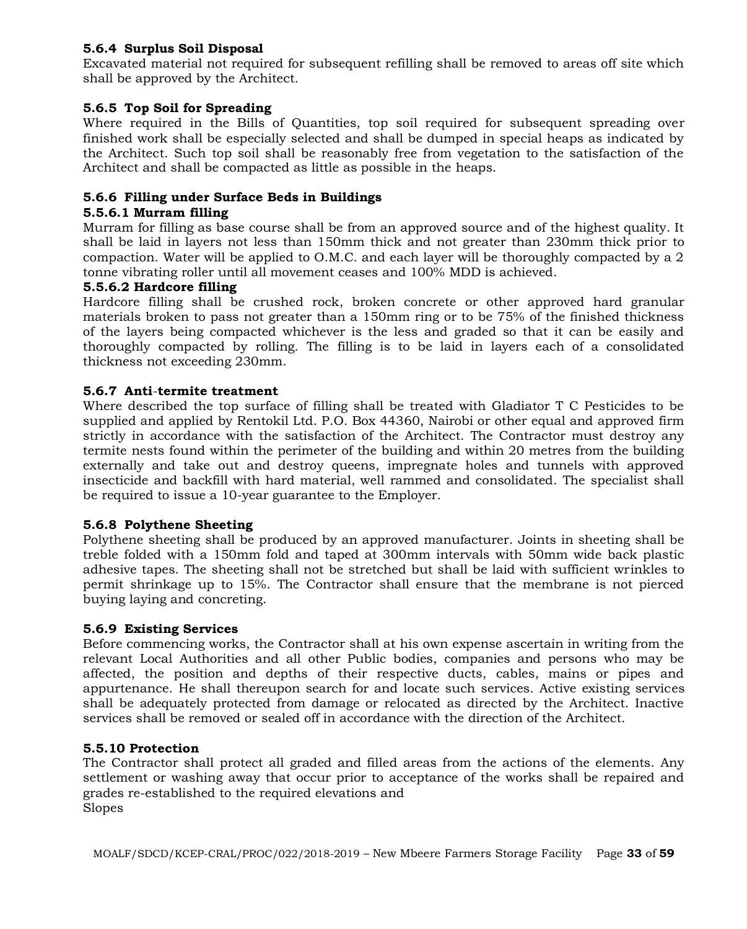# **5.6.4 Surplus Soil Disposal**

Excavated material not required for subsequent refilling shall be removed to areas off site which shall be approved by the Architect.

# **5.6.5 Top Soil for Spreading**

Where required in the Bills of Quantities, top soil required for subsequent spreading over finished work shall be especially selected and shall be dumped in special heaps as indicated by the Architect. Such top soil shall be reasonably free from vegetation to the satisfaction of the Architect and shall be compacted as little as possible in the heaps.

# **5.6.6 Filling under Surface Beds in Buildings**

#### **5.5.6.1 Murram filling**

Murram for filling as base course shall be from an approved source and of the highest quality. It shall be laid in layers not less than 150mm thick and not greater than 230mm thick prior to compaction. Water will be applied to O.M.C. and each layer will be thoroughly compacted by a 2 tonne vibrating roller until all movement ceases and 100% MDD is achieved.

## **5.5.6.2 Hardcore filling**

Hardcore filling shall be crushed rock, broken concrete or other approved hard granular materials broken to pass not greater than a 150mm ring or to be 75% of the finished thickness of the layers being compacted whichever is the less and graded so that it can be easily and thoroughly compacted by rolling. The filling is to be laid in layers each of a consolidated thickness not exceeding 230mm.

#### **5.6.7 Anti**-**termite treatment**

Where described the top surface of filling shall be treated with Gladiator T C Pesticides to be supplied and applied by Rentokil Ltd. P.O. Box 44360, Nairobi or other equal and approved firm strictly in accordance with the satisfaction of the Architect. The Contractor must destroy any termite nests found within the perimeter of the building and within 20 metres from the building externally and take out and destroy queens, impregnate holes and tunnels with approved insecticide and backfill with hard material, well rammed and consolidated. The specialist shall be required to issue a 10-year guarantee to the Employer.

## **5.6.8 Polythene Sheeting**

Polythene sheeting shall be produced by an approved manufacturer. Joints in sheeting shall be treble folded with a 150mm fold and taped at 300mm intervals with 50mm wide back plastic adhesive tapes. The sheeting shall not be stretched but shall be laid with sufficient wrinkles to permit shrinkage up to 15%. The Contractor shall ensure that the membrane is not pierced buying laying and concreting.

## **5.6.9 Existing Services**

Before commencing works, the Contractor shall at his own expense ascertain in writing from the relevant Local Authorities and all other Public bodies, companies and persons who may be affected, the position and depths of their respective ducts, cables, mains or pipes and appurtenance. He shall thereupon search for and locate such services. Active existing services shall be adequately protected from damage or relocated as directed by the Architect. Inactive services shall be removed or sealed off in accordance with the direction of the Architect.

## **5.5.10 Protection**

The Contractor shall protect all graded and filled areas from the actions of the elements. Any settlement or washing away that occur prior to acceptance of the works shall be repaired and grades re-established to the required elevations and Slopes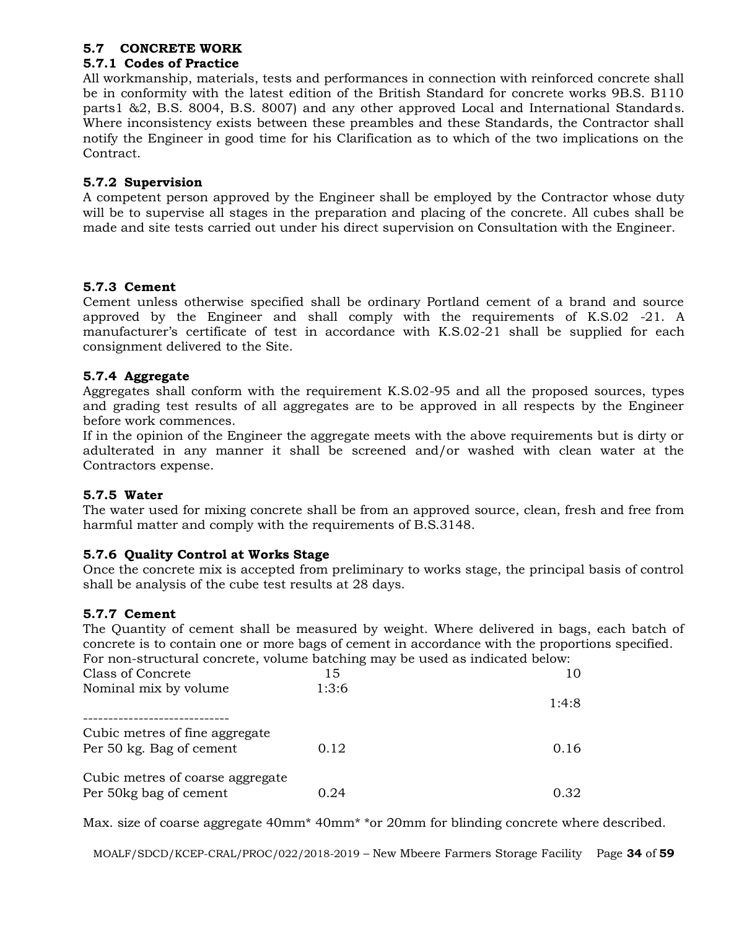## **5.7 CONCRETE WORK**

## **5.7.1 Codes of Practice**

All workmanship, materials, tests and performances in connection with reinforced concrete shall be in conformity with the latest edition of the British Standard for concrete works 9B.S. B110 parts1 &2, B.S. 8004, B.S. 8007) and any other approved Local and International Standards. Where inconsistency exists between these preambles and these Standards, the Contractor shall notify the Engineer in good time for his Clarification as to which of the two implications on the Contract.

## **5.7.2 Supervision**

A competent person approved by the Engineer shall be employed by the Contractor whose duty will be to supervise all stages in the preparation and placing of the concrete. All cubes shall be made and site tests carried out under his direct supervision on Consultation with the Engineer.

# **5.7.3 Cement**

Cement unless otherwise specified shall be ordinary Portland cement of a brand and source approved by the Engineer and shall comply with the requirements of K.S.02 -21. A manufacturer's certificate of test in accordance with K.S.02-21 shall be supplied for each consignment delivered to the Site.

## **5.7.4 Aggregate**

Aggregates shall conform with the requirement K.S.02-95 and all the proposed sources, types and grading test results of all aggregates are to be approved in all respects by the Engineer before work commences.

If in the opinion of the Engineer the aggregate meets with the above requirements but is dirty or adulterated in any manner it shall be screened and/or washed with clean water at the Contractors expense.

## **5.7.5 Water**

The water used for mixing concrete shall be from an approved source, clean, fresh and free from harmful matter and comply with the requirements of B.S.3148.

## **5.7.6 Quality Control at Works Stage**

Once the concrete mix is accepted from preliminary to works stage, the principal basis of control shall be analysis of the cube test results at 28 days.

## **5.7.7 Cement**

The Quantity of cement shall be measured by weight. Where delivered in bags, each batch of concrete is to contain one or more bags of cement in accordance with the proportions specified. For non-structural concrete, volume batching may be used as indicated below:

| For non-structural concrete, volume batching may be used as indicated below. |       |       |
|------------------------------------------------------------------------------|-------|-------|
| Class of Concrete                                                            | 15    | 10    |
| Nominal mix by volume                                                        | 1:3:6 |       |
|                                                                              |       | 1:4:8 |
| Cubic metres of fine aggregate<br>Per 50 kg. Bag of cement                   | 0.12  | 0.16  |
| Cubic metres of coarse aggregate<br>Per 50 kg bag of cement                  | 0.24  | 0.32  |

Max. size of coarse aggregate 40mm<sup>\*</sup> 40mm<sup>\*</sup> \*or 20mm for blinding concrete where described.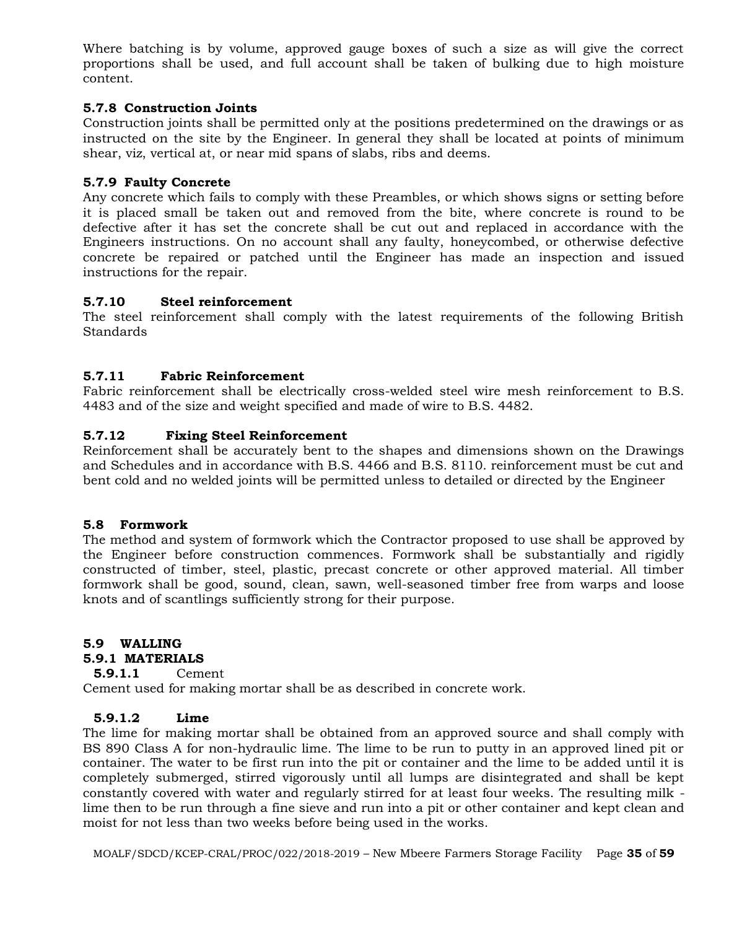Where batching is by volume, approved gauge boxes of such a size as will give the correct proportions shall be used, and full account shall be taken of bulking due to high moisture content.

## **5.7.8 Construction Joints**

Construction joints shall be permitted only at the positions predetermined on the drawings or as instructed on the site by the Engineer. In general they shall be located at points of minimum shear, viz, vertical at, or near mid spans of slabs, ribs and deems.

#### **5.7.9 Faulty Concrete**

Any concrete which fails to comply with these Preambles, or which shows signs or setting before it is placed small be taken out and removed from the bite, where concrete is round to be defective after it has set the concrete shall be cut out and replaced in accordance with the Engineers instructions. On no account shall any faulty, honeycombed, or otherwise defective concrete be repaired or patched until the Engineer has made an inspection and issued instructions for the repair.

#### **5.7.10 Steel reinforcement**

The steel reinforcement shall comply with the latest requirements of the following British Standards

#### **5.7.11 Fabric Reinforcement**

Fabric reinforcement shall be electrically cross-welded steel wire mesh reinforcement to B.S. 4483 and of the size and weight specified and made of wire to B.S. 4482.

#### **5.7.12 Fixing Steel Reinforcement**

Reinforcement shall be accurately bent to the shapes and dimensions shown on the Drawings and Schedules and in accordance with B.S. 4466 and B.S. 8110. reinforcement must be cut and bent cold and no welded joints will be permitted unless to detailed or directed by the Engineer

#### **5.8 Formwork**

The method and system of formwork which the Contractor proposed to use shall be approved by the Engineer before construction commences. Formwork shall be substantially and rigidly constructed of timber, steel, plastic, precast concrete or other approved material. All timber formwork shall be good, sound, clean, sawn, well-seasoned timber free from warps and loose knots and of scantlings sufficiently strong for their purpose.

## **5.9 WALLING**

#### **5.9.1 MATERIALS**

# **5.9.1.1** Cement

Cement used for making mortar shall be as described in concrete work.

#### **5.9.1.2 Lime**

The lime for making mortar shall be obtained from an approved source and shall comply with BS 890 Class A for non-hydraulic lime. The lime to be run to putty in an approved lined pit or container. The water to be first run into the pit or container and the lime to be added until it is completely submerged, stirred vigorously until all lumps are disintegrated and shall be kept constantly covered with water and regularly stirred for at least four weeks. The resulting milk lime then to be run through a fine sieve and run into a pit or other container and kept clean and moist for not less than two weeks before being used in the works.

MOALF/SDCD/KCEP-CRAL/PROC/022/2018-2019 – New Mbeere Farmers Storage Facility Page **35** of **59**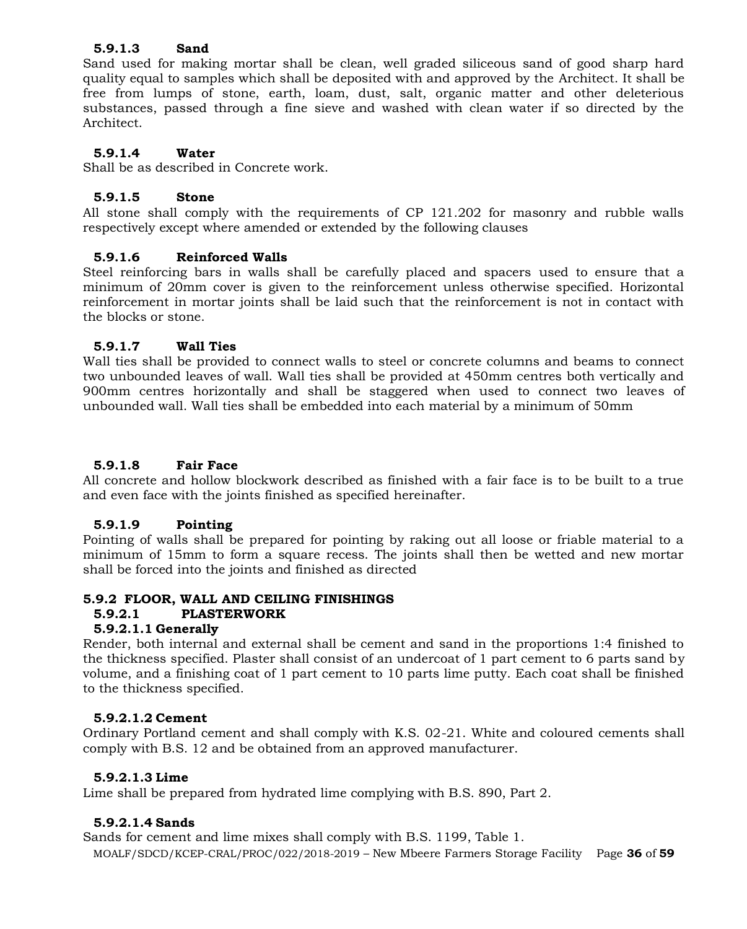#### **5.9.1.3 Sand**

Sand used for making mortar shall be clean, well graded siliceous sand of good sharp hard quality equal to samples which shall be deposited with and approved by the Architect. It shall be free from lumps of stone, earth, loam, dust, salt, organic matter and other deleterious substances, passed through a fine sieve and washed with clean water if so directed by the Architect.

#### **5.9.1.4 Water**

Shall be as described in Concrete work.

#### **5.9.1.5 Stone**

All stone shall comply with the requirements of CP 121.202 for masonry and rubble walls respectively except where amended or extended by the following clauses

#### **5.9.1.6 Reinforced Walls**

Steel reinforcing bars in walls shall be carefully placed and spacers used to ensure that a minimum of 20mm cover is given to the reinforcement unless otherwise specified. Horizontal reinforcement in mortar joints shall be laid such that the reinforcement is not in contact with the blocks or stone.

#### **5.9.1.7 Wall Ties**

Wall ties shall be provided to connect walls to steel or concrete columns and beams to connect two unbounded leaves of wall. Wall ties shall be provided at 450mm centres both vertically and 900mm centres horizontally and shall be staggered when used to connect two leaves of unbounded wall. Wall ties shall be embedded into each material by a minimum of 50mm

#### **5.9.1.8 Fair Face**

All concrete and hollow blockwork described as finished with a fair face is to be built to a true and even face with the joints finished as specified hereinafter.

#### **5.9.1.9 Pointing**

Pointing of walls shall be prepared for pointing by raking out all loose or friable material to a minimum of 15mm to form a square recess. The joints shall then be wetted and new mortar shall be forced into the joints and finished as directed

## **5.9.2 FLOOR, WALL AND CEILING FINISHINGS**

#### **5.9.2.1 PLASTERWORK**

#### **5.9.2.1.1 Generally**

Render, both internal and external shall be cement and sand in the proportions 1:4 finished to the thickness specified. Plaster shall consist of an undercoat of 1 part cement to 6 parts sand by volume, and a finishing coat of 1 part cement to 10 parts lime putty. Each coat shall be finished to the thickness specified.

#### **5.9.2.1.2 Cement**

Ordinary Portland cement and shall comply with K.S. 02-21. White and coloured cements shall comply with B.S. 12 and be obtained from an approved manufacturer.

#### **5.9.2.1.3 Lime**

Lime shall be prepared from hydrated lime complying with B.S. 890, Part 2.

#### **5.9.2.1.4 Sands**

Sands for cement and lime mixes shall comply with B.S. 1199, Table 1.

MOALF/SDCD/KCEP-CRAL/PROC/022/2018-2019 – New Mbeere Farmers Storage Facility Page **36** of **59**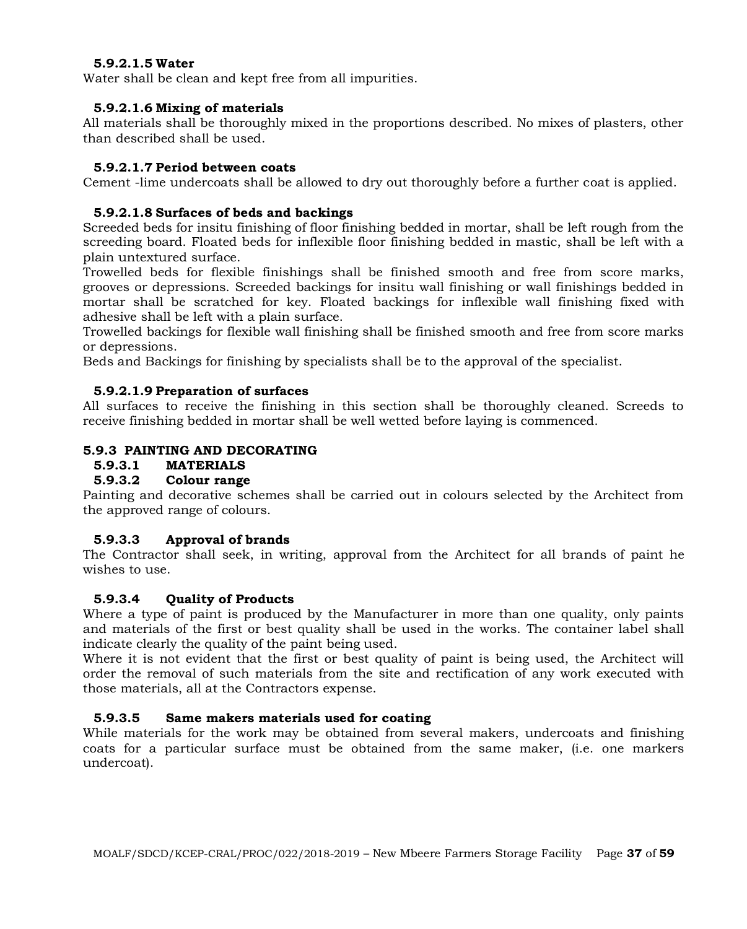#### **5.9.2.1.5 Water**

Water shall be clean and kept free from all impurities.

#### **5.9.2.1.6 Mixing of materials**

All materials shall be thoroughly mixed in the proportions described. No mixes of plasters, other than described shall be used.

#### **5.9.2.1.7 Period between coats**

Cement -lime undercoats shall be allowed to dry out thoroughly before a further coat is applied.

#### **5.9.2.1.8 Surfaces of beds and backings**

Screeded beds for insitu finishing of floor finishing bedded in mortar, shall be left rough from the screeding board. Floated beds for inflexible floor finishing bedded in mastic, shall be left with a plain untextured surface.

Trowelled beds for flexible finishings shall be finished smooth and free from score marks, grooves or depressions. Screeded backings for insitu wall finishing or wall finishings bedded in mortar shall be scratched for key. Floated backings for inflexible wall finishing fixed with adhesive shall be left with a plain surface.

Trowelled backings for flexible wall finishing shall be finished smooth and free from score marks or depressions.

Beds and Backings for finishing by specialists shall be to the approval of the specialist.

#### **5.9.2.1.9 Preparation of surfaces**

All surfaces to receive the finishing in this section shall be thoroughly cleaned. Screeds to receive finishing bedded in mortar shall be well wetted before laying is commenced.

#### **5.9.3 PAINTING AND DECORATING**

# **5.9.3.1 MATERIALS**

# **5.9.3.2 Colour range**

Painting and decorative schemes shall be carried out in colours selected by the Architect from the approved range of colours.

## **5.9.3.3 Approval of brands**

The Contractor shall seek, in writing, approval from the Architect for all brands of paint he wishes to use.

## **5.9.3.4 Quality of Products**

Where a type of paint is produced by the Manufacturer in more than one quality, only paints and materials of the first or best quality shall be used in the works. The container label shall indicate clearly the quality of the paint being used.

Where it is not evident that the first or best quality of paint is being used, the Architect will order the removal of such materials from the site and rectification of any work executed with those materials, all at the Contractors expense.

## **5.9.3.5 Same makers materials used for coating**

While materials for the work may be obtained from several makers, undercoats and finishing coats for a particular surface must be obtained from the same maker, (i.e. one markers undercoat).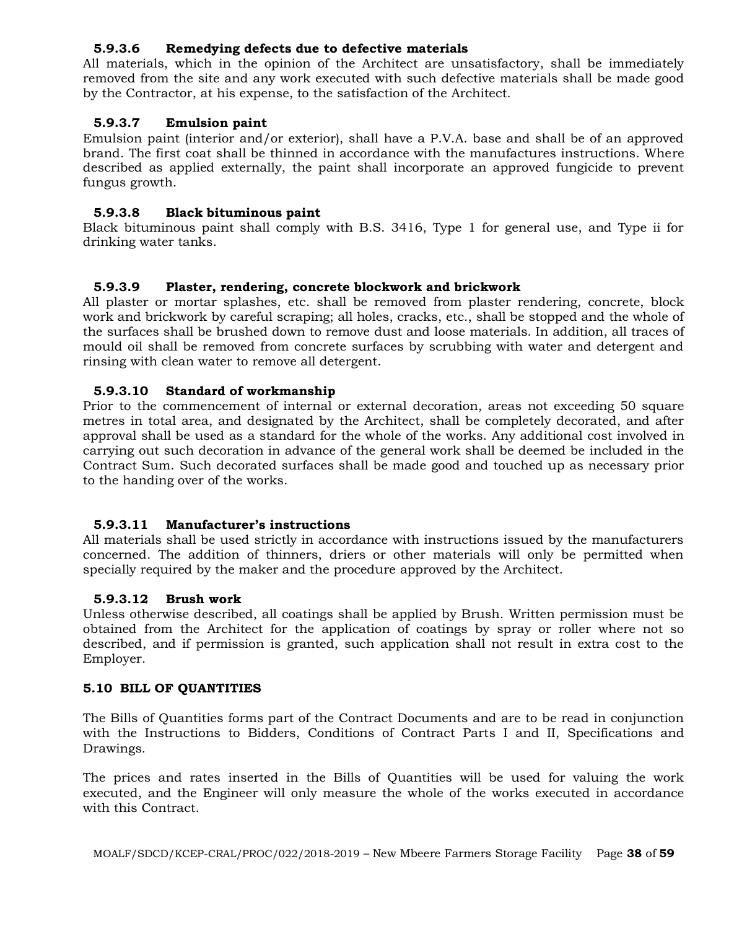#### **5.9.3.6 Remedying defects due to defective materials**

All materials, which in the opinion of the Architect are unsatisfactory, shall be immediately removed from the site and any work executed with such defective materials shall be made good by the Contractor, at his expense, to the satisfaction of the Architect.

#### **5.9.3.7 Emulsion paint**

Emulsion paint (interior and/or exterior), shall have a P.V.A. base and shall be of an approved brand. The first coat shall be thinned in accordance with the manufactures instructions. Where described as applied externally, the paint shall incorporate an approved fungicide to prevent fungus growth.

#### **5.9.3.8 Black bituminous paint**

Black bituminous paint shall comply with B.S. 3416, Type 1 for general use, and Type ii for drinking water tanks.

#### **5.9.3.9 Plaster, rendering, concrete blockwork and brickwork**

All plaster or mortar splashes, etc. shall be removed from plaster rendering, concrete, block work and brickwork by careful scraping; all holes, cracks, etc., shall be stopped and the whole of the surfaces shall be brushed down to remove dust and loose materials. In addition, all traces of mould oil shall be removed from concrete surfaces by scrubbing with water and detergent and rinsing with clean water to remove all detergent.

#### **5.9.3.10 Standard of workmanship**

Prior to the commencement of internal or external decoration, areas not exceeding 50 square metres in total area, and designated by the Architect, shall be completely decorated, and after approval shall be used as a standard for the whole of the works. Any additional cost involved in carrying out such decoration in advance of the general work shall be deemed be included in the Contract Sum. Such decorated surfaces shall be made good and touched up as necessary prior to the handing over of the works.

#### **5.9.3.11 Manufacturer's instructions**

All materials shall be used strictly in accordance with instructions issued by the manufacturers concerned. The addition of thinners, driers or other materials will only be permitted when specially required by the maker and the procedure approved by the Architect.

#### **5.9.3.12 Brush work**

Unless otherwise described, all coatings shall be applied by Brush. Written permission must be obtained from the Architect for the application of coatings by spray or roller where not so described, and if permission is granted, such application shall not result in extra cost to the Employer.

#### **5.10 BILL OF QUANTITIES**

The Bills of Quantities forms part of the Contract Documents and are to be read in conjunction with the Instructions to Bidders, Conditions of Contract Parts I and II, Specifications and Drawings.

The prices and rates inserted in the Bills of Quantities will be used for valuing the work executed, and the Engineer will only measure the whole of the works executed in accordance with this Contract.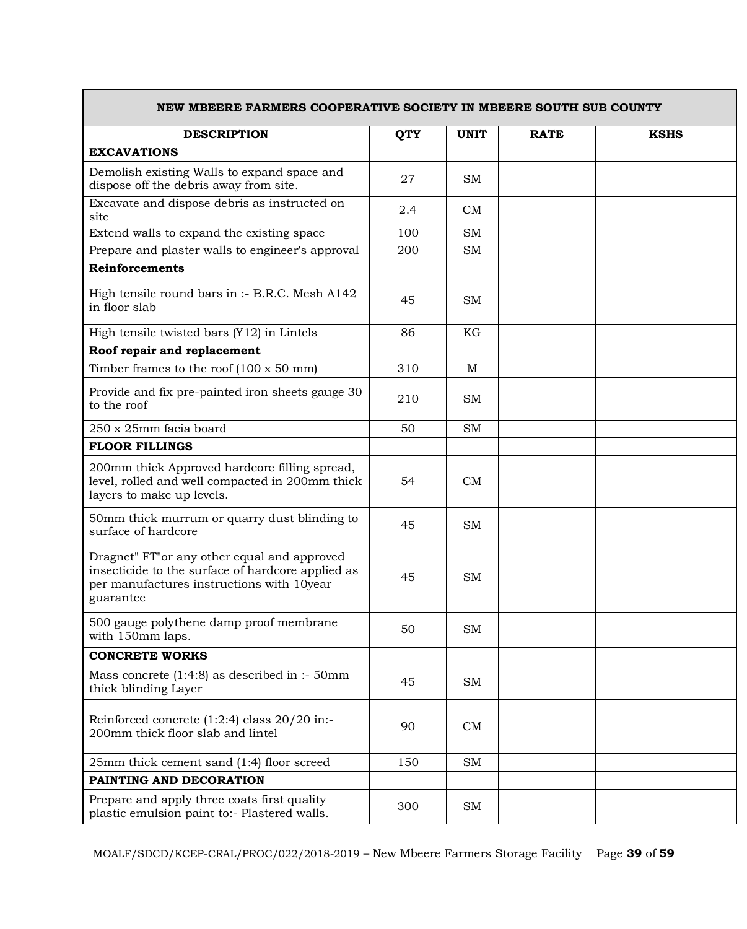| NEW MBEERE FARMERS COOPERATIVE SOCIETY IN MBEERE SOUTH SUB COUNTY                                                                                           |            |             |             |             |
|-------------------------------------------------------------------------------------------------------------------------------------------------------------|------------|-------------|-------------|-------------|
| <b>DESCRIPTION</b>                                                                                                                                          | <b>QTY</b> | <b>UNIT</b> | <b>RATE</b> | <b>KSHS</b> |
| <b>EXCAVATIONS</b>                                                                                                                                          |            |             |             |             |
| Demolish existing Walls to expand space and<br>dispose off the debris away from site.                                                                       | 27         | <b>SM</b>   |             |             |
| Excavate and dispose debris as instructed on<br>site                                                                                                        | 2.4        | CM          |             |             |
| Extend walls to expand the existing space                                                                                                                   | 100        | SM          |             |             |
| Prepare and plaster walls to engineer's approval                                                                                                            | 200        | SM          |             |             |
| <b>Reinforcements</b>                                                                                                                                       |            |             |             |             |
| High tensile round bars in :- B.R.C. Mesh A142<br>in floor slab                                                                                             | 45         | <b>SM</b>   |             |             |
| High tensile twisted bars (Y12) in Lintels                                                                                                                  | 86         | KG          |             |             |
| Roof repair and replacement                                                                                                                                 |            |             |             |             |
| Timber frames to the roof $(100 \times 50 \text{ mm})$                                                                                                      | 310        | M           |             |             |
| Provide and fix pre-painted iron sheets gauge 30<br>to the roof                                                                                             | 210        | SM          |             |             |
| 250 x 25mm facia board                                                                                                                                      | 50         | <b>SM</b>   |             |             |
| <b>FLOOR FILLINGS</b>                                                                                                                                       |            |             |             |             |
| 200mm thick Approved hardcore filling spread,<br>level, rolled and well compacted in 200mm thick<br>layers to make up levels.                               | 54         | CM          |             |             |
| 50mm thick murrum or quarry dust blinding to<br>surface of hardcore                                                                                         | 45         | SM          |             |             |
| Dragnet" FT" or any other equal and approved<br>insecticide to the surface of hardcore applied as<br>per manufactures instructions with 10year<br>guarantee | 45         | <b>SM</b>   |             |             |
| 500 gauge polythene damp proof membrane<br>with 150mm laps.                                                                                                 | 50         | SM          |             |             |
| <b>CONCRETE WORKS</b>                                                                                                                                       |            |             |             |             |
| Mass concrete $(1:4:8)$ as described in :- 50mm<br>thick blinding Layer                                                                                     | 45         | SM          |             |             |
| Reinforced concrete $(1:2:4)$ class $20/20$ in:-<br>200mm thick floor slab and lintel                                                                       | 90         | CM          |             |             |
| 25mm thick cement sand (1:4) floor screed                                                                                                                   | 150        | <b>SM</b>   |             |             |
| PAINTING AND DECORATION                                                                                                                                     |            |             |             |             |
| Prepare and apply three coats first quality<br>plastic emulsion paint to:- Plastered walls.                                                                 | 300        | SМ          |             |             |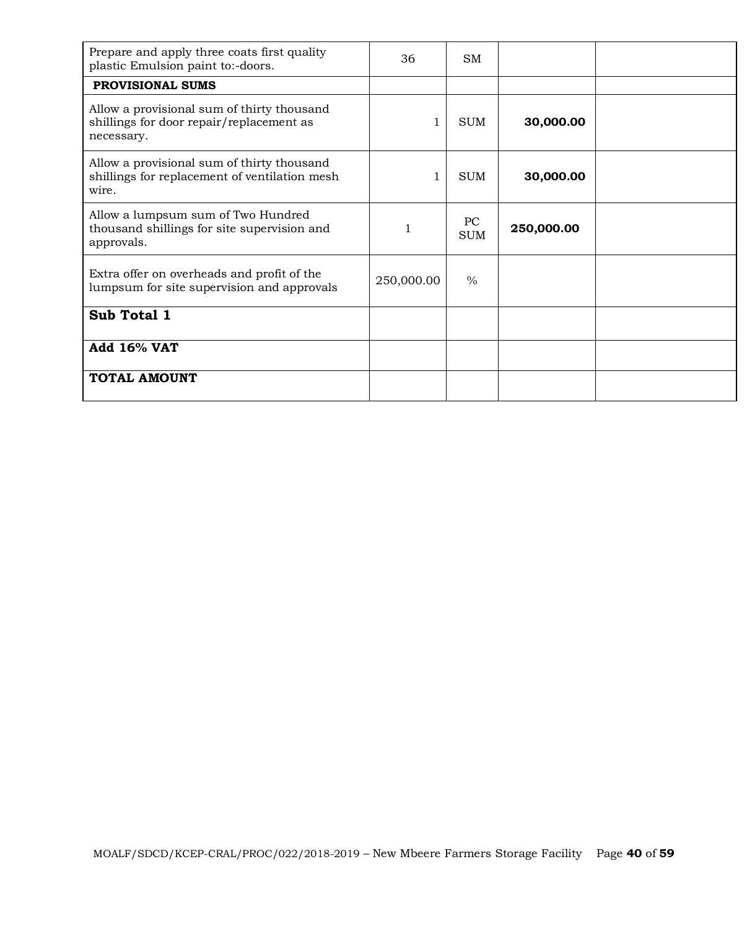| Prepare and apply three coats first quality<br>plastic Emulsion paint to:-doors.                     | 36         | <b>SM</b>        |            |  |
|------------------------------------------------------------------------------------------------------|------------|------------------|------------|--|
| PROVISIONAL SUMS                                                                                     |            |                  |            |  |
| Allow a provisional sum of thirty thousand<br>shillings for door repair/replacement as<br>necessary. | 1          | <b>SUM</b>       | 30,000.00  |  |
| Allow a provisional sum of thirty thousand<br>shillings for replacement of ventilation mesh<br>wire. | 1          | <b>SUM</b>       | 30,000.00  |  |
| Allow a lumpsum sum of Two Hundred<br>thousand shillings for site supervision and<br>approvals.      |            | PC<br><b>SUM</b> | 250,000.00 |  |
| Extra offer on overheads and profit of the<br>lumpsum for site supervision and approvals             | 250,000.00 | $\frac{0}{0}$    |            |  |
| Sub Total 1                                                                                          |            |                  |            |  |
| <b>Add 16% VAT</b>                                                                                   |            |                  |            |  |
| <b>TOTAL AMOUNT</b>                                                                                  |            |                  |            |  |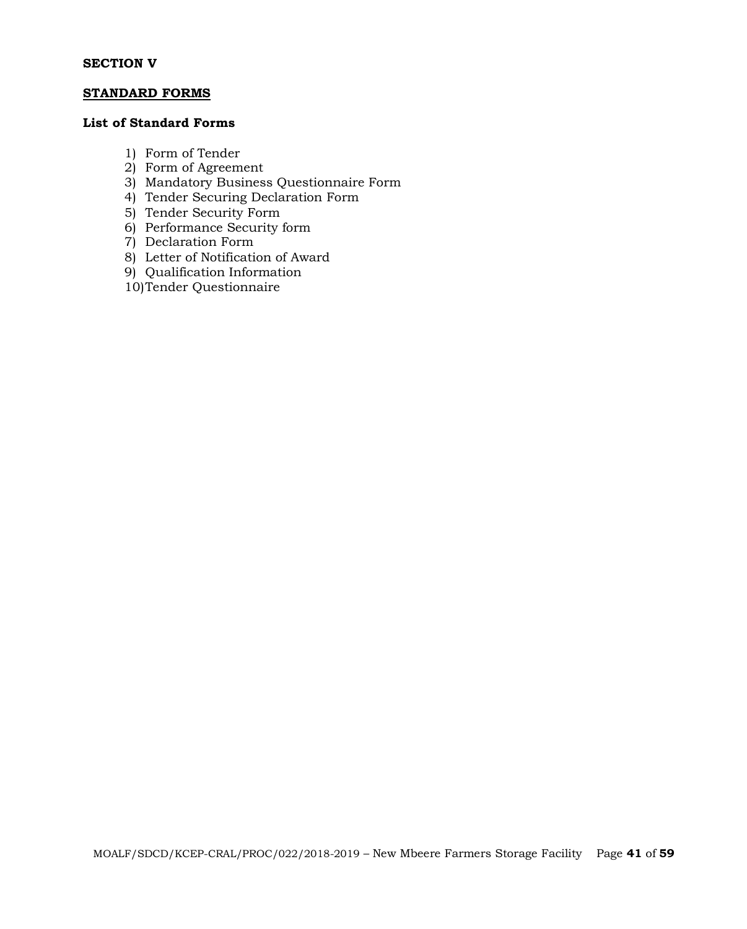#### **SECTION V**

#### **STANDARD FORMS**

#### **List of Standard Forms**

- 1) Form of Tender
- 2) Form of Agreement
- 3) Mandatory Business Questionnaire Form
- 4) Tender Securing Declaration Form
- 5) Tender Security Form
- 6) Performance Security form
- 7) Declaration Form
- 8) Letter of Notification of Award
- 9) Qualification Information
- 10)Tender Questionnaire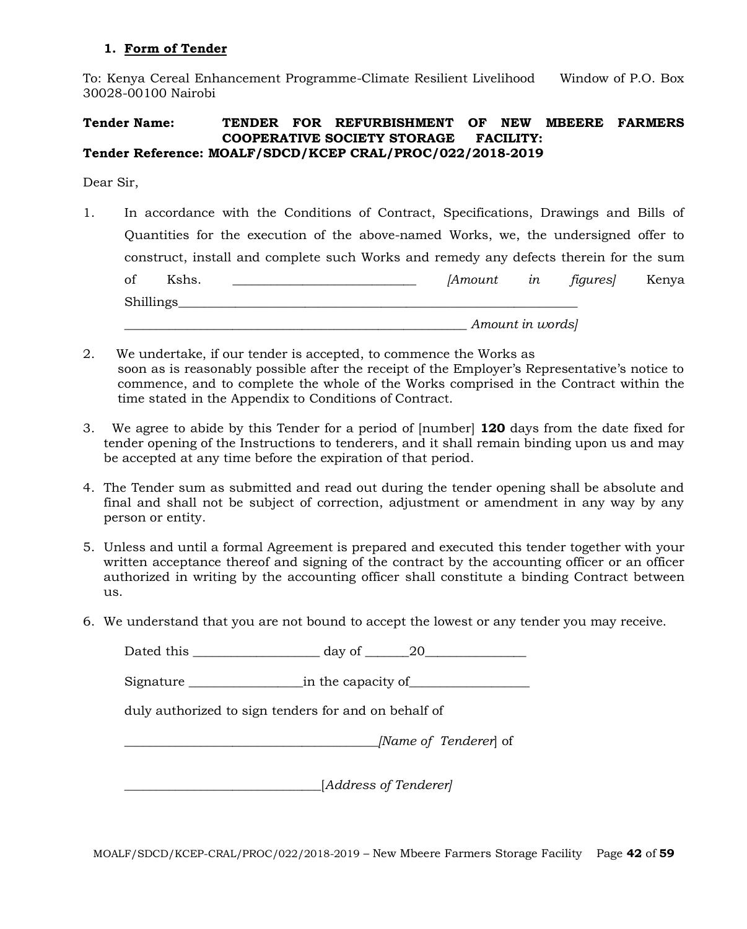#### **1. Form of Tender**

To: Kenya Cereal Enhancement Programme-Climate Resilient Livelihood Window of P.O. Box 30028-00100 Nairobi

#### **Tender Name: TENDER FOR REFURBISHMENT OF NEW MBEERE FARMERS COOPERATIVE SOCIETY STORAGE FACILITY: Tender Reference: MOALF/SDCD/KCEP CRAL/PROC/022/2018-2019**

Dear Sir,

- 1. In accordance with the Conditions of Contract, Specifications, Drawings and Bills of Quantities for the execution of the above-named Works, we, the undersigned offer to construct, install and complete such Works and remedy any defects therein for the sum of Kshs. \_\_\_\_\_\_\_\_\_\_\_\_\_\_\_\_\_\_\_\_\_\_\_\_\_\_\_\_\_ *[Amount in figures]* Kenya Shillings *\_\_\_\_\_\_\_\_\_\_\_\_\_\_\_\_\_\_\_\_\_\_\_\_\_\_\_\_\_\_\_\_\_\_\_\_\_\_\_\_\_\_\_\_\_\_\_\_\_\_\_\_\_\_ Amount in words]*
- 2. We undertake, if our tender is accepted, to commence the Works as soon as is reasonably possible after the receipt of the Employer's Representative's notice to commence, and to complete the whole of the Works comprised in the Contract within the time stated in the Appendix to Conditions of Contract.
- 3. We agree to abide by this Tender for a period of [number] **120** days from the date fixed for tender opening of the Instructions to tenderers, and it shall remain binding upon us and may be accepted at any time before the expiration of that period.
- 4. The Tender sum as submitted and read out during the tender opening shall be absolute and final and shall not be subject of correction, adjustment or amendment in any way by any person or entity.
- 5. Unless and until a formal Agreement is prepared and executed this tender together with your written acceptance thereof and signing of the contract by the accounting officer or an officer authorized in writing by the accounting officer shall constitute a binding Contract between us.
- 6. We understand that you are not bound to accept the lowest or any tender you may receive.

| day of $\_\_\_20$                                    |
|------------------------------------------------------|
|                                                      |
| duly authorized to sign tenders for and on behalf of |
| [Name of Tenderer] of                                |
| [Address of Tenderer]                                |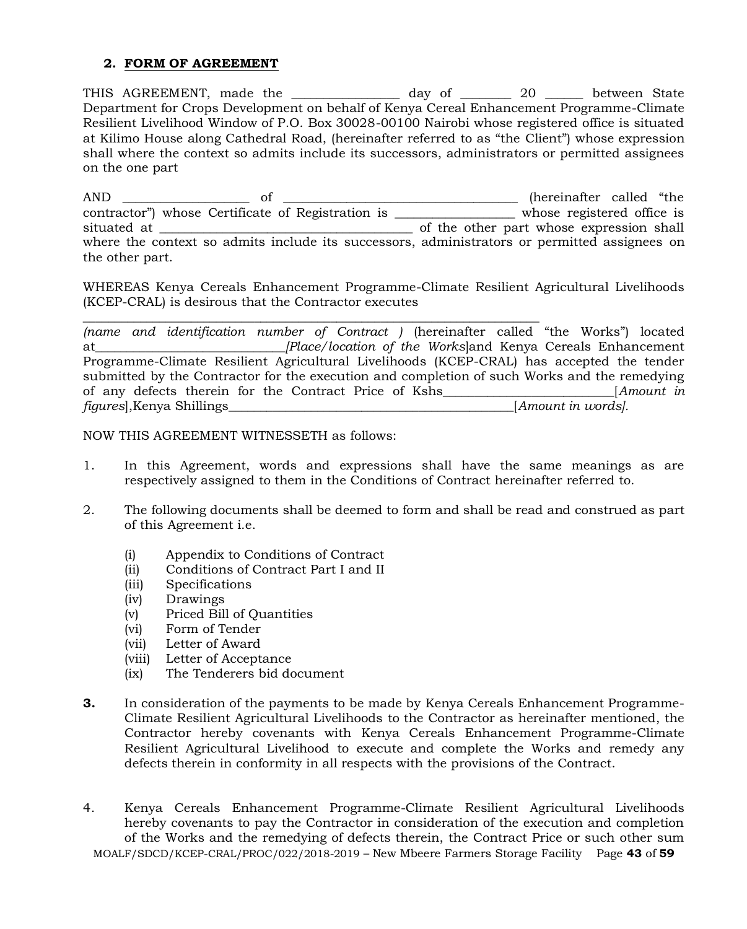#### **2. FORM OF AGREEMENT**

THIS AGREEMENT, made the \_\_\_\_\_\_\_\_\_\_\_\_\_\_\_\_\_ day of \_\_\_\_\_\_\_\_ 20 \_\_\_\_\_\_ between State Department for Crops Development on behalf of Kenya Cereal Enhancement Programme-Climate Resilient Livelihood Window of P.O. Box 30028-00100 Nairobi whose registered office is situated at Kilimo House along Cathedral Road, (hereinafter referred to as "the Client") whose expression shall where the context so admits include its successors, administrators or permitted assignees on the one part

AND \_\_\_\_\_\_\_\_\_\_\_\_\_\_\_\_\_\_\_\_ of \_\_\_\_\_\_\_\_\_\_\_\_\_\_\_\_\_\_\_\_\_\_\_\_\_\_\_\_\_\_\_\_\_\_\_\_\_ (hereinafter called "the contractor") whose Certificate of Registration is \_\_\_\_\_\_\_\_\_\_\_\_\_\_\_\_\_\_\_ whose registered office is situated at \_\_\_\_\_\_\_\_\_\_\_\_\_\_\_\_\_\_\_\_\_\_\_\_\_\_\_\_\_\_\_\_\_\_\_\_\_\_\_\_ of the other part whose expression shall where the context so admits include its successors, administrators or permitted assignees on the other part.

WHEREAS Kenya Cereals Enhancement Programme-Climate Resilient Agricultural Livelihoods (KCEP-CRAL) is desirous that the Contractor executes

\_\_\_\_\_\_\_\_\_\_\_\_\_\_\_\_\_\_\_\_\_\_\_\_\_\_\_\_\_\_\_\_\_\_\_\_\_\_\_\_\_\_\_\_\_\_\_\_\_\_\_\_\_\_\_\_\_\_\_\_\_\_\_\_\_\_\_\_\_\_\_\_ *(name and identification number of Contract )* (hereinafter called "the Works") located at*\_\_\_\_\_\_\_\_\_\_\_\_\_\_\_\_\_\_\_\_\_\_\_\_\_\_\_\_\_\_[Place/location of the Works*]and Kenya Cereals Enhancement Programme-Climate Resilient Agricultural Livelihoods (KCEP-CRAL) has accepted the tender submitted by the Contractor for the execution and completion of such Works and the remedying of any defects therein for the Contract Price of Kshs\_\_\_\_\_\_\_\_\_\_\_\_\_\_\_\_\_\_\_\_\_\_\_\_\_\_\_[*Amount in figures*],Kenya Shillings\_\_\_\_\_\_\_\_\_\_\_\_\_\_\_\_\_\_\_\_\_\_\_\_\_\_\_\_\_\_\_\_\_\_\_\_\_\_\_\_\_\_\_\_\_[*Amount in words].*

NOW THIS AGREEMENT WITNESSETH as follows:

- 1. In this Agreement, words and expressions shall have the same meanings as are respectively assigned to them in the Conditions of Contract hereinafter referred to.
- 2. The following documents shall be deemed to form and shall be read and construed as part of this Agreement i.e.
	- (i) Appendix to Conditions of Contract
	- (ii) Conditions of Contract Part I and II
	- (iii) Specifications
	- (iv) Drawings
	- (v) Priced Bill of Quantities
	- (vi) Form of Tender
	- (vii) Letter of Award
	- (viii) Letter of Acceptance
	- (ix) The Tenderers bid document
- **3.** In consideration of the payments to be made by Kenya Cereals Enhancement Programme-Climate Resilient Agricultural Livelihoods to the Contractor as hereinafter mentioned, the Contractor hereby covenants with Kenya Cereals Enhancement Programme-Climate Resilient Agricultural Livelihood to execute and complete the Works and remedy any defects therein in conformity in all respects with the provisions of the Contract.
- MOALF/SDCD/KCEP-CRAL/PROC/022/2018-2019 New Mbeere Farmers Storage Facility Page **43** of **59** 4. Kenya Cereals Enhancement Programme-Climate Resilient Agricultural Livelihoods hereby covenants to pay the Contractor in consideration of the execution and completion of the Works and the remedying of defects therein, the Contract Price or such other sum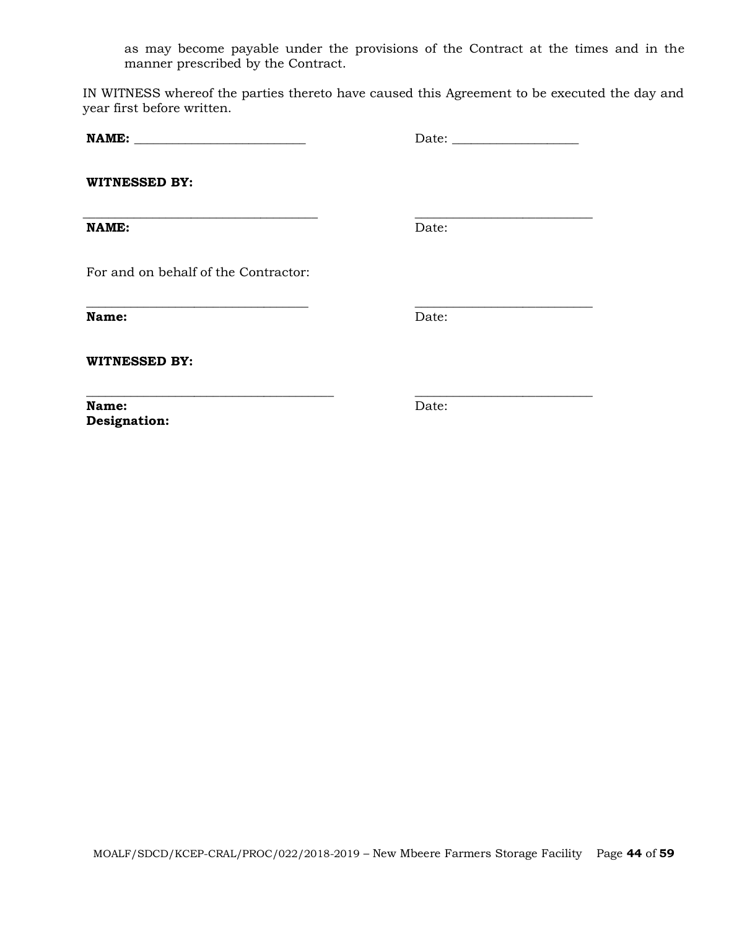as may become payable under the provisions of the Contract at the times and in the manner prescribed by the Contract.

IN WITNESS whereof the parties thereto have caused this Agreement to be executed the day and year first before written.

**\_\_\_\_\_\_\_\_\_\_\_\_\_\_\_\_\_\_\_\_\_\_\_\_\_\_\_\_\_\_\_\_\_\_\_ \_\_\_\_\_\_\_\_\_\_\_\_\_\_\_\_\_\_\_\_\_\_\_\_\_\_\_\_**

**NAME: \_\_\_\_\_\_\_\_\_\_\_\_\_\_\_\_\_\_\_\_\_\_\_\_\_\_\_** Date: \_\_\_\_\_\_\_\_\_\_\_\_\_\_\_\_\_\_\_\_

**WITNESSED BY:**

**NAME:** Date:

**\_\_\_\_\_\_\_\_\_\_\_\_\_\_\_\_\_\_\_\_\_\_\_\_\_\_\_\_\_\_\_\_\_\_\_\_\_ \_\_\_\_\_\_\_\_\_\_\_\_\_\_\_\_\_\_\_\_\_\_\_\_\_\_\_\_**

For and on behalf of the Contractor:

**Name:** Date:

**WITNESSED BY:**

**Name:** Date: **Designation:** 

**\_\_\_\_\_\_\_\_\_\_\_\_\_\_\_\_\_\_\_\_\_\_\_\_\_\_\_\_\_\_\_\_\_\_\_\_\_\_\_ \_\_\_\_\_\_\_\_\_\_\_\_\_\_\_\_\_\_\_\_\_\_\_\_\_\_\_\_**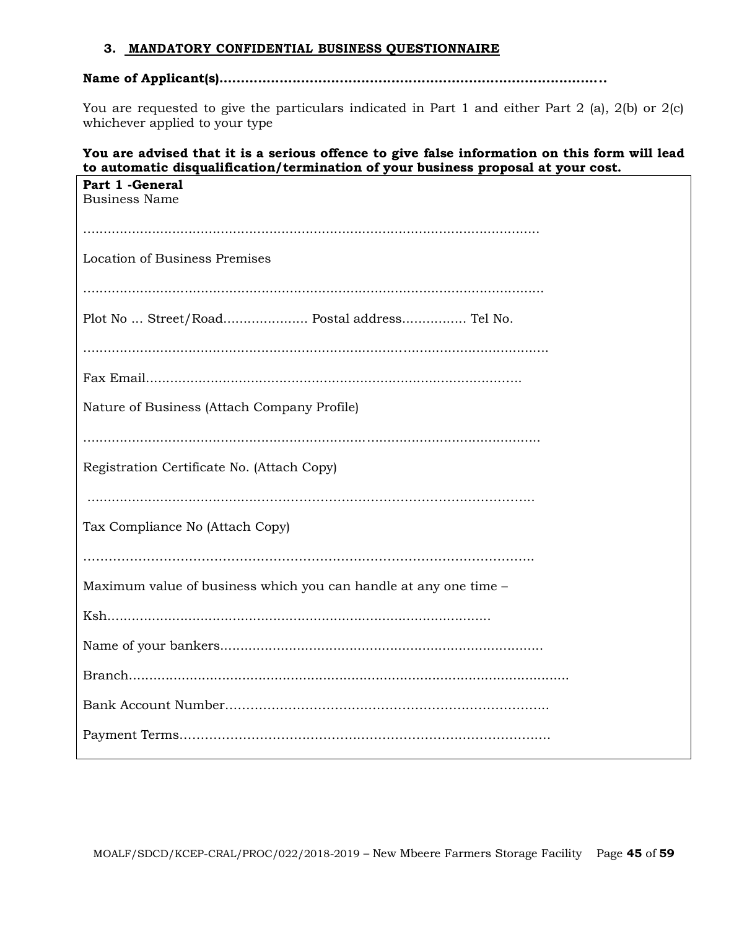#### **3. MANDATORY CONFIDENTIAL BUSINESS QUESTIONNAIRE**

## **Name of Applicant(s)..........................................................................................**

You are requested to give the particulars indicated in Part 1 and either Part 2 (a), 2(b) or 2(c) whichever applied to your type

#### **You are advised that it is a serious offence to give false information on this form will lead to automatic disqualification/termination of your business proposal at your cost.**

| Part 1 - General<br><b>Business Name</b>                         |  |  |  |
|------------------------------------------------------------------|--|--|--|
|                                                                  |  |  |  |
| Location of Business Premises                                    |  |  |  |
|                                                                  |  |  |  |
| Plot No  Street/Road Postal address Tel No.                      |  |  |  |
|                                                                  |  |  |  |
|                                                                  |  |  |  |
| Nature of Business (Attach Company Profile)                      |  |  |  |
|                                                                  |  |  |  |
| Registration Certificate No. (Attach Copy)                       |  |  |  |
|                                                                  |  |  |  |
| Tax Compliance No (Attach Copy)                                  |  |  |  |
|                                                                  |  |  |  |
| Maximum value of business which you can handle at any one time - |  |  |  |
|                                                                  |  |  |  |
|                                                                  |  |  |  |
|                                                                  |  |  |  |
|                                                                  |  |  |  |
|                                                                  |  |  |  |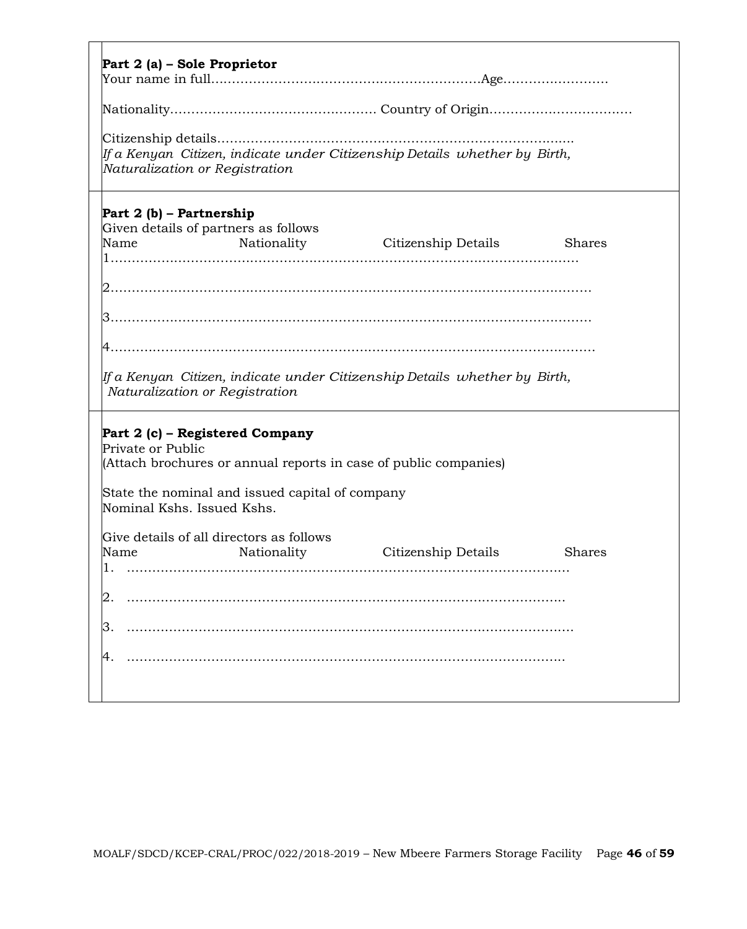| Part 2 (a) – Sole Proprietor                    |                                                                                    |                                                                              |               |
|-------------------------------------------------|------------------------------------------------------------------------------------|------------------------------------------------------------------------------|---------------|
|                                                 |                                                                                    |                                                                              |               |
|                                                 |                                                                                    |                                                                              |               |
| Naturalization or Registration                  |                                                                                    | If a Kenyan  Citizen, indicate under Citizenship Details  whether by  Birth, |               |
| Part 2 (b) – Partnership<br>Name                | Given details of partners as follows                                               | Nationality Citizenship Details                                              | <b>Shares</b> |
|                                                 |                                                                                    |                                                                              |               |
| Naturalization or Registration                  |                                                                                    | lf a Kenyan  Citizen, indicate under Citizenship Details  whether by  Birth, |               |
| Private or Public<br>Nominal Kshs. Issued Kshs. | Part 2 (c) – Registered Company<br>State the nominal and issued capital of company | (Attach brochures or annual reports in case of public companies)             |               |
| Name                                            | Give details of all directors as follows<br>Nationality                            | Citizenship Details                                                          | <b>Shares</b> |
|                                                 |                                                                                    |                                                                              |               |
|                                                 |                                                                                    |                                                                              |               |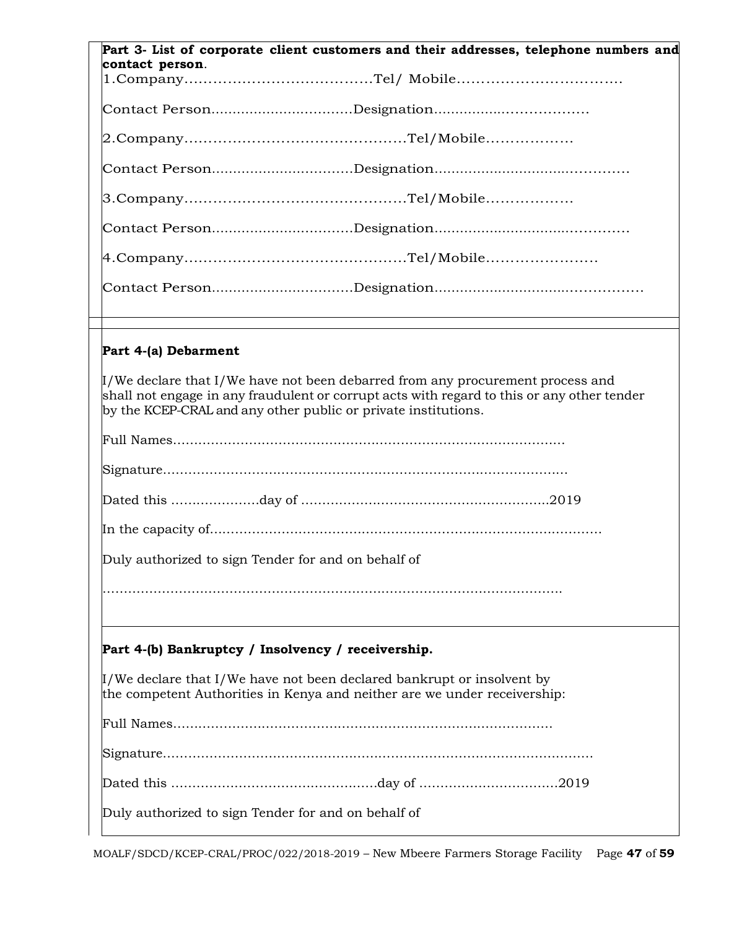|                      | Part 3- List of corporate client customers and their addresses, telephone numbers and                                                                                                                                                               |
|----------------------|-----------------------------------------------------------------------------------------------------------------------------------------------------------------------------------------------------------------------------------------------------|
| contact person.      |                                                                                                                                                                                                                                                     |
|                      |                                                                                                                                                                                                                                                     |
|                      |                                                                                                                                                                                                                                                     |
|                      |                                                                                                                                                                                                                                                     |
|                      |                                                                                                                                                                                                                                                     |
|                      |                                                                                                                                                                                                                                                     |
|                      |                                                                                                                                                                                                                                                     |
|                      |                                                                                                                                                                                                                                                     |
|                      |                                                                                                                                                                                                                                                     |
|                      |                                                                                                                                                                                                                                                     |
| Part 4-(a) Debarment |                                                                                                                                                                                                                                                     |
|                      | $\mu$ /We declare that I/We have not been debarred from any procurement process and<br>shall not engage in any fraudulent or corrupt acts with regard to this or any other tender<br>by the KCEP-CRAL and any other public or private institutions. |
|                      |                                                                                                                                                                                                                                                     |
|                      |                                                                                                                                                                                                                                                     |
|                      |                                                                                                                                                                                                                                                     |
|                      |                                                                                                                                                                                                                                                     |
|                      | Duly authorized to sign Tender for and on behalf of                                                                                                                                                                                                 |
|                      |                                                                                                                                                                                                                                                     |
|                      | Part 4-(b) Bankruptcy / Insolvency / receivership.                                                                                                                                                                                                  |
|                      | $\mu$ /We declare that I/We have not been declared bankrupt or insolvent by<br>the competent Authorities in Kenya and neither are we under receivership:                                                                                            |
|                      |                                                                                                                                                                                                                                                     |
|                      |                                                                                                                                                                                                                                                     |
|                      |                                                                                                                                                                                                                                                     |
|                      | Duly authorized to sign Tender for and on behalf of                                                                                                                                                                                                 |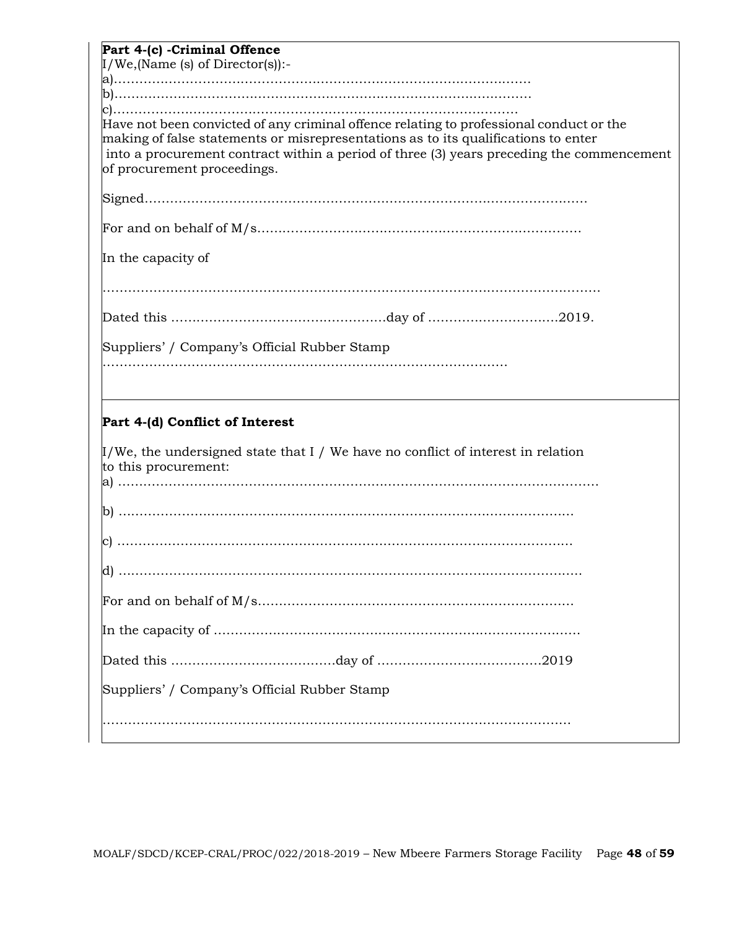| Part 4-(c) -Criminal Offence                                                                                  |
|---------------------------------------------------------------------------------------------------------------|
| $I/We$ , (Name (s) of Director(s)):-                                                                          |
|                                                                                                               |
|                                                                                                               |
| Have not been convicted of any criminal offence relating to professional conduct or the                       |
| making of false statements or misrepresentations as to its qualifications to enter                            |
| into a procurement contract within a period of three (3) years preceding the commencement                     |
| of procurement proceedings.                                                                                   |
|                                                                                                               |
|                                                                                                               |
| In the capacity of                                                                                            |
|                                                                                                               |
|                                                                                                               |
| Suppliers' / Company's Official Rubber Stamp                                                                  |
|                                                                                                               |
| Part 4-(d) Conflict of Interest                                                                               |
| $\mu$ /We, the undersigned state that I / We have no conflict of interest in relation<br>to this procurement: |
|                                                                                                               |
|                                                                                                               |
|                                                                                                               |
|                                                                                                               |
|                                                                                                               |
|                                                                                                               |
|                                                                                                               |
|                                                                                                               |
| Suppliers' / Company's Official Rubber Stamp                                                                  |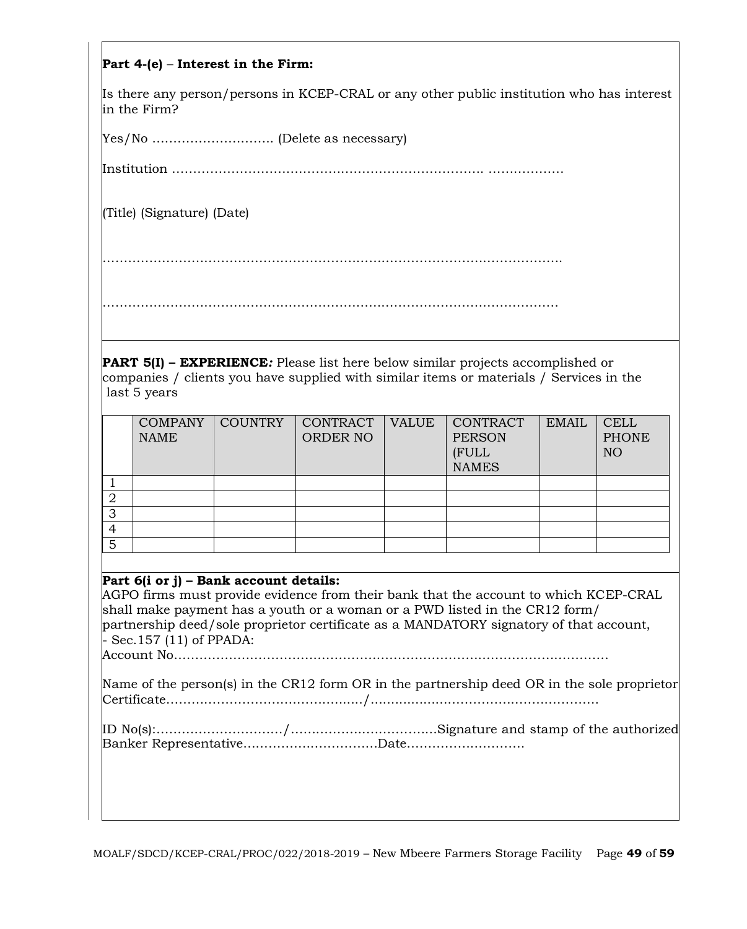## **Part 4-(e)** – **Interest in the Firm:**

Is there any person/persons in KCEP-CRAL or any other public institution who has interest in the Firm?

Yes/No ……………………….. (Delete as necessary)

Institution ………………………….……………………………………. ………………

(Title) (Signature) (Date)

……………………………………………………………………………………………….

………………………………………………………………………………………………

**PART 5(I) – EXPERIENCE***:* Please list here below similar projects accomplished or companies / clients you have supplied with similar items or materials / Services in the last 5 years

|   | <b>COMPANY</b><br><b>NAME</b> | <b>COUNTRY</b> | CONTRACT<br><b>ORDER NO</b> | <b>VALUE</b> | <b>CONTRACT</b><br><b>PERSON</b><br>(FULL<br><b>NAMES</b> | <b>EMAIL</b> | <b>CELL</b><br><b>PHONE</b><br>NO |
|---|-------------------------------|----------------|-----------------------------|--------------|-----------------------------------------------------------|--------------|-----------------------------------|
|   |                               |                |                             |              |                                                           |              |                                   |
| ∠ |                               |                |                             |              |                                                           |              |                                   |
| 3 |                               |                |                             |              |                                                           |              |                                   |
| 4 |                               |                |                             |              |                                                           |              |                                   |
| 5 |                               |                |                             |              |                                                           |              |                                   |

#### **Part 6(i or j) – Bank account details:**

AGPO firms must provide evidence from their bank that the account to which KCEP-CRAL shall make payment has a youth or a woman or a PWD listed in the CR12 form/ partnership deed/sole proprietor certificate as a MANDATORY signatory of that account, - Sec.157 (11) of PPADA:

Account No………………………………………………………………………………………….

| Name of the person(s) in the CR12 form OR in the partnership deed OR in the sole proprietor |
|---------------------------------------------------------------------------------------------|
|                                                                                             |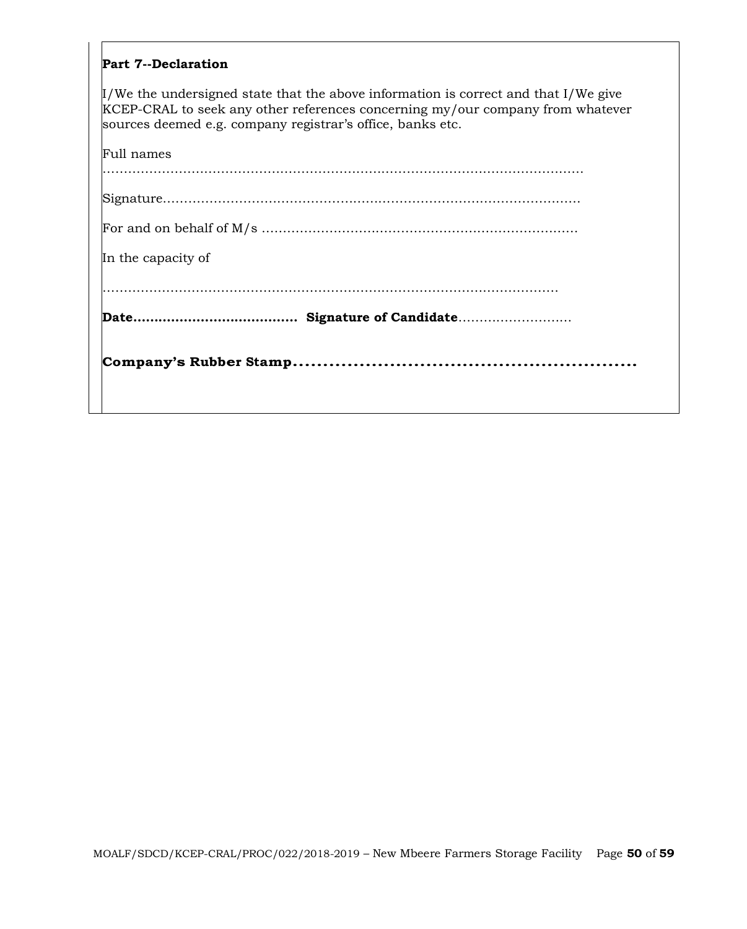#### **Part 7--Declaration**

I/We the undersigned state that the above information is correct and that I/We give KCEP-CRAL to seek any other references concerning my/our company from whatever sources deemed e.g. company registrar's office, banks etc.

| In the capacity of |
|--------------------|
|                    |
|                    |
| Full names         |
|                    |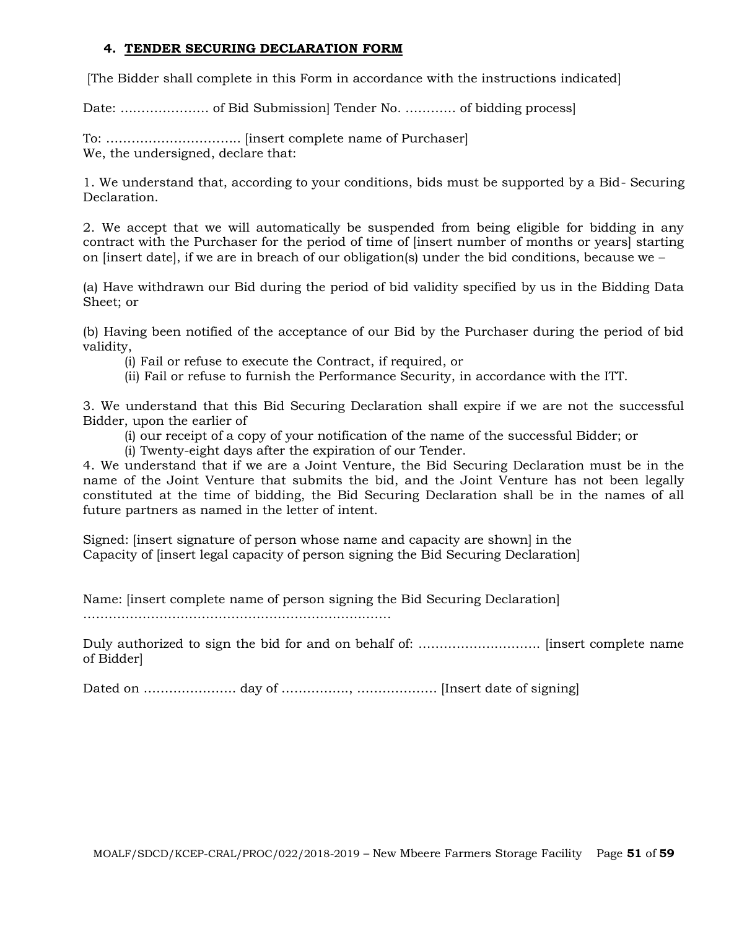#### **4. TENDER SECURING DECLARATION FORM**

[The Bidder shall complete in this Form in accordance with the instructions indicated]

Date: ………………… of Bid Submission] Tender No. ………… of bidding process]

To: ………………………….. [insert complete name of Purchaser] We, the undersigned, declare that:

1. We understand that, according to your conditions, bids must be supported by a Bid- Securing Declaration.

2. We accept that we will automatically be suspended from being eligible for bidding in any contract with the Purchaser for the period of time of linsert number of months or years starting on [insert date], if we are in breach of our obligation(s) under the bid conditions, because we  $-$ 

(a) Have withdrawn our Bid during the period of bid validity specified by us in the Bidding Data Sheet; or

(b) Having been notified of the acceptance of our Bid by the Purchaser during the period of bid validity,

(i) Fail or refuse to execute the Contract, if required, or

(ii) Fail or refuse to furnish the Performance Security, in accordance with the ITT.

3. We understand that this Bid Securing Declaration shall expire if we are not the successful Bidder, upon the earlier of

(i) our receipt of a copy of your notification of the name of the successful Bidder; or

(i) Twenty-eight days after the expiration of our Tender.

4. We understand that if we are a Joint Venture, the Bid Securing Declaration must be in the name of the Joint Venture that submits the bid, and the Joint Venture has not been legally constituted at the time of bidding, the Bid Securing Declaration shall be in the names of all future partners as named in the letter of intent.

Signed: [insert signature of person whose name and capacity are shown] in the Capacity of [insert legal capacity of person signing the Bid Securing Declaration]

Name: [insert complete name of person signing the Bid Securing Declaration]

……………………………………………………………….

Duly authorized to sign the bid for and on behalf of: ……………………………………… [insert complete name of Bidder]

Dated on …………………. day of ……………., ………………. [Insert date of signing]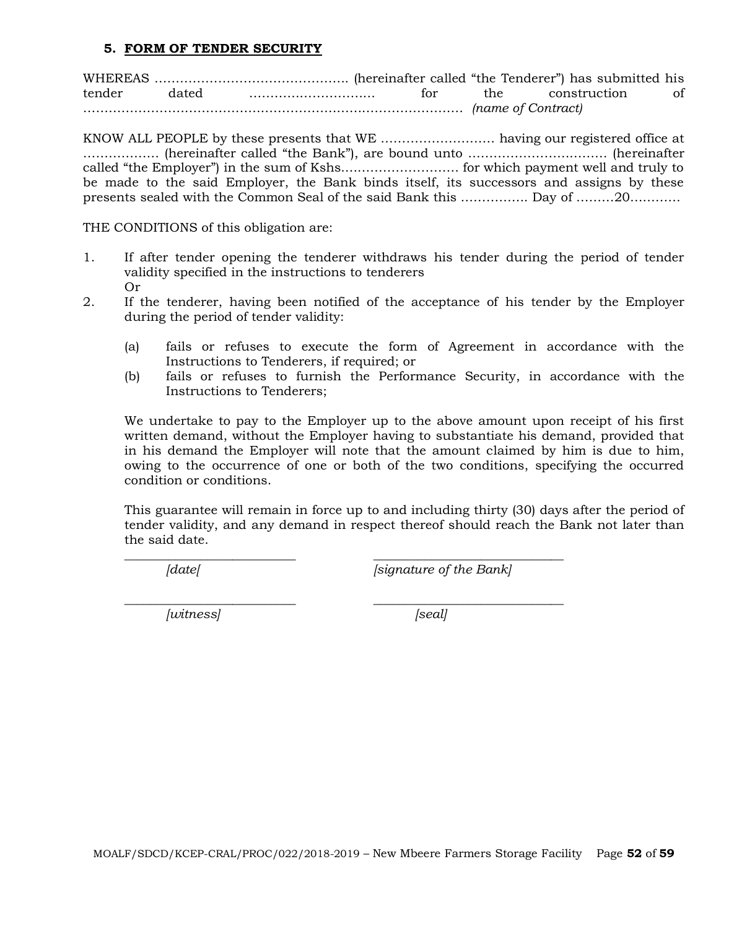#### **5. FORM OF TENDER SECURITY**

WHEREAS ………………………………………. (hereinafter called "the Tenderer") has submitted his tender dated ………………………… for the construction of ……………………………………………………………………………… *(name of Contract)*

KNOW ALL PEOPLE by these presents that WE ……………………… having our registered office at ……………… (hereinafter called "the Bank"), are bound unto …………………………… (hereinafter called "the Employer") in the sum of Kshs.……………………… for which payment well and truly to be made to the said Employer, the Bank binds itself, its successors and assigns by these presents sealed with the Common Seal of the said Bank this ……………. Day of ………20…………

THE CONDITIONS of this obligation are:

- 1. If after tender opening the tenderer withdraws his tender during the period of tender validity specified in the instructions to tenderers Or
- 2. If the tenderer, having been notified of the acceptance of his tender by the Employer during the period of tender validity:
	- (a) fails or refuses to execute the form of Agreement in accordance with the Instructions to Tenderers, if required; or
	- (b) fails or refuses to furnish the Performance Security, in accordance with the Instructions to Tenderers;

We undertake to pay to the Employer up to the above amount upon receipt of his first written demand, without the Employer having to substantiate his demand, provided that in his demand the Employer will note that the amount claimed by him is due to him, owing to the occurrence of one or both of the two conditions, specifying the occurred condition or conditions.

This guarantee will remain in force up to and including thirty (30) days after the period of tender validity, and any demand in respect thereof should reach the Bank not later than the said date.

\_\_\_\_\_\_\_\_\_\_\_\_\_\_\_\_\_\_\_\_\_\_\_\_\_\_\_ \_\_\_\_\_\_\_\_\_\_\_\_\_\_\_\_\_\_\_\_\_\_\_\_\_\_\_\_\_\_

*[date[ [signature of the Bank]*

*\_\_\_\_\_\_\_\_\_\_\_\_\_\_\_\_\_\_\_\_\_\_\_\_\_\_\_ \_\_\_\_\_\_\_\_\_\_\_\_\_\_\_\_\_\_\_\_\_\_\_\_\_\_\_\_\_\_ [witness] [seal]*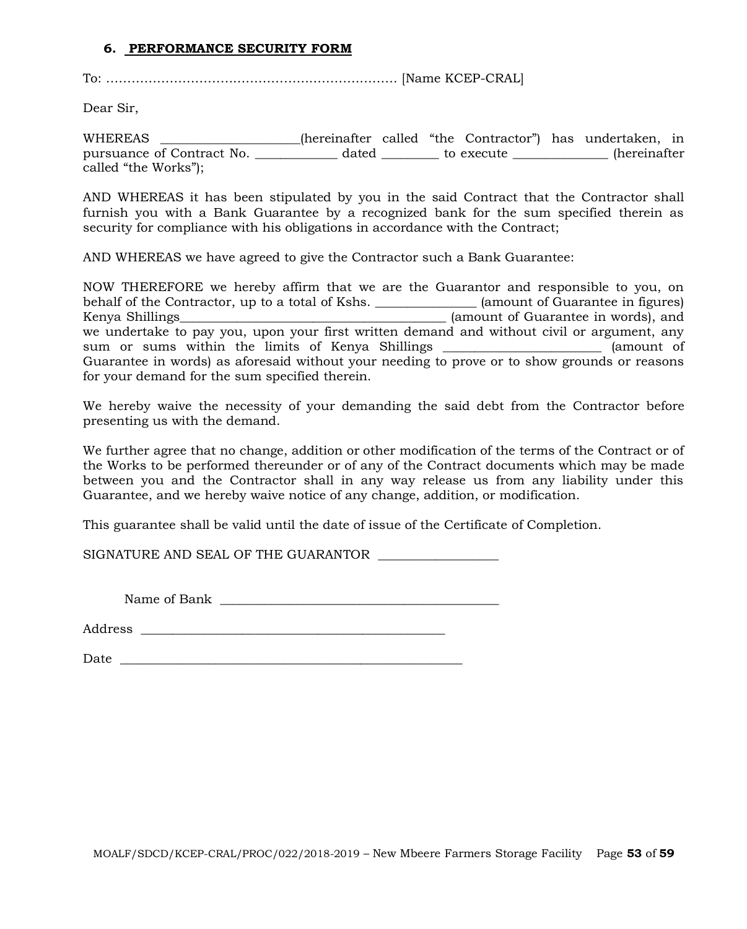#### **6. PERFORMANCE SECURITY FORM**

To: …………………………………………………………… [Name KCEP-CRAL]

Dear Sir,

WHEREAS \_\_\_\_\_\_\_\_\_\_\_\_\_\_\_\_\_\_\_\_\_\_(hereinafter called "the Contractor") has undertaken, in pursuance of Contract No. <br>
dated to execute the secure (hereinafter called "the Works");

AND WHEREAS it has been stipulated by you in the said Contract that the Contractor shall furnish you with a Bank Guarantee by a recognized bank for the sum specified therein as security for compliance with his obligations in accordance with the Contract;

AND WHEREAS we have agreed to give the Contractor such a Bank Guarantee:

NOW THEREFORE we hereby affirm that we are the Guarantor and responsible to you, on behalf of the Contractor, up to a total of Kshs. \_\_\_\_\_\_\_\_\_\_\_\_\_\_\_\_\_ (amount of Guarantee in figures) Kenya Shillings\_\_\_\_\_\_\_\_\_\_\_\_\_\_\_\_\_\_\_\_\_\_\_\_\_\_\_\_\_\_\_\_\_\_\_\_\_\_\_\_\_\_ (amount of Guarantee in words), and we undertake to pay you, upon your first written demand and without civil or argument, any sum or sums within the limits of Kenya Shillings (amount of Guarantee in words) as aforesaid without your needing to prove or to show grounds or reasons for your demand for the sum specified therein.

We hereby waive the necessity of your demanding the said debt from the Contractor before presenting us with the demand.

We further agree that no change, addition or other modification of the terms of the Contract or of the Works to be performed thereunder or of any of the Contract documents which may be made between you and the Contractor shall in any way release us from any liability under this Guarantee, and we hereby waive notice of any change, addition, or modification.

This guarantee shall be valid until the date of issue of the Certificate of Completion.

SIGNATURE AND SEAL OF THE GUARANTOR \_\_\_\_\_\_\_\_\_\_\_\_\_\_\_\_\_\_\_

Name of Bank \_\_\_\_\_\_\_\_\_\_\_\_\_\_\_\_\_\_\_\_\_\_\_\_\_\_\_\_\_\_\_\_\_\_\_\_\_\_\_\_\_\_\_\_

Address \_\_\_\_\_\_\_\_\_\_\_\_\_\_\_\_\_\_\_\_\_\_\_\_\_\_\_\_\_\_\_\_\_\_\_\_\_\_\_\_\_\_\_\_\_\_\_\_

 $Date$   $\Box$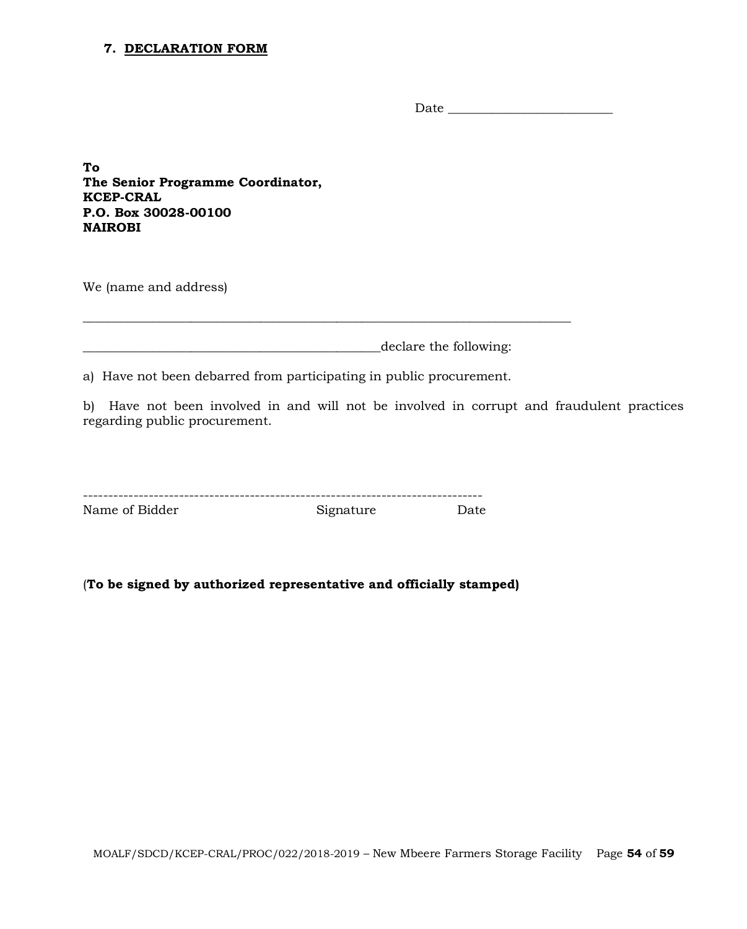#### **7. DECLARATION FORM**

Date \_\_\_\_\_\_\_\_\_\_\_\_\_\_\_\_\_\_\_\_\_\_\_\_\_\_

**To The Senior Programme Coordinator, KCEP-CRAL P.O. Box 30028-00100 NAIROBI**

We (name and address)

\_\_\_\_\_\_\_\_\_\_\_\_\_\_\_\_\_\_\_\_\_\_\_\_\_\_\_\_\_\_\_\_\_\_\_\_\_\_\_\_\_\_\_\_\_\_\_declare the following:

a) Have not been debarred from participating in public procurement.

\_\_\_\_\_\_\_\_\_\_\_\_\_\_\_\_\_\_\_\_\_\_\_\_\_\_\_\_\_\_\_\_\_\_\_\_\_\_\_\_\_\_\_\_\_\_\_\_\_\_\_\_\_\_\_\_\_\_\_\_\_\_\_\_\_\_\_\_\_\_\_\_\_\_\_\_\_

b) Have not been involved in and will not be involved in corrupt and fraudulent practices regarding public procurement.

| Name of Bidder | Signature | Date |
|----------------|-----------|------|

(**To be signed by authorized representative and officially stamped)**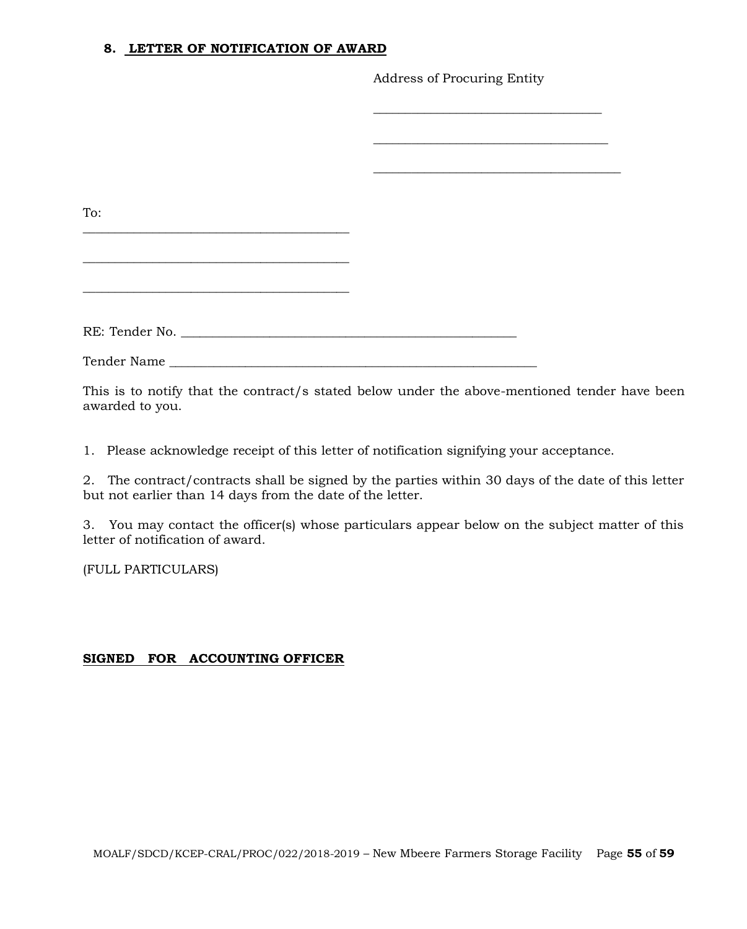#### **8. LETTER OF NOTIFICATION OF AWARD**

Address of Procuring Entity

| To:            |  |
|----------------|--|
|                |  |
|                |  |
|                |  |
|                |  |
| RE: Tender No. |  |
|                |  |
|                |  |
|                |  |

This is to notify that the contract/s stated below under the above-mentioned tender have been awarded to you.

1. Please acknowledge receipt of this letter of notification signifying your acceptance.

2. The contract/contracts shall be signed by the parties within 30 days of the date of this letter but not earlier than 14 days from the date of the letter.

3. You may contact the officer(s) whose particulars appear below on the subject matter of this letter of notification of award.

(FULL PARTICULARS)

## **SIGNED FOR ACCOUNTING OFFICER**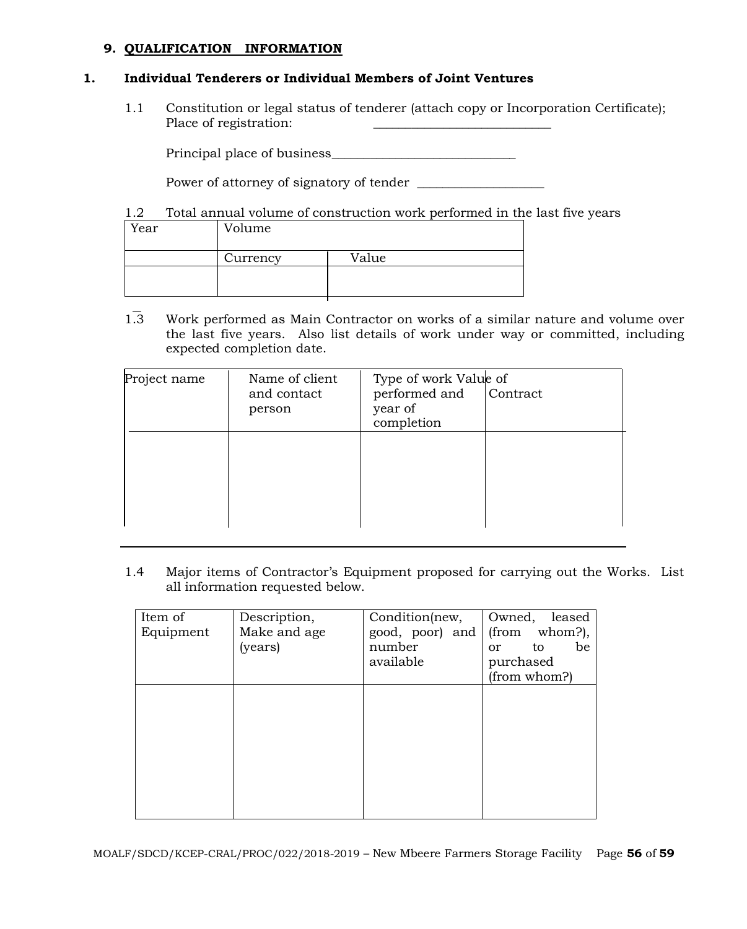#### **9. QUALIFICATION INFORMATION**

#### **1. Individual Tenderers or Individual Members of Joint Ventures**

1.1 Constitution or legal status of tenderer (attach copy or Incorporation Certificate); Place of registration:

Principal place of business\_\_\_\_\_\_\_\_\_\_\_\_\_\_\_\_\_\_\_\_\_\_\_\_\_\_\_\_\_

Power of attorney of signatory of tender \_\_\_\_\_\_\_\_\_\_\_\_\_\_\_\_\_\_\_\_

1.2 Total annual volume of construction work performed in the last five years

| Year | Volume   |       |
|------|----------|-------|
|      | Currency | Value |
|      |          |       |

1.3 Work performed as Main Contractor on works of a similar nature and volume over the last five years. Also list details of work under way or committed, including expected completion date.

| Project name | Name of client<br>and contact<br>person | Type of work Value of<br>performed and<br>year of<br>completion | Contract |
|--------------|-----------------------------------------|-----------------------------------------------------------------|----------|
|              |                                         |                                                                 |          |

1.4 Major items of Contractor's Equipment proposed for carrying out the Works. List all information requested below.

| Item of   | Description, | Condition(new,  | Owned,<br>leased          |
|-----------|--------------|-----------------|---------------------------|
| Equipment | Make and age | good, poor) and | whom?),<br>(from          |
|           | (years)      | number          | be<br>to<br><sub>or</sub> |
|           |              | available       | purchased                 |
|           |              |                 | (from whom?)              |
|           |              |                 |                           |
|           |              |                 |                           |
|           |              |                 |                           |
|           |              |                 |                           |
|           |              |                 |                           |
|           |              |                 |                           |
|           |              |                 |                           |
|           |              |                 |                           |
|           |              |                 |                           |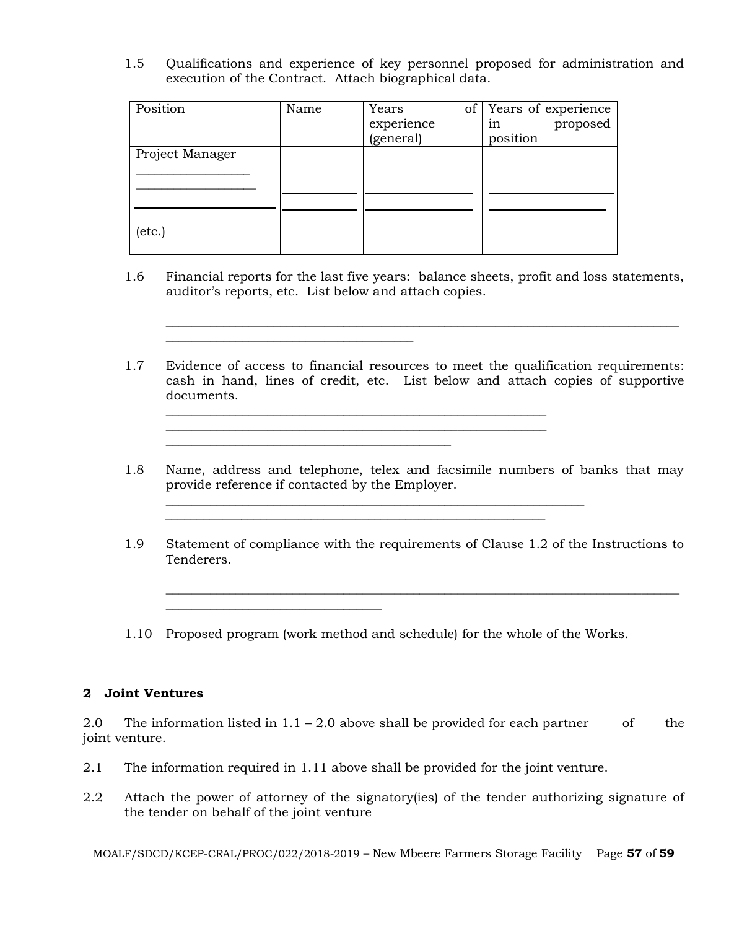1.5 Qualifications and experience of key personnel proposed for administration and execution of the Contract. Attach biographical data.

| Position        | Name | Years<br>of <sub>1</sub><br>experience<br>(general) | Years of experience<br>proposed<br>1n<br>position |
|-----------------|------|-----------------------------------------------------|---------------------------------------------------|
| Project Manager |      |                                                     |                                                   |
| $(\text{etc.})$ |      |                                                     |                                                   |

 $\overline{\phantom{a}}$  , and the set of the set of the set of the set of the set of the set of the set of the set of the set of the set of the set of the set of the set of the set of the set of the set of the set of the set of the s

\_\_\_\_\_\_\_\_\_\_\_\_\_\_\_\_\_\_\_\_\_\_\_\_\_\_\_\_\_\_\_\_\_\_

1.6 Financial reports for the last five years: balance sheets, profit and loss statements, auditor's reports, etc. List below and attach copies.

\_\_\_\_\_\_\_\_\_\_\_\_\_\_\_\_\_\_\_\_\_\_\_\_\_\_\_\_\_\_\_\_\_\_\_\_\_\_\_\_\_\_\_\_\_\_\_\_\_\_\_\_\_\_\_\_\_\_\_\_\_\_\_\_\_\_\_\_\_\_\_\_\_\_\_\_\_\_\_\_\_

1.7 Evidence of access to financial resources to meet the qualification requirements: cash in hand, lines of credit, etc. List below and attach copies of supportive documents.

\_\_\_\_\_\_\_\_\_\_\_\_\_\_\_\_\_\_\_\_\_\_\_\_\_\_\_\_\_\_\_\_\_\_\_\_\_\_\_\_\_\_\_\_\_\_\_\_\_\_\_\_\_\_\_\_\_\_\_\_

\_\_\_\_\_\_\_\_\_\_\_\_\_\_\_\_\_\_\_\_\_\_\_\_\_\_\_\_\_\_\_\_\_\_\_\_\_\_\_\_\_\_\_\_\_\_\_\_\_\_\_\_\_\_\_\_\_\_\_\_\_\_\_\_\_\_

 $\mathcal{L}_\text{max}$  and  $\mathcal{L}_\text{max}$  and  $\mathcal{L}_\text{max}$  and  $\mathcal{L}_\text{max}$  and  $\mathcal{L}_\text{max}$ 

- 1.8 Name, address and telephone, telex and facsimile numbers of banks that may provide reference if contacted by the Employer.
- 1.9 Statement of compliance with the requirements of Clause 1.2 of the Instructions to Tenderers.

\_\_\_\_\_\_\_\_\_\_\_\_\_\_\_\_\_\_\_\_\_\_\_\_\_\_\_\_\_\_\_\_\_\_\_\_\_\_\_\_\_\_\_\_\_\_\_\_\_\_\_\_\_\_\_\_\_\_\_\_\_\_\_\_\_\_\_\_\_\_\_\_\_\_\_\_\_\_\_\_\_

1.10 Proposed program (work method and schedule) for the whole of the Works.

 $\mathcal{L}_\text{max}$  , and the contribution of the contribution of the contribution of the contribution of the contribution of the contribution of the contribution of the contribution of the contribution of the contribution of t

#### **2 Joint Ventures**

2.0 The information listed in  $1.1 - 2.0$  above shall be provided for each partner of the joint venture.

- 2.1 The information required in 1.11 above shall be provided for the joint venture.
- 2.2 Attach the power of attorney of the signatory(ies) of the tender authorizing signature of the tender on behalf of the joint venture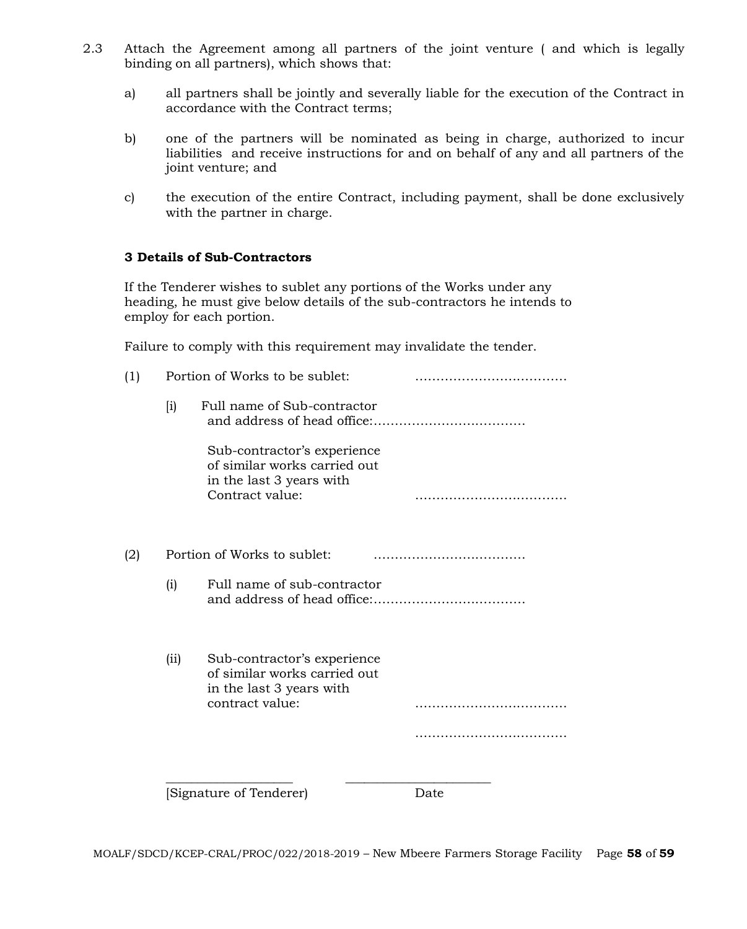- 2.3 Attach the Agreement among all partners of the joint venture ( and which is legally binding on all partners), which shows that:
	- a) all partners shall be jointly and severally liable for the execution of the Contract in accordance with the Contract terms;
	- b) one of the partners will be nominated as being in charge, authorized to incur liabilities and receive instructions for and on behalf of any and all partners of the joint venture; and
	- c) the execution of the entire Contract, including payment, shall be done exclusively with the partner in charge.

#### **3 Details of Sub-Contractors**

If the Tenderer wishes to sublet any portions of the Works under any heading, he must give below details of the sub-contractors he intends to employ for each portion.

Failure to comply with this requirement may invalidate the tender.

| (1) |                    | Portion of Works to be sublet:                                                                             |      |  |  |
|-----|--------------------|------------------------------------------------------------------------------------------------------------|------|--|--|
|     | $\left[ i \right)$ | Full name of Sub-contractor                                                                                |      |  |  |
|     |                    | Sub-contractor's experience<br>of similar works carried out<br>in the last 3 years with<br>Contract value: |      |  |  |
| (2) |                    | Portion of Works to sublet:                                                                                |      |  |  |
|     | (i)                | Full name of sub-contractor                                                                                |      |  |  |
|     | (i)                | Sub-contractor's experience<br>of similar works carried out<br>in the last 3 years with<br>contract value: |      |  |  |
|     |                    |                                                                                                            |      |  |  |
|     |                    | Signature of Tenderer)                                                                                     | Date |  |  |